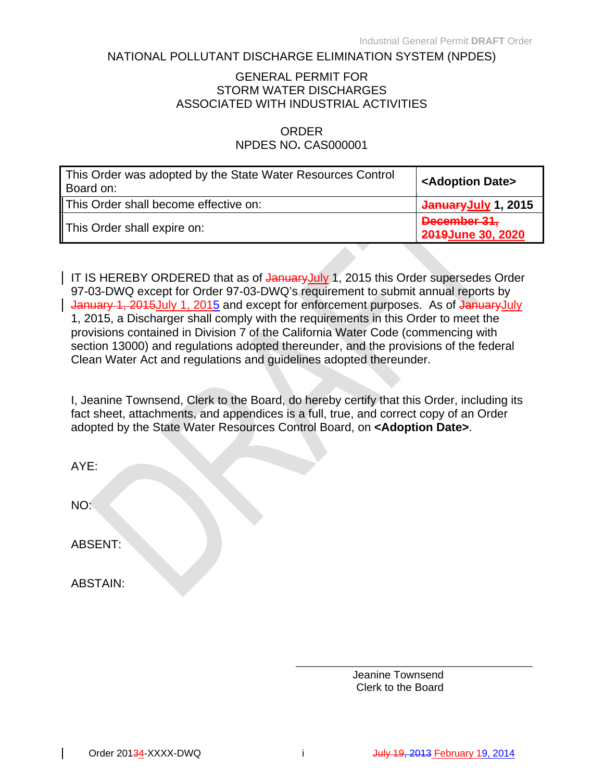#### NATIONAL POLLUTANT DISCHARGE ELIMINATION SYSTEM (NPDES)

#### GENERAL PERMIT FOR STORM WATER DISCHARGES ASSOCIATED WITH INDUSTRIAL ACTIVITIES

#### ORDER NPDES NO**.** CAS000001

| This Order was adopted by the State Water Resources Control<br>Board on: | <adoption date=""></adoption>     |
|--------------------------------------------------------------------------|-----------------------------------|
| This Order shall become effective on:                                    | JanuaryJuly 1, 2015               |
| This Order shall expire on:                                              | December 31,<br>2019June 30, 2020 |

IT IS HEREBY ORDERED that as of JanuaryJuly 1, 2015 this Order supersedes Order 97-03-DWQ except for Order 97-03-DWQ's requirement to submit annual reports by January 1, 2015 July 1, 2015 and except for enforcement purposes. As of January July 1, 2015, a Discharger shall comply with the requirements in this Order to meet the provisions contained in Division 7 of the California Water Code (commencing with section 13000) and regulations adopted thereunder, and the provisions of the federal Clean Water Act and regulations and guidelines adopted thereunder.

I, Jeanine Townsend, Clerk to the Board, do hereby certify that this Order, including its fact sheet, attachments, and appendices is a full, true, and correct copy of an Order adopted by the State Water Resources Control Board, on **<Adoption Date>**.

| AYE:            |
|-----------------|
| NO:             |
| ABSENT:         |
| <b>ABSTAIN:</b> |

Jeanine Townsend Clerk to the Board

\_\_\_\_\_\_\_\_\_\_\_\_\_\_\_\_\_\_\_\_\_\_\_\_\_\_\_\_\_\_\_\_\_\_\_\_\_\_\_\_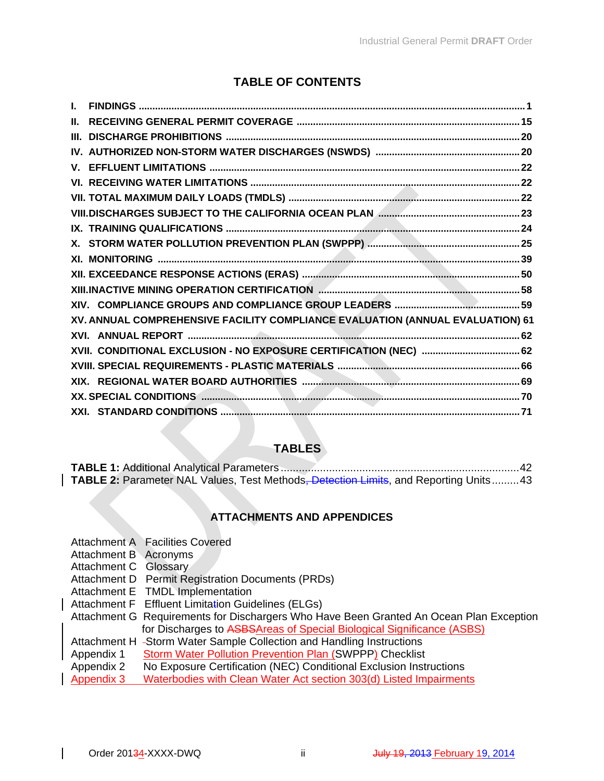## **TABLE OF CONTENTS**

| II. |                                                                                |  |
|-----|--------------------------------------------------------------------------------|--|
|     |                                                                                |  |
|     |                                                                                |  |
|     |                                                                                |  |
|     |                                                                                |  |
|     |                                                                                |  |
|     |                                                                                |  |
|     |                                                                                |  |
|     |                                                                                |  |
|     |                                                                                |  |
|     |                                                                                |  |
|     |                                                                                |  |
|     |                                                                                |  |
|     | XV. ANNUAL COMPREHENSIVE FACILITY COMPLIANCE EVALUATION (ANNUAL EVALUATION) 61 |  |
|     |                                                                                |  |
|     |                                                                                |  |
|     |                                                                                |  |
|     |                                                                                |  |
|     |                                                                                |  |
|     |                                                                                |  |
|     |                                                                                |  |

#### **TABLES**

**TABLE 1:** Additional Analytical Parameters [...............................................................................42](#page-43-0) TABLE 2: Parameter NAL Values, Test Methods, Detection Limits, and Reporting Units......... 43

### **ATTACHMENTS AND APPENDICES**

- Attachment A Facilities Covered
- Attachment B Acronyms
- Attachment C Glossary
- Attachment D Permit Registration Documents (PRDs)
- Attachment E TMDL Implementation
- Attachment F Effluent Limitation Guidelines (ELGs)
- Attachment G Requirements for Dischargers Who Have Been Granted An Ocean Plan Exception for Discharges to ASBSAreas of Special Biological Significance (ASBS)
- Attachment H -Storm Water Sample Collection and Handling Instructions
- Appendix 1 Storm Water Pollution Prevention Plan (SWPPP) Checklist<br>Appendix 2 No Exposure Certification (NEC) Conditional Exclusion Insti

Appendix 2 No Exposure Certification (NEC) Conditional Exclusion Instructions<br>Appendix 3 Waterbodies with Clean Water Act section 303(d) Listed Impairment

Waterbodies with Clean Water Act section 303(d) Listed Impairments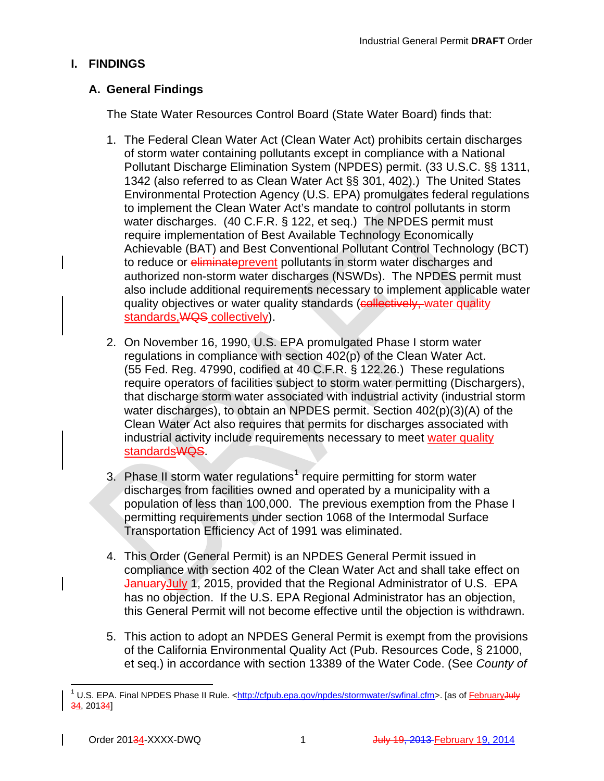### <span id="page-2-0"></span>**I. FINDINGS**

## **A. General Findings**

The State Water Resources Control Board (State Water Board) finds that:

- 1. The Federal Clean Water Act (Clean Water Act) prohibits certain discharges of storm water containing pollutants except in compliance with a National Pollutant Discharge Elimination System (NPDES) permit. (33 U.S.C. §§ 1311, 1342 (also referred to as Clean Water Act §§ 301, 402).) The United States Environmental Protection Agency (U.S. EPA) promulgates federal regulations to implement the Clean Water Act's mandate to control pollutants in storm water discharges. (40 C.F.R. § 122, et seq.) The NPDES permit must require implementation of Best Available Technology Economically Achievable (BAT) and Best Conventional Pollutant Control Technology (BCT) to reduce or eliminateprevent pollutants in storm water discharges and authorized non-storm water discharges (NSWDs). The NPDES permit must also include additional requirements necessary to implement applicable water quality objectives or water quality standards (collectively, water quality standards, WQS collectively).
- 2. On November 16, 1990, U.S. EPA promulgated Phase I storm water regulations in compliance with section 402(p) of the Clean Water Act. (55 Fed. Reg. 47990, codified at 40 C.F.R. § 122.26.) These regulations require operators of facilities subject to storm water permitting (Dischargers), that discharge storm water associated with industrial activity (industrial storm water discharges), to obtain an NPDES permit. Section 402(p)(3)(A) of the Clean Water Act also requires that permits for discharges associated with industrial activity include requirements necessary to meet water quality standardsWQS
- 3. Phase II storm water regulations<sup>[1](#page-2-1)</sup> require permitting for storm water discharges from facilities owned and operated by a municipality with a population of less than 100,000. The previous exemption from the Phase I permitting requirements under section 1068 of the Intermodal Surface Transportation Efficiency Act of 1991 was eliminated.
- 4. This Order (General Permit) is an NPDES General Permit issued in compliance with section 402 of the Clean Water Act and shall take effect on JanuaryJuly 1, 2015, provided that the Regional Administrator of U.S. - EPA has no objection. If the U.S. EPA Regional Administrator has an objection, this General Permit will not become effective until the objection is withdrawn.
- 5. This action to adopt an NPDES General Permit is exempt from the provisions of the California Environmental Quality Act (Pub. Resources Code, § 21000, et seq.) in accordance with section 13389 of the Water Code. (See *County of*

<span id="page-2-1"></span><sup>&</sup>lt;sup>1</sup> U.S. EPA. Final NPDES Phase II Rule. [<http://cfpub.epa.gov/npdes/stormwater/swfinal.cfm>](http://cfpub.epa.gov/npdes/stormwater/swfinal.cfm). [as of FebruaryJuly 34, 20134]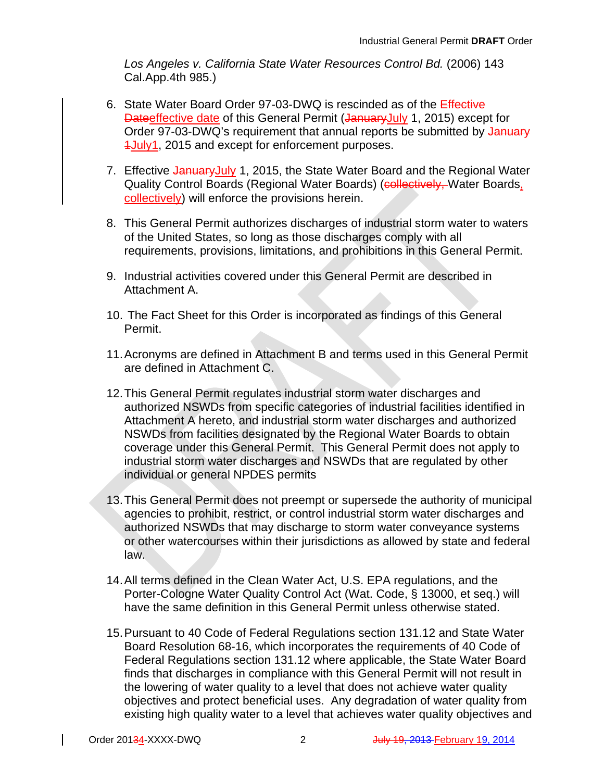*Los Angeles v. California State Water Resources Control Bd.* (2006) 143 Cal.App.4th 985.)

- 6. State Water Board Order 97-03-DWQ is rescinded as of the Effective Dateeffective date of this General Permit (JanuaryJuly 1, 2015) except for Order 97-03-DWQ's requirement that annual reports be submitted by January 1July1, 2015 and except for enforcement purposes.
- 7. Effective JanuaryJuly 1, 2015, the State Water Board and the Regional Water Quality Control Boards (Regional Water Boards) (collectively, Water Boards, collectively) will enforce the provisions herein.
- 8. This General Permit authorizes discharges of industrial storm water to waters of the United States, so long as those discharges comply with all requirements, provisions, limitations, and prohibitions in this General Permit.
- 9. Industrial activities covered under this General Permit are described in Attachment A.
- 10. The Fact Sheet for this Order is incorporated as findings of this General Permit.
- 11.Acronyms are defined in Attachment B and terms used in this General Permit are defined in Attachment C.
- 12.This General Permit regulates industrial storm water discharges and authorized NSWDs from specific categories of industrial facilities identified in Attachment A hereto, and industrial storm water discharges and authorized NSWDs from facilities designated by the Regional Water Boards to obtain coverage under this General Permit. This General Permit does not apply to industrial storm water discharges and NSWDs that are regulated by other individual or general NPDES permits
- 13.This General Permit does not preempt or supersede the authority of municipal agencies to prohibit, restrict, or control industrial storm water discharges and authorized NSWDs that may discharge to storm water conveyance systems or other watercourses within their jurisdictions as allowed by state and federal law.
- 14.All terms defined in the Clean Water Act, U.S. EPA regulations, and the Porter-Cologne Water Quality Control Act (Wat. Code, § 13000, et seq.) will have the same definition in this General Permit unless otherwise stated.
- 15.Pursuant to 40 Code of Federal Regulations section 131.12 and State Water Board Resolution 68-16, which incorporates the requirements of 40 Code of Federal Regulations section 131.12 where applicable, the State Water Board finds that discharges in compliance with this General Permit will not result in the lowering of water quality to a level that does not achieve water quality objectives and protect beneficial uses. Any degradation of water quality from existing high quality water to a level that achieves water quality objectives and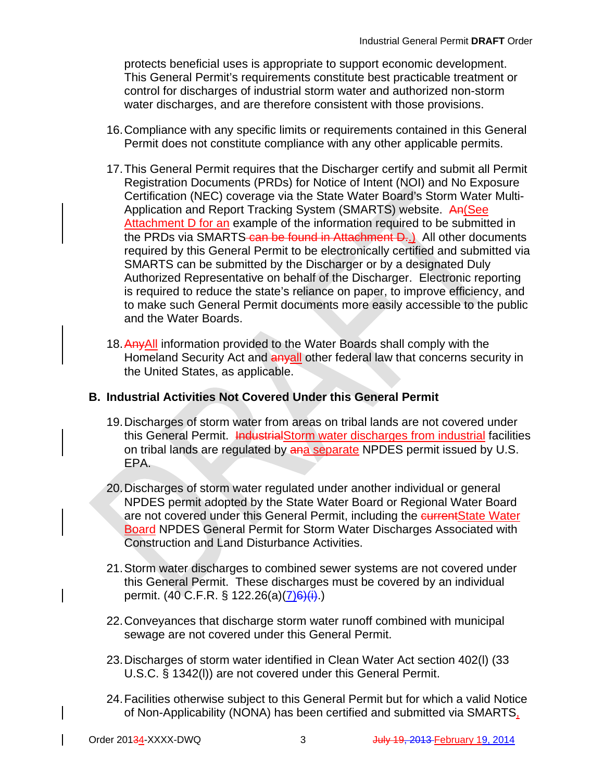protects beneficial uses is appropriate to support economic development. This General Permit's requirements constitute best practicable treatment or control for discharges of industrial storm water and authorized non-storm water discharges, and are therefore consistent with those provisions.

- 16.Compliance with any specific limits or requirements contained in this General Permit does not constitute compliance with any other applicable permits.
- 17.This General Permit requires that the Discharger certify and submit all Permit Registration Documents (PRDs) for Notice of Intent (NOI) and No Exposure Certification (NEC) coverage via the State Water Board's Storm Water Multi-Application and Report Tracking System (SMARTS) website. An(See Attachment D for an example of the information required to be submitted in the PRDs via SMARTS can be found in Attachment D..) All other documents required by this General Permit to be electronically certified and submitted via SMARTS can be submitted by the Discharger or by a designated Duly Authorized Representative on behalf of the Discharger. Electronic reporting is required to reduce the state's reliance on paper, to improve efficiency, and to make such General Permit documents more easily accessible to the public and the Water Boards.
- 18. Any All information provided to the Water Boards shall comply with the Homeland Security Act and anyall other federal law that concerns security in the United States, as applicable.

### **B. Industrial Activities Not Covered Under this General Permit**

- 19.Discharges of storm water from areas on tribal lands are not covered under this General Permit. IndustrialStorm water discharges from industrial facilities on tribal lands are regulated by ana separate NPDES permit issued by U.S. EPA.
- 20.Discharges of storm water regulated under another individual or general NPDES permit adopted by the State Water Board or Regional Water Board are not covered under this General Permit, including the currentState Water Board NPDES General Permit for Storm Water Discharges Associated with Construction and Land Disturbance Activities.
- 21.Storm water discharges to combined sewer systems are not covered under this General Permit. These discharges must be covered by an individual permit. (40 C.F.R. § 122.26(a)(7)6)(i).)
- 22.Conveyances that discharge storm water runoff combined with municipal sewage are not covered under this General Permit.
- 23.Discharges of storm water identified in Clean Water Act section 402(l) (33 U.S.C. § 1342(l)) are not covered under this General Permit.
- 24.Facilities otherwise subject to this General Permit but for which a valid Notice of Non-Applicability (NONA) has been certified and submitted via SMARTS,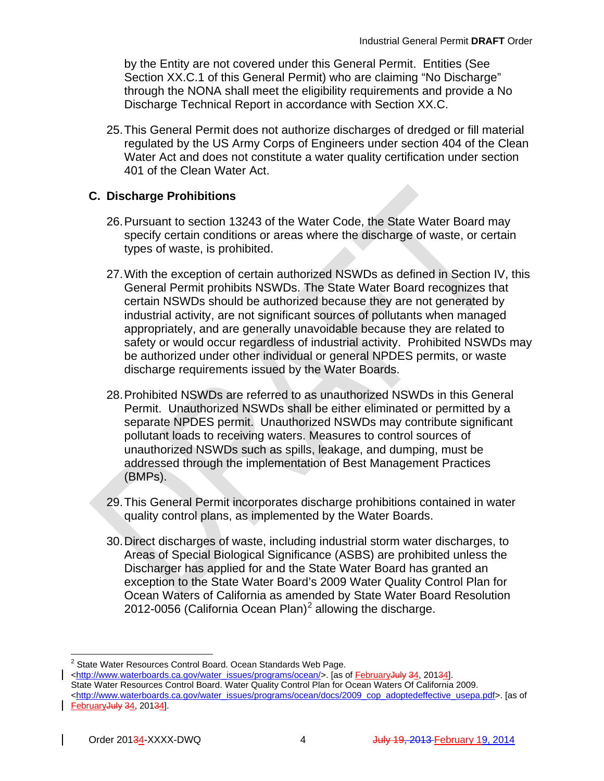by the Entity are not covered under this General Permit. Entities (See Section XX.C.1 of this General Permit) who are claiming "No Discharge" through the NONA shall meet the eligibility requirements and provide a No Discharge Technical Report in accordance with Section XX.C.

25.This General Permit does not authorize discharges of dredged or fill material regulated by the US Army Corps of Engineers under section 404 of the Clean Water Act and does not constitute a water quality certification under section 401 of the Clean Water Act.

#### **C. Discharge Prohibitions**

- 26.Pursuant to section 13243 of the Water Code, the State Water Board may specify certain conditions or areas where the discharge of waste, or certain types of waste, is prohibited.
- 27.With the exception of certain authorized NSWDs as defined in Section IV, this General Permit prohibits NSWDs. The State Water Board recognizes that certain NSWDs should be authorized because they are not generated by industrial activity, are not significant sources of pollutants when managed appropriately, and are generally unavoidable because they are related to safety or would occur regardless of industrial activity. Prohibited NSWDs may be authorized under other individual or general NPDES permits, or waste discharge requirements issued by the Water Boards.
- 28.Prohibited NSWDs are referred to as unauthorized NSWDs in this General Permit. Unauthorized NSWDs shall be either eliminated or permitted by a separate NPDES permit. Unauthorized NSWDs may contribute significant pollutant loads to receiving waters. Measures to control sources of unauthorized NSWDs such as spills, leakage, and dumping, must be addressed through the implementation of Best Management Practices (BMPs).
- 29.This General Permit incorporates discharge prohibitions contained in water quality control plans, as implemented by the Water Boards.
- 30.Direct discharges of waste, including industrial storm water discharges, to Areas of Special Biological Significance (ASBS) are prohibited unless the Discharger has applied for and the State Water Board has granted an exception to the State Water Board's 2009 Water Quality Control Plan for Ocean Waters of California as amended by State Water Board Resolution [2](#page-5-0)012-0056 (California Ocean Plan)<sup>2</sup> allowing the discharge.

<span id="page-5-0"></span><sup>&</sup>lt;sup>2</sup> State Water Resources Control Board. Ocean Standards Web Page. [<http://www.waterboards.ca.gov/water\\_issues/programs/ocean/>](http://www.waterboards.ca.gov/water_issues/programs/ocean/%3e). [as of FebruaryJuly 34, 20134]. State Water Resources Control Board. Water Quality Control Plan for Ocean Waters Of California 2009. [<http://www.waterboards.ca.gov/water\\_issues/programs/ocean/docs/2009\\_cop\\_adoptedeffective\\_usepa.pdf>](http://www.waterboards.ca.gov/water_issues/programs/ocean/docs/2009_cop_adoptedeffective_usepa.pdf). [as of **FebruaryJuly 34, 20134].**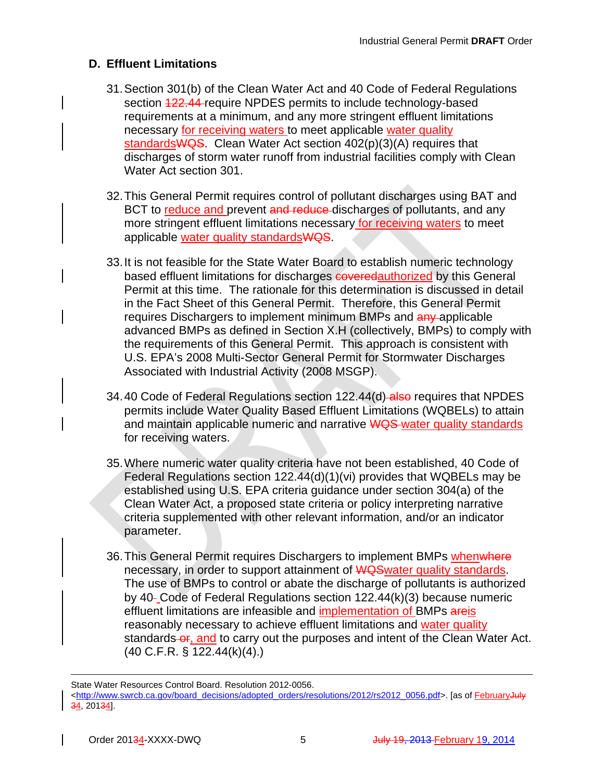### **D. Effluent Limitations**

- 31.Section 301(b) of the Clean Water Act and 40 Code of Federal Regulations section 422.44 require NPDES permits to include technology-based requirements at a minimum, and any more stringent effluent limitations necessary for receiving waters to meet applicable water quality standards WQS. Clean Water Act section  $402(p)(3)(A)$  requires that discharges of storm water runoff from industrial facilities comply with Clean Water Act section 301.
- 32.This General Permit requires control of pollutant discharges using BAT and BCT to reduce and prevent and reduce-discharges of pollutants, and any more stringent effluent limitations necessary for receiving waters to meet applicable water quality standards WQS.
- 33.It is not feasible for the State Water Board to establish numeric technology based effluent limitations for discharges coveredauthorized by this General Permit at this time. The rationale for this determination is discussed in detail in the Fact Sheet of this General Permit. Therefore, this General Permit requires Dischargers to implement minimum BMPs and any applicable advanced BMPs as defined in Section X.H (collectively, BMPs) to comply with the requirements of this General Permit. This approach is consistent with U.S. EPA's 2008 Multi-Sector General Permit for Stormwater Discharges Associated with Industrial Activity (2008 MSGP).
- 34.40 Code of Federal Regulations section 122.44(d) also requires that NPDES permits include Water Quality Based Effluent Limitations (WQBELs) to attain and maintain applicable numeric and narrative WQS water quality standards for receiving waters.
- 35.Where numeric water quality criteria have not been established, 40 Code of Federal Regulations section 122.44(d)(1)(vi) provides that WQBELs may be established using U.S. EPA criteria guidance under section 304(a) of the Clean Water Act, a proposed state criteria or policy interpreting narrative criteria supplemented with other relevant information, and/or an indicator parameter.
- 36.This General Permit requires Dischargers to implement BMPs whenwhere necessary, in order to support attainment of WQSwater quality standards. The use of BMPs to control or abate the discharge of pollutants is authorized by 40 Code of Federal Regulations section 122.44(k)(3) because numeric effluent limitations are infeasible and implementation of BMPs areis reasonably necessary to achieve effluent limitations and water quality standards-or, and to carry out the purposes and intent of the Clean Water Act. (40 C.F.R. § 122.44(k)(4).)

 $\overline{a}$ State Water Resources Control Board. Resolution 2012-0056. [<http://www.swrcb.ca.gov/board\\_decisions/adopted\\_orders/resolutions/2012/rs2012\\_0056.pdf>](http://www.swrcb.ca.gov/board_decisions/adopted_orders/resolutions/2012/rs2012_0056.pdf). [as of FebruaryJuly 34, 20134].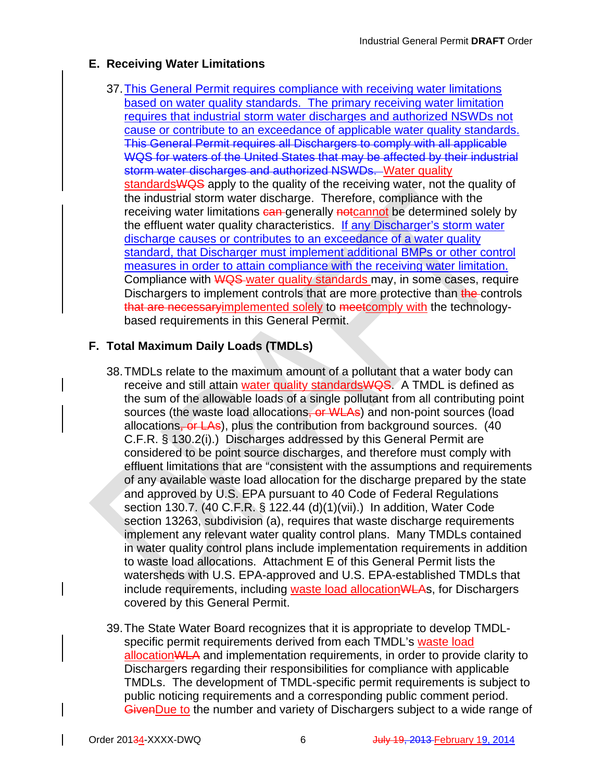## **E. Receiving Water Limitations**

37.This General Permit requires compliance with receiving water limitations based on water quality standards. The primary receiving water limitation requires that industrial storm water discharges and authorized NSWDs not cause or contribute to an exceedance of applicable water quality standards. This General Permit requires all Dischargers to comply with all applicable WQS for waters of the United States that may be affected by their industrial storm water discharges and authorized NSWDs. Water quality standards WQS apply to the quality of the receiving water, not the quality of the industrial storm water discharge. Therefore, compliance with the receiving water limitations can generally notcannot be determined solely by the effluent water quality characteristics. If any Discharger's storm water discharge causes or contributes to an exceedance of a water quality standard, that Discharger must implement additional BMPs or other control measures in order to attain compliance with the receiving water limitation. Compliance with WQS water quality standards may, in some cases, require Dischargers to implement controls that are more protective than the controls that are necessary implemented solely to meetcomply with the technologybased requirements in this General Permit.

# **F. Total Maximum Daily Loads (TMDLs)**

- 38.TMDLs relate to the maximum amount of a pollutant that a water body can receive and still attain water quality standards WQS. A TMDL is defined as the sum of the allowable loads of a single pollutant from all contributing point sources (the waste load allocations, or WLAs) and non-point sources (load allocations, or LAs), plus the contribution from background sources. (40 C.F.R. § 130.2(i).) Discharges addressed by this General Permit are considered to be point source discharges, and therefore must comply with effluent limitations that are "consistent with the assumptions and requirements of any available waste load allocation for the discharge prepared by the state and approved by U.S. EPA pursuant to 40 Code of Federal Regulations section 130.7. (40 C.F.R. § 122.44 (d)(1)(vii).) In addition, Water Code section 13263, subdivision (a), requires that waste discharge requirements implement any relevant water quality control plans. Many TMDLs contained in water quality control plans include implementation requirements in addition to waste load allocations. Attachment E of this General Permit lists the watersheds with U.S. EPA-approved and U.S. EPA-established TMDLs that include requirements, including waste load allocation WLAs, for Dischargers covered by this General Permit.
- 39.The State Water Board recognizes that it is appropriate to develop TMDLspecific permit requirements derived from each TMDL's waste load allocationWLA and implementation requirements, in order to provide clarity to Dischargers regarding their responsibilities for compliance with applicable TMDLs. The development of TMDL-specific permit requirements is subject to public noticing requirements and a corresponding public comment period. Given Due to the number and variety of Dischargers subject to a wide range of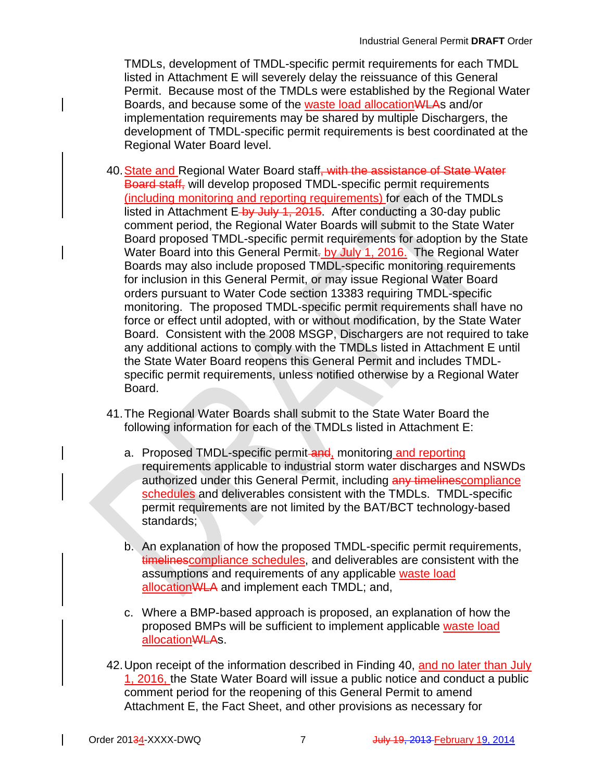TMDLs, development of TMDL-specific permit requirements for each TMDL listed in Attachment E will severely delay the reissuance of this General Permit. Because most of the TMDLs were established by the Regional Water Boards, and because some of the waste load allocation WLAs and/or implementation requirements may be shared by multiple Dischargers, the development of TMDL-specific permit requirements is best coordinated at the Regional Water Board level.

- 40. State and Regional Water Board staff<del>, with the assistance of State Water</del> Board staff, will develop proposed TMDL-specific permit requirements (including monitoring and reporting requirements) for each of the TMDLs listed in Attachment E-by July 1, 2015. After conducting a 30-day public comment period, the Regional Water Boards will submit to the State Water Board proposed TMDL-specific permit requirements for adoption by the State Water Board into this General Permit-by July 1, 2016. The Regional Water Boards may also include proposed TMDL-specific monitoring requirements for inclusion in this General Permit, or may issue Regional Water Board orders pursuant to Water Code section 13383 requiring TMDL-specific monitoring. The proposed TMDL-specific permit requirements shall have no force or effect until adopted, with or without modification, by the State Water Board. Consistent with the 2008 MSGP, Dischargers are not required to take any additional actions to comply with the TMDLs listed in Attachment E until the State Water Board reopens this General Permit and includes TMDLspecific permit requirements, unless notified otherwise by a Regional Water Board.
- 41.The Regional Water Boards shall submit to the State Water Board the following information for each of the TMDLs listed in Attachment E:
	- a. Proposed TMDL-specific permit-and, monitoring and reporting requirements applicable to industrial storm water discharges and NSWDs authorized under this General Permit, including any timelinescompliance schedules and deliverables consistent with the TMDLs. TMDL-specific permit requirements are not limited by the BAT/BCT technology-based standards;
	- b. An explanation of how the proposed TMDL-specific permit requirements, timelinescompliance schedules, and deliverables are consistent with the assumptions and requirements of any applicable waste load allocation WLA and implement each TMDL; and,
	- c. Where a BMP-based approach is proposed, an explanation of how the proposed BMPs will be sufficient to implement applicable waste load allocationWLAs.
- 42. Upon receipt of the information described in Finding 40, and no later than July 1, 2016, the State Water Board will issue a public notice and conduct a public comment period for the reopening of this General Permit to amend Attachment E, the Fact Sheet, and other provisions as necessary for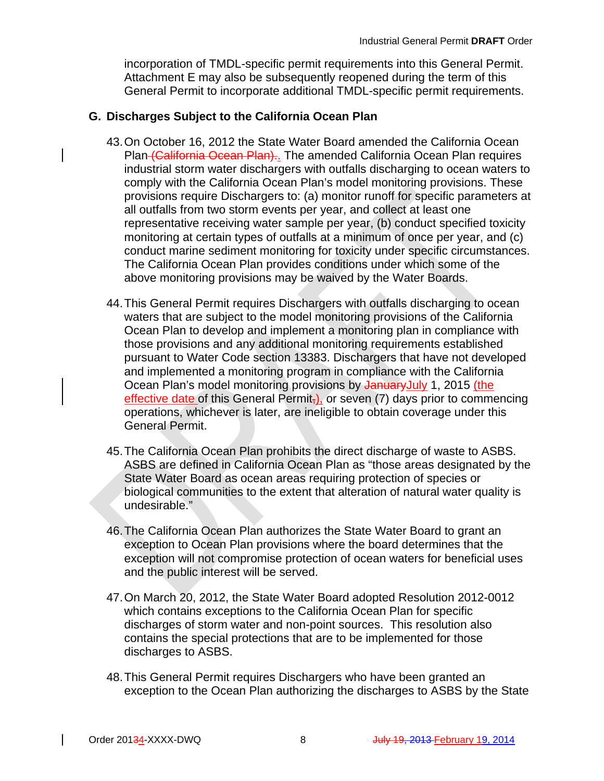incorporation of TMDL-specific permit requirements into this General Permit. Attachment E may also be subsequently reopened during the term of this General Permit to incorporate additional TMDL-specific permit requirements.

#### **G. Discharges Subject to the California Ocean Plan**

- 43.On October 16, 2012 the State Water Board amended the California Ocean Plan (California Ocean Plan)... The amended California Ocean Plan requires industrial storm water dischargers with outfalls discharging to ocean waters to comply with the California Ocean Plan's model monitoring provisions. These provisions require Dischargers to: (a) monitor runoff for specific parameters at all outfalls from two storm events per year, and collect at least one representative receiving water sample per year, (b) conduct specified toxicity monitoring at certain types of outfalls at a minimum of once per year, and (c) conduct marine sediment monitoring for toxicity under specific circumstances. The California Ocean Plan provides conditions under which some of the above monitoring provisions may be waived by the Water Boards.
- 44.This General Permit requires Dischargers with outfalls discharging to ocean waters that are subject to the model monitoring provisions of the California Ocean Plan to develop and implement a monitoring plan in compliance with those provisions and any additional monitoring requirements established pursuant to Water Code section 13383. Dischargers that have not developed and implemented a monitoring program in compliance with the California Ocean Plan's model monitoring provisions by JanuaryJuly 1, 2015 (the effective date of this General Permit<sub>r</sub>), or seven (7) days prior to commencing operations, whichever is later, are ineligible to obtain coverage under this General Permit.
- 45.The California Ocean Plan prohibits the direct discharge of waste to ASBS. ASBS are defined in California Ocean Plan as "those areas designated by the State Water Board as ocean areas requiring protection of species or biological communities to the extent that alteration of natural water quality is undesirable."
- 46.The California Ocean Plan authorizes the State Water Board to grant an exception to Ocean Plan provisions where the board determines that the exception will not compromise protection of ocean waters for beneficial uses and the public interest will be served.
- 47.On March 20, 2012, the State Water Board adopted Resolution 2012-0012 which contains exceptions to the California Ocean Plan for specific discharges of storm water and non-point sources. This resolution also contains the special protections that are to be implemented for those discharges to ASBS.
- 48.This General Permit requires Dischargers who have been granted an exception to the Ocean Plan authorizing the discharges to ASBS by the State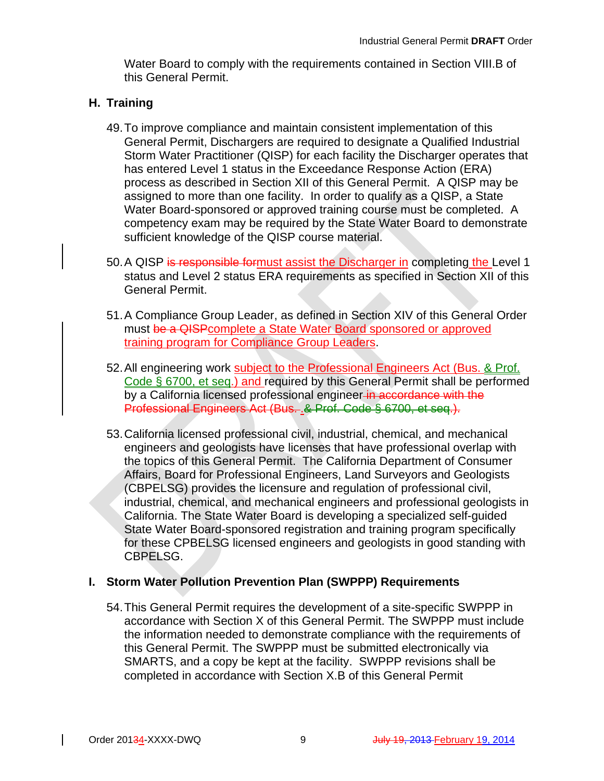Water Board to comply with the requirements contained in Section VIII.B of this General Permit.

### **H. Training**

- 49.To improve compliance and maintain consistent implementation of this General Permit, Dischargers are required to designate a Qualified Industrial Storm Water Practitioner (QISP) for each facility the Discharger operates that has entered Level 1 status in the Exceedance Response Action (ERA) process as described in Section XII of this General Permit. A QISP may be assigned to more than one facility. In order to qualify as a QISP, a State Water Board-sponsored or approved training course must be completed. A competency exam may be required by the State Water Board to demonstrate sufficient knowledge of the QISP course material.
- 50. A QISP is responsible formust assist the Discharger in completing the Level 1 status and Level 2 status ERA requirements as specified in Section XII of this General Permit.
- 51.A Compliance Group Leader, as defined in Section XIV of this General Order must be a QISP complete a State Water Board sponsored or approved training program for Compliance Group Leaders.
- 52. All engineering work subject to the Professional Engineers Act (Bus. & Prof. Code § 6700, et seq.) and required by this General Permit shall be performed by a California licensed professional engineer in accordance with the Professional Engineers Act (Bus. .& Prof. Code § 6700, et seq.).
- 53.California licensed professional civil, industrial, chemical, and mechanical engineers and geologists have licenses that have professional overlap with the topics of this General Permit. The California Department of Consumer Affairs, Board for Professional Engineers, Land Surveyors and Geologists (CBPELSG) provides the licensure and regulation of professional civil, industrial, chemical, and mechanical engineers and professional geologists in California. The State Water Board is developing a specialized self-guided State Water Board-sponsored registration and training program specifically for these CPBELSG licensed engineers and geologists in good standing with CBPELSG.

## **I. Storm Water Pollution Prevention Plan (SWPPP) Requirements**

54.This General Permit requires the development of a site-specific SWPPP in accordance with Section X of this General Permit. The SWPPP must include the information needed to demonstrate compliance with the requirements of this General Permit. The SWPPP must be submitted electronically via SMARTS, and a copy be kept at the facility. SWPPP revisions shall be completed in accordance with Section X.B of this General Permit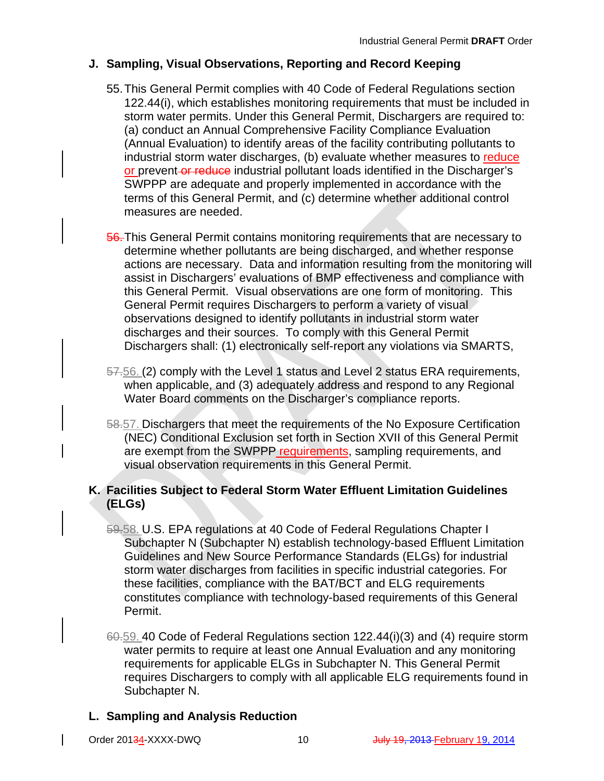## **J. Sampling, Visual Observations, Reporting and Record Keeping**

- 55.This General Permit complies with 40 Code of Federal Regulations section 122.44(i), which establishes monitoring requirements that must be included in storm water permits. Under this General Permit, Dischargers are required to: (a) conduct an Annual Comprehensive Facility Compliance Evaluation (Annual Evaluation) to identify areas of the facility contributing pollutants to industrial storm water discharges, (b) evaluate whether measures to reduce or prevent-or reduce industrial pollutant loads identified in the Discharger's SWPPP are adequate and properly implemented in accordance with the terms of this General Permit, and (c) determine whether additional control measures are needed.
- 56.This General Permit contains monitoring requirements that are necessary to determine whether pollutants are being discharged, and whether response actions are necessary. Data and information resulting from the monitoring will assist in Dischargers' evaluations of BMP effectiveness and compliance with this General Permit. Visual observations are one form of monitoring. This General Permit requires Dischargers to perform a variety of visual observations designed to identify pollutants in industrial storm water discharges and their sources. To comply with this General Permit Dischargers shall: (1) electronically self-report any violations via SMARTS,
- 57.56. (2) comply with the Level 1 status and Level 2 status ERA requirements, when applicable, and (3) adequately address and respond to any Regional Water Board comments on the Discharger's compliance reports.
- 58.57. Dischargers that meet the requirements of the No Exposure Certification (NEC) Conditional Exclusion set forth in Section XVII of this General Permit are exempt from the SWPPP requirements, sampling requirements, and visual observation requirements in this General Permit.

### **K. Facilities Subject to Federal Storm Water Effluent Limitation Guidelines (ELGs)**

- 59.58. U.S. EPA regulations at 40 Code of Federal Regulations Chapter I Subchapter N (Subchapter N) establish technology-based Effluent Limitation Guidelines and New Source Performance Standards (ELGs) for industrial storm water discharges from facilities in specific industrial categories. For these facilities, compliance with the BAT/BCT and ELG requirements constitutes compliance with technology-based requirements of this General Permit.
- 60.59. 40 Code of Federal Regulations section 122.44(i)(3) and (4) require storm water permits to require at least one Annual Evaluation and any monitoring requirements for applicable ELGs in Subchapter N. This General Permit requires Dischargers to comply with all applicable ELG requirements found in Subchapter N.

### **L. Sampling and Analysis Reduction**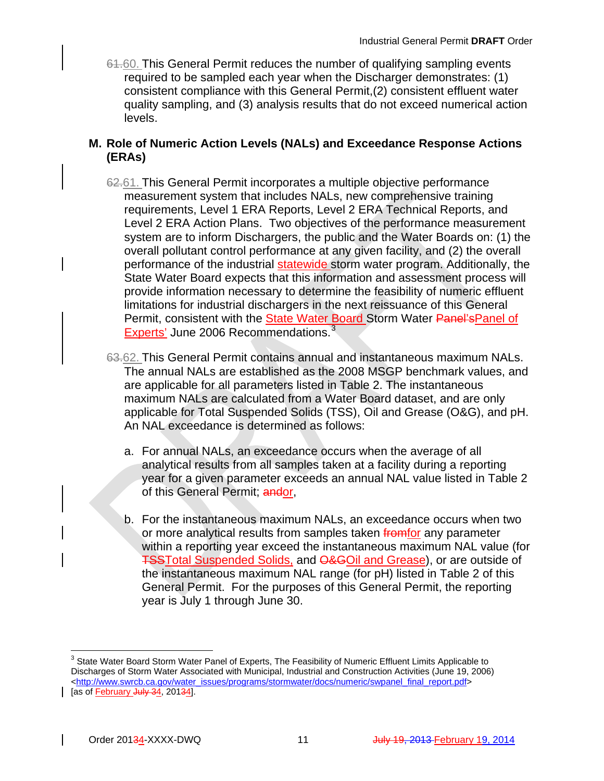61.60. This General Permit reduces the number of qualifying sampling events required to be sampled each year when the Discharger demonstrates: (1) consistent compliance with this General Permit,(2) consistent effluent water quality sampling, and (3) analysis results that do not exceed numerical action levels.

#### **M. Role of Numeric Action Levels (NALs) and Exceedance Response Actions (ERAs)**

- 62.61. This General Permit incorporates a multiple objective performance measurement system that includes NALs, new comprehensive training requirements, Level 1 ERA Reports, Level 2 ERA Technical Reports, and Level 2 ERA Action Plans. Two objectives of the performance measurement system are to inform Dischargers, the public and the Water Boards on: (1) the overall pollutant control performance at any given facility, and (2) the overall performance of the industrial statewide storm water program. Additionally, the State Water Board expects that this information and assessment process will provide information necessary to determine the feasibility of numeric effluent limitations for industrial dischargers in the next reissuance of this General Permit, consistent with the **State Water Board Storm Water Panel's Panel of** Experts' June 2006 Recommendations.<sup>[3](#page-12-0)</sup>
- 63.62. This General Permit contains annual and instantaneous maximum NALs. The annual NALs are established as the 2008 MSGP benchmark values, and are applicable for all parameters listed in Table 2. The instantaneous maximum NALs are calculated from a Water Board dataset, and are only applicable for Total Suspended Solids (TSS), Oil and Grease (O&G), and pH. An NAL exceedance is determined as follows:
	- a. For annual NALs, an exceedance occurs when the average of all analytical results from all samples taken at a facility during a reporting year for a given parameter exceeds an annual NAL value listed in Table 2 of this General Permit; andor,
	- b. For the instantaneous maximum NALs, an exceedance occurs when two or more analytical results from samples taken from for any parameter within a reporting year exceed the instantaneous maximum NAL value (for TSSTotal Suspended Solids, and O&GOil and Grease), or are outside of the instantaneous maximum NAL range (for pH) listed in Table 2 of this General Permit. For the purposes of this General Permit, the reporting year is July 1 through June 30.

<span id="page-12-0"></span><sup>&</sup>lt;sup>3</sup> State Water Board Storm Water Panel of Experts, The Feasibility of Numeric Effluent Limits Applicable to Discharges of Storm Water Associated with Municipal, Industrial and Construction Activities (June 19, 2006) [<http://www.swrcb.ca.gov/water\\_issues/programs/stormwater/docs/numeric/swpanel\\_final\\_report.pdf>](http://www.swrcb.ca.gov/water_issues/programs/stormwater/docs/numeric/swpanel_final_report.pdf)  $\int$  [as of February  $J_{\text{UV}}$  34, 20134].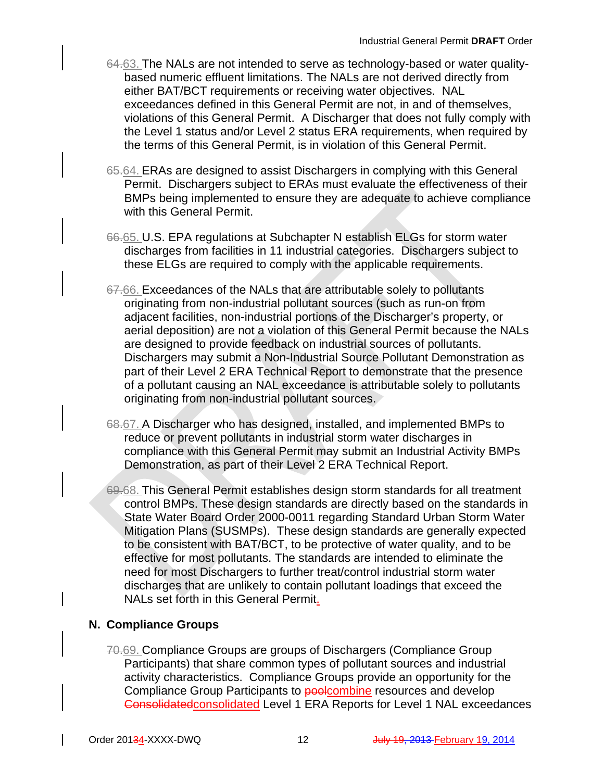- 64.63. The NALs are not intended to serve as technology-based or water qualitybased numeric effluent limitations. The NALs are not derived directly from either BAT/BCT requirements or receiving water objectives. NAL exceedances defined in this General Permit are not, in and of themselves, violations of this General Permit. A Discharger that does not fully comply with the Level 1 status and/or Level 2 status ERA requirements, when required by the terms of this General Permit, is in violation of this General Permit.
- 65.64. ERAs are designed to assist Dischargers in complying with this General Permit. Dischargers subject to ERAs must evaluate the effectiveness of their BMPs being implemented to ensure they are adequate to achieve compliance with this General Permit.
- 66.65. U.S. EPA regulations at Subchapter N establish ELGs for storm water discharges from facilities in 11 industrial categories. Dischargers subject to these ELGs are required to comply with the applicable requirements.
- 67.66. Exceedances of the NALs that are attributable solely to pollutants originating from non-industrial pollutant sources (such as run-on from adjacent facilities, non-industrial portions of the Discharger's property, or aerial deposition) are not a violation of this General Permit because the NALs are designed to provide feedback on industrial sources of pollutants. Dischargers may submit a Non-Industrial Source Pollutant Demonstration as part of their Level 2 ERA Technical Report to demonstrate that the presence of a pollutant causing an NAL exceedance is attributable solely to pollutants originating from non-industrial pollutant sources.
- 68.67. A Discharger who has designed, installed, and implemented BMPs to reduce or prevent pollutants in industrial storm water discharges in compliance with this General Permit may submit an Industrial Activity BMPs Demonstration, as part of their Level 2 ERA Technical Report.
- 69.68. This General Permit establishes design storm standards for all treatment control BMPs. These design standards are directly based on the standards in State Water Board Order 2000-0011 regarding Standard Urban Storm Water Mitigation Plans (SUSMPs). These design standards are generally expected to be consistent with BAT/BCT, to be protective of water quality, and to be effective for most pollutants. The standards are intended to eliminate the need for most Dischargers to further treat/control industrial storm water discharges that are unlikely to contain pollutant loadings that exceed the NALs set forth in this General Permit.

#### **N. Compliance Groups**

70.69. Compliance Groups are groups of Dischargers (Compliance Group Participants) that share common types of pollutant sources and industrial activity characteristics. Compliance Groups provide an opportunity for the Compliance Group Participants to poolcombine resources and develop Consolidatedconsolidated Level 1 ERA Reports for Level 1 NAL exceedances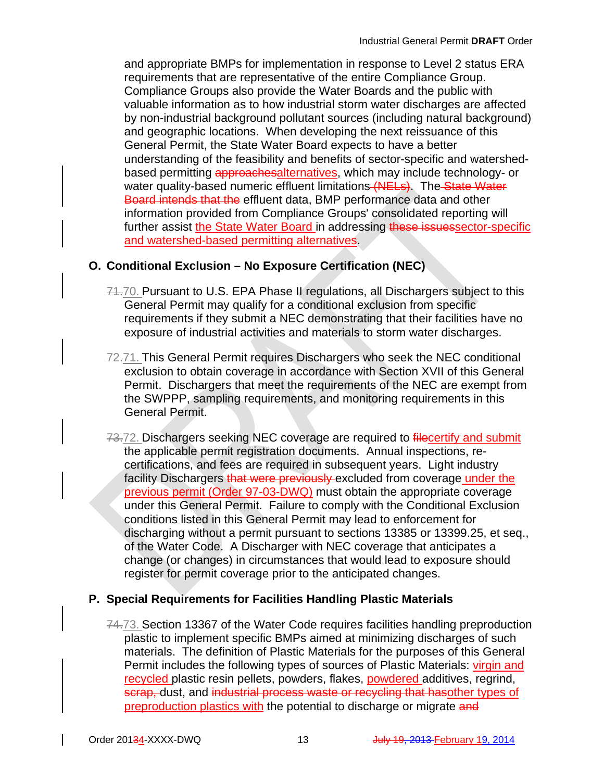and appropriate BMPs for implementation in response to Level 2 status ERA requirements that are representative of the entire Compliance Group. Compliance Groups also provide the Water Boards and the public with valuable information as to how industrial storm water discharges are affected by non-industrial background pollutant sources (including natural background) and geographic locations. When developing the next reissuance of this General Permit, the State Water Board expects to have a better understanding of the feasibility and benefits of sector-specific and watershedbased permitting approachesalternatives, which may include technology- or water quality-based numeric effluent limitations (NELs). The State Water Board intends that the effluent data, BMP performance data and other information provided from Compliance Groups' consolidated reporting will further assist the State Water Board in addressing these issuessector-specific and watershed-based permitting alternatives.

# **O. Conditional Exclusion – No Exposure Certification (NEC)**

- 74.70. Pursuant to U.S. EPA Phase II regulations, all Dischargers subject to this General Permit may qualify for a conditional exclusion from specific requirements if they submit a NEC demonstrating that their facilities have no exposure of industrial activities and materials to storm water discharges.
- 72.71. This General Permit requires Dischargers who seek the NEC conditional exclusion to obtain coverage in accordance with Section XVII of this General Permit. Dischargers that meet the requirements of the NEC are exempt from the SWPPP, sampling requirements, and monitoring requirements in this General Permit.
- 73.72. Dischargers seeking NEC coverage are required to **filecertify and submit** the applicable permit registration documents. Annual inspections, recertifications, and fees are required in subsequent years. Light industry facility Dischargers that were previously excluded from coverage under the previous permit (Order 97-03-DWQ) must obtain the appropriate coverage under this General Permit. Failure to comply with the Conditional Exclusion conditions listed in this General Permit may lead to enforcement for discharging without a permit pursuant to sections 13385 or 13399.25, et seq., of the Water Code. A Discharger with NEC coverage that anticipates a change (or changes) in circumstances that would lead to exposure should register for permit coverage prior to the anticipated changes.

### **P. Special Requirements for Facilities Handling Plastic Materials**

74.73. Section 13367 of the Water Code requires facilities handling preproduction plastic to implement specific BMPs aimed at minimizing discharges of such materials. The definition of Plastic Materials for the purposes of this General Permit includes the following types of sources of Plastic Materials: virgin and recycled plastic resin pellets, powders, flakes, powdered additives, regrind, scrap, dust, and industrial process waste or recycling that hasother types of preproduction plastics with the potential to discharge or migrate and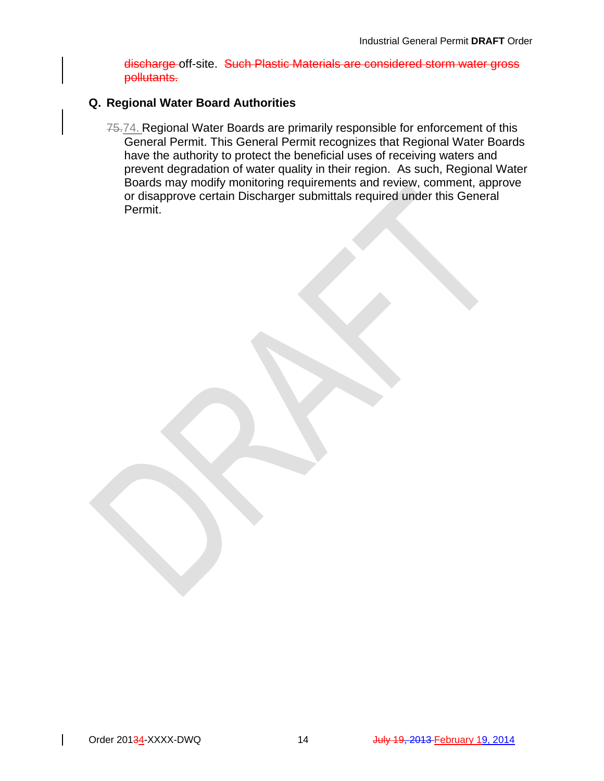discharge off-site. Such Plastic Materials are considered storm water gross pollutants.

#### **Q. Regional Water Board Authorities**

75.74. Regional Water Boards are primarily responsible for enforcement of this General Permit. This General Permit recognizes that Regional Water Boards have the authority to protect the beneficial uses of receiving waters and prevent degradation of water quality in their region. As such, Regional Water Boards may modify monitoring requirements and review, comment, approve or disapprove certain Discharger submittals required under this General Permit.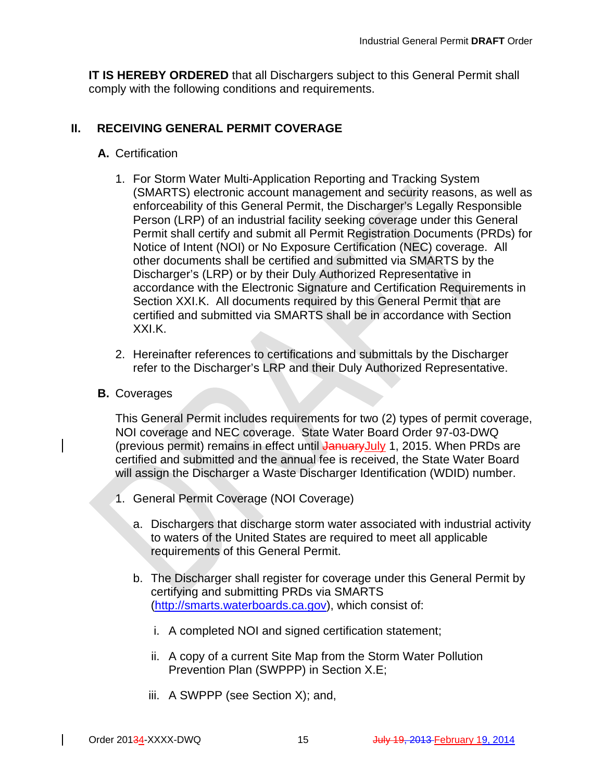**IT IS HEREBY ORDERED** that all Dischargers subject to this General Permit shall comply with the following conditions and requirements.

#### <span id="page-16-0"></span>**II. RECEIVING GENERAL PERMIT COVERAGE**

#### **A.** Certification

- 1. For Storm Water Multi-Application Reporting and Tracking System (SMARTS) electronic account management and security reasons, as well as enforceability of this General Permit, the Discharger's Legally Responsible Person (LRP) of an industrial facility seeking coverage under this General Permit shall certify and submit all Permit Registration Documents (PRDs) for Notice of Intent (NOI) or No Exposure Certification (NEC) coverage. All other documents shall be certified and submitted via SMARTS by the Discharger's (LRP) or by their Duly Authorized Representative in accordance with the Electronic Signature and Certification Requirements in Section XXI.K. All documents required by this General Permit that are certified and submitted via SMARTS shall be in accordance with Section XXI.K.
- 2. Hereinafter references to certifications and submittals by the Discharger refer to the Discharger's LRP and their Duly Authorized Representative.
- **B.** Coverages

This General Permit includes requirements for two (2) types of permit coverage, NOI coverage and NEC coverage. State Water Board Order 97-03-DWQ (previous permit) remains in effect until JanuaryJuly 1, 2015. When PRDs are certified and submitted and the annual fee is received, the State Water Board will assign the Discharger a Waste Discharger Identification (WDID) number.

- 1. General Permit Coverage (NOI Coverage)
	- a. Dischargers that discharge storm water associated with industrial activity to waters of the United States are required to meet all applicable requirements of this General Permit.
	- b. The Discharger shall register for coverage under this General Permit by certifying and submitting PRDs via SMARTS [\(http://smarts.waterboards.ca.gov\)](http://smarts.waterboards.ca.gov/), which consist of:
		- i. A completed NOI and signed certification statement;
		- ii. A copy of a current Site Map from the Storm Water Pollution Prevention Plan (SWPPP) in Section X.E;
		- iii. A SWPPP (see Section X); and,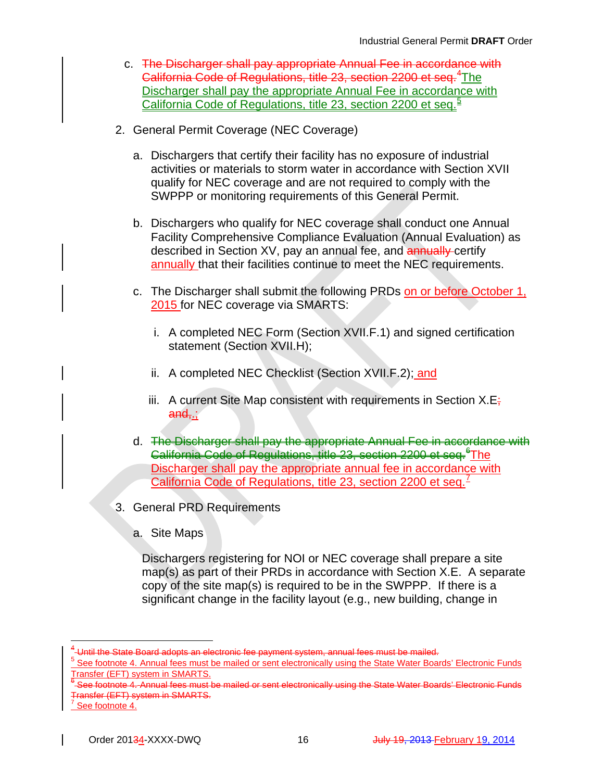- c. The Discharger shall pay appropriate Annual Fee in accordance with California Code of Regulations, title 23, section 2200 et seq.<sup>[4](#page-17-0)</sup>The Discharger shall pay the appropriate Annual Fee in accordance with California Code of Regulations, title 23, section 2200 et seg.<sup>[5](#page-17-1)</sup>
- 2. General Permit Coverage (NEC Coverage)
	- a. Dischargers that certify their facility has no exposure of industrial activities or materials to storm water in accordance with Section XVII qualify for NEC coverage and are not required to comply with the SWPPP or monitoring requirements of this General Permit.
	- b. Dischargers who qualify for NEC coverage shall conduct one Annual Facility Comprehensive Compliance Evaluation (Annual Evaluation) as described in Section XV, pay an annual fee, and **annually** certify annually that their facilities continue to meet the NEC requirements.
	- c. The Discharger shall submit the following PRDs on or before October 1, 2015 for NEC coverage via SMARTS:
		- i. A completed NEC Form (Section XVII.F.1) and signed certification statement (Section XVII.H);
		- ii. A completed NEC Checklist (Section XVII.F.2); and
		- iii. A current Site Map consistent with requirements in Section  $X.E_{\tau}$ and,.;
	- d. The Discharger shall pay the appropriate Annual Fee in accordance with California Code of Regulations, title 23, section 2200 et seq.<sup>[6](#page-17-2)</sup>The Discharger shall pay the appropriate annual fee in accordance with California Code of Regulations, title 23, section 2200 et seq.<sup>[7](#page-17-3)</sup>
- 3. General PRD Requirements
	- a. Site Maps

Dischargers registering for NOI or NEC coverage shall prepare a site map(s) as part of their PRDs in accordance with Section X.E. A separate copy of the site map(s) is required to be in the SWPPP. If there is a significant change in the facility layout (e.g., new building, change in

<span id="page-17-0"></span>adopts an electronic fee payment system, annual fees must be mailed.

<span id="page-17-1"></span> $5$  See footnote 4. Annual fees must be mailed or sent electronically using the State Water Boards' Electronic Funds<br>Transfer (EFT) system in SMARTS.

<span id="page-17-2"></span>ee footnote 4. Annual fees must be mailed or sent electronically using the State Water Boards' Electronic Funds Transfer (EFT) system in SMARTS.<br><sup>7</sup> See footnote 4.

<span id="page-17-3"></span>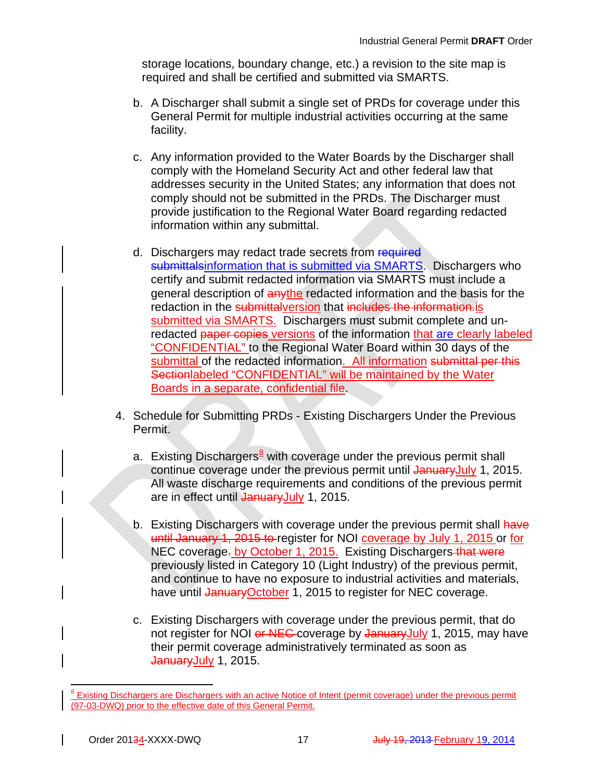storage locations, boundary change, etc.) a revision to the site map is required and shall be certified and submitted via SMARTS.

- b. A Discharger shall submit a single set of PRDs for coverage under this General Permit for multiple industrial activities occurring at the same facility.
- c. Any information provided to the Water Boards by the Discharger shall comply with the Homeland Security Act and other federal law that addresses security in the United States; any information that does not comply should not be submitted in the PRDs. The Discharger must provide justification to the Regional Water Board regarding redacted information within any submittal.
- d. Dischargers may redact trade secrets from required submittalsinformation that is submitted via SMARTS. Dischargers who certify and submit redacted information via SMARTS must include a general description of anythe redacted information and the basis for the redaction in the submittalversion that includes the information.is submitted via SMARTS. Dischargers must submit complete and unredacted paper copies versions of the information that are clearly labeled "CONFIDENTIAL" to the Regional Water Board within 30 days of the submittal of the redacted information. All information submittal per this Sectionlabeled "CONFIDENTIAL" will be maintained by the Water Boards in a separate, confidential file.
- 4. Schedule for Submitting PRDs Existing Dischargers Under the Previous Permit.
	- a. Existing Dischargers<sup>[8](#page-18-0)</sup> with coverage under the previous permit shall continue coverage under the previous permit until JanuaryJuly 1, 2015. All waste discharge requirements and conditions of the previous permit are in effect until JanuaryJuly 1, 2015.
	- b. Existing Dischargers with coverage under the previous permit shall have until January 1, 2015 to register for NOI coverage by July 1, 2015 or for NEC coverage. by October 1, 2015. Existing Dischargers that were previously listed in Category 10 (Light Industry) of the previous permit, and continue to have no exposure to industrial activities and materials, have until January October 1, 2015 to register for NEC coverage.
	- c. Existing Dischargers with coverage under the previous permit, that do not register for NOI or NEC coverage by JanuaryJuly 1, 2015, may have their permit coverage administratively terminated as soon as JanuaryJuly 1, 2015.

<span id="page-18-0"></span><sup>&</sup>lt;sup>8</sup> Existing Dischargers are Dischargers with an active Notice of Intent (permit coverage) under the previous permit (97-03-DWQ) prior to the effective date of this General Permit.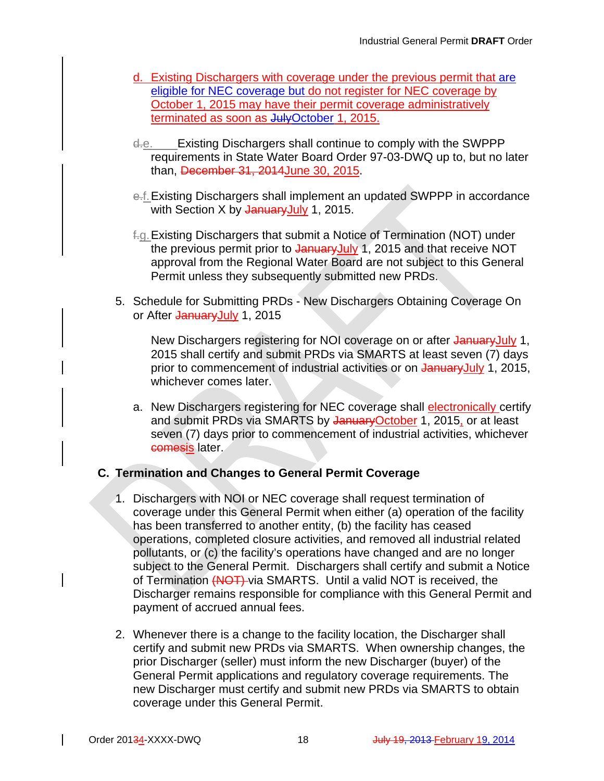- d. Existing Dischargers with coverage under the previous permit that are eligible for NEC coverage but do not register for NEC coverage by October 1, 2015 may have their permit coverage administratively terminated as soon as JulyOctober 1, 2015.
- d.e. Existing Dischargers shall continue to comply with the SWPPP requirements in State Water Board Order 97-03-DWQ up to, but no later than, December 31, 2014June 30, 2015.
- e.f.Existing Dischargers shall implement an updated SWPPP in accordance with Section X by JanuaryJuly 1, 2015.
- f.g.Existing Dischargers that submit a Notice of Termination (NOT) under the previous permit prior to JanuaryJuly 1, 2015 and that receive NOT approval from the Regional Water Board are not subject to this General Permit unless they subsequently submitted new PRDs.
- 5. Schedule for Submitting PRDs New Dischargers Obtaining Coverage On or After JanuaryJuly 1, 2015

New Dischargers registering for NOI coverage on or after January July 1, 2015 shall certify and submit PRDs via SMARTS at least seven (7) days prior to commencement of industrial activities or on JanuaryJuly 1, 2015, whichever comes later.

a. New Dischargers registering for NEC coverage shall electronically certify and submit PRDs via SMARTS by January October 1, 2015, or at least seven (7) days prior to commencement of industrial activities, whichever comesis later.

### **C. Termination and Changes to General Permit Coverage**

- 1. Dischargers with NOI or NEC coverage shall request termination of coverage under this General Permit when either (a) operation of the facility has been transferred to another entity, (b) the facility has ceased operations, completed closure activities, and removed all industrial related pollutants, or (c) the facility's operations have changed and are no longer subject to the General Permit. Dischargers shall certify and submit a Notice of Termination (NOT) via SMARTS. Until a valid NOT is received, the Discharger remains responsible for compliance with this General Permit and payment of accrued annual fees.
- 2. Whenever there is a change to the facility location, the Discharger shall certify and submit new PRDs via SMARTS. When ownership changes, the prior Discharger (seller) must inform the new Discharger (buyer) of the General Permit applications and regulatory coverage requirements. The new Discharger must certify and submit new PRDs via SMARTS to obtain coverage under this General Permit.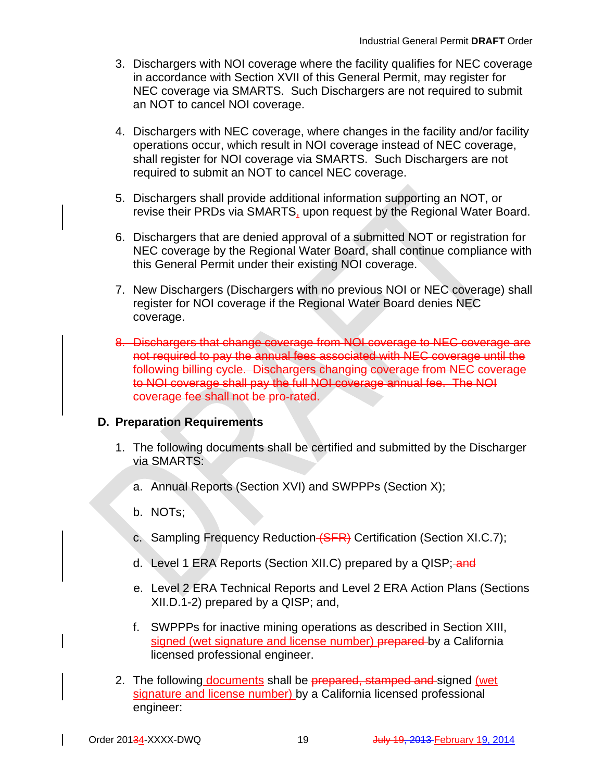- 3. Dischargers with NOI coverage where the facility qualifies for NEC coverage in accordance with Section XVII of this General Permit, may register for NEC coverage via SMARTS. Such Dischargers are not required to submit an NOT to cancel NOI coverage.
- 4. Dischargers with NEC coverage, where changes in the facility and/or facility operations occur, which result in NOI coverage instead of NEC coverage, shall register for NOI coverage via SMARTS. Such Dischargers are not required to submit an NOT to cancel NEC coverage.
- 5. Dischargers shall provide additional information supporting an NOT, or revise their PRDs via SMARTS, upon request by the Regional Water Board.
- 6. Dischargers that are denied approval of a submitted NOT or registration for NEC coverage by the Regional Water Board, shall continue compliance with this General Permit under their existing NOI coverage.
- 7. New Dischargers (Dischargers with no previous NOI or NEC coverage) shall register for NOI coverage if the Regional Water Board denies NEC coverage.
- 8. Dischargers that change coverage from NOI coverage to NEC coverage are not required to pay the annual fees associated with NEC coverage until the following billing cycle. Dischargers changing coverage from NEC coverage to NOI coverage shall pay the full NOI coverage annual fee. The NOI coverage fee shall not be pro-rated.

#### **D. Preparation Requirements**

- 1. The following documents shall be certified and submitted by the Discharger via SMARTS:
	- a. Annual Reports (Section XVI) and SWPPPs (Section X);
	- b. NOTs;
	- c. Sampling Frequency Reduction (SFR) Certification (Section XI.C.7);
	- d. Level 1 ERA Reports (Section XII.C) prepared by a QISP; and
	- e. Level 2 ERA Technical Reports and Level 2 ERA Action Plans (Sections XII.D.1-2) prepared by a QISP; and,
	- f. SWPPPs for inactive mining operations as described in Section XIII, signed (wet signature and license number) prepared by a California licensed professional engineer.
- 2. The following documents shall be prepared, stamped and signed (wet signature and license number) by a California licensed professional engineer: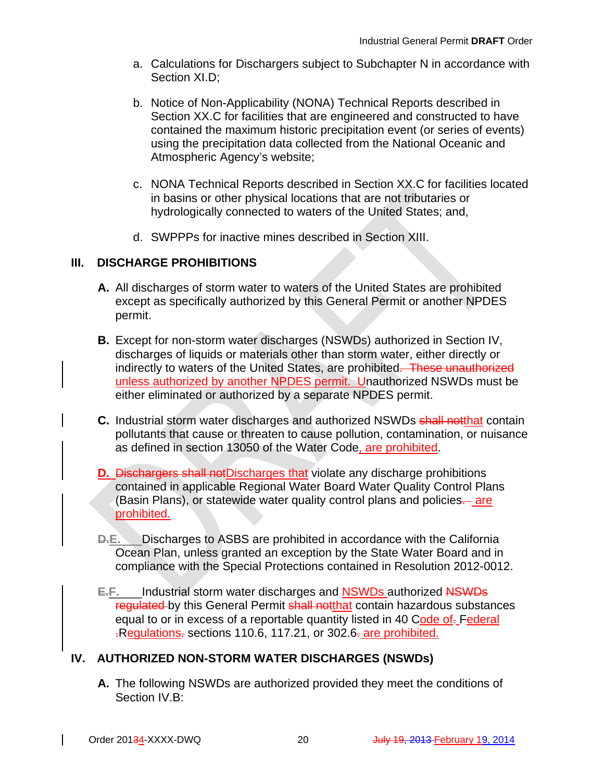- a. Calculations for Dischargers subject to Subchapter N in accordance with Section XI.D;
- b. Notice of Non-Applicability (NONA) Technical Reports described in Section XX.C for facilities that are engineered and constructed to have contained the maximum historic precipitation event (or series of events) using the precipitation data collected from the National Oceanic and Atmospheric Agency's website;
- c. NONA Technical Reports described in Section XX.C for facilities located in basins or other physical locations that are not tributaries or hydrologically connected to waters of the United States; and,
- d. SWPPPs for inactive mines described in Section XIII.

### <span id="page-21-0"></span>**III. DISCHARGE PROHIBITIONS**

- **A.** All discharges of storm water to waters of the United States are prohibited except as specifically authorized by this General Permit or another NPDES permit.
- **B.** Except for non-storm water discharges (NSWDs) authorized in Section IV, discharges of liquids or materials other than storm water, either directly or indirectly to waters of the United States, are prohibited. These unauthorized unless authorized by another NPDES permit. Unauthorized NSWDs must be either eliminated or authorized by a separate NPDES permit.
- **C.** Industrial storm water discharges and authorized NSWDs shall notthat contain pollutants that cause or threaten to cause pollution, contamination, or nuisance as defined in section 13050 of the Water Code, are prohibited.
- **D.** Dischargers shall not Discharges that violate any discharge prohibitions contained in applicable Regional Water Board Water Quality Control Plans (Basin Plans), or statewide water quality control plans and policies—are prohibited.
- **D.E.** Discharges to ASBS are prohibited in accordance with the California Ocean Plan, unless granted an exception by the State Water Board and in compliance with the Special Protections contained in Resolution 2012-0012.
- **E.F.** Industrial storm water discharges and NSWDs authorized NSWDs regulated by this General Permit shall notthat contain hazardous substances equal to or in excess of a reportable quantity listed in 40 Code of. Federal .Regulations. sections 110.6, 117.21, or 302.6. are prohibited.

# <span id="page-21-1"></span>**IV. AUTHORIZED NON-STORM WATER DISCHARGES (NSWDs)**

**A.** The following NSWDs are authorized provided they meet the conditions of Section IV.B: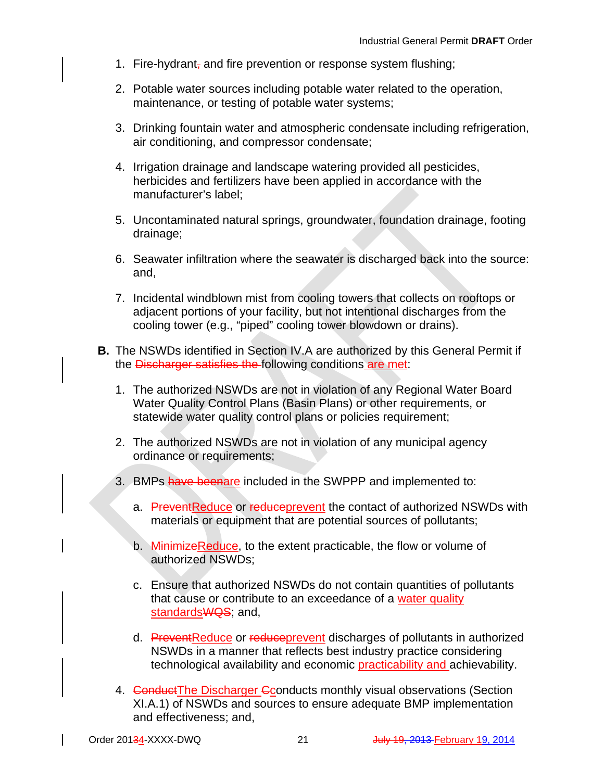- 1. Fire-hydrant, and fire prevention or response system flushing;
- 2. Potable water sources including potable water related to the operation, maintenance, or testing of potable water systems;
- 3. Drinking fountain water and atmospheric condensate including refrigeration, air conditioning, and compressor condensate;
- 4. Irrigation drainage and landscape watering provided all pesticides, herbicides and fertilizers have been applied in accordance with the manufacturer's label;
- 5. Uncontaminated natural springs, groundwater, foundation drainage, footing drainage;
- 6. Seawater infiltration where the seawater is discharged back into the source: and,
- 7. Incidental windblown mist from cooling towers that collects on rooftops or adjacent portions of your facility, but not intentional discharges from the cooling tower (e.g., "piped" cooling tower blowdown or drains).
- **B.** The NSWDs identified in Section IV.A are authorized by this General Permit if the **Discharger satisfies the following conditions are met:** 
	- 1. The authorized NSWDs are not in violation of any Regional Water Board Water Quality Control Plans (Basin Plans) or other requirements, or statewide water quality control plans or policies requirement;
	- 2. The authorized NSWDs are not in violation of any municipal agency ordinance or requirements;
	- 3. BMPs have beenare included in the SWPPP and implemented to:
		- a. PreventReduce or reduceprevent the contact of authorized NSWDs with materials or equipment that are potential sources of pollutants;
		- b. MinimizeReduce, to the extent practicable, the flow or volume of authorized NSWDs;
		- c. Ensure that authorized NSWDs do not contain quantities of pollutants that cause or contribute to an exceedance of a water quality standardsWQS; and,
		- d. Prevent Reduce or reduce prevent discharges of pollutants in authorized NSWDs in a manner that reflects best industry practice considering technological availability and economic practicability and achievability.
	- 4. Conduct The Discharger Cconducts monthly visual observations (Section XI.A.1) of NSWDs and sources to ensure adequate BMP implementation and effectiveness; and,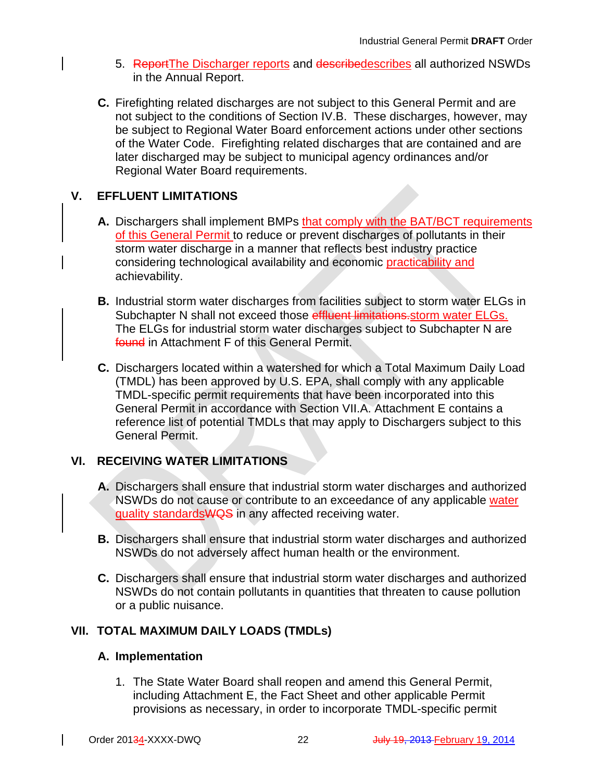- 5. Report The Discharger reports and describedescribes all authorized NSWDs in the Annual Report.
- **C.** Firefighting related discharges are not subject to this General Permit and are not subject to the conditions of Section IV.B. These discharges, however, may be subject to Regional Water Board enforcement actions under other sections of the Water Code. Firefighting related discharges that are contained and are later discharged may be subject to municipal agency ordinances and/or Regional Water Board requirements.

### <span id="page-23-0"></span>**V. EFFLUENT LIMITATIONS**

- **A.** Dischargers shall implement BMPs that comply with the BAT/BCT requirements of this General Permit to reduce or prevent discharges of pollutants in their storm water discharge in a manner that reflects best industry practice considering technological availability and economic practicability and achievability.
- **B.** Industrial storm water discharges from facilities subject to storm water ELGs in Subchapter N shall not exceed those effluent limitations storm water ELGs. The ELGs for industrial storm water discharges subject to Subchapter N are found in Attachment F of this General Permit.
- **C.** Dischargers located within a watershed for which a Total Maximum Daily Load (TMDL) has been approved by U.S. EPA, shall comply with any applicable TMDL-specific permit requirements that have been incorporated into this General Permit in accordance with Section VII.A. Attachment E contains a reference list of potential TMDLs that may apply to Dischargers subject to this General Permit.

#### <span id="page-23-1"></span>**VI. RECEIVING WATER LIMITATIONS**

- **A.** Dischargers shall ensure that industrial storm water discharges and authorized NSWDs do not cause or contribute to an exceedance of any applicable water quality standards WQS in any affected receiving water.
- **B.** Dischargers shall ensure that industrial storm water discharges and authorized NSWDs do not adversely affect human health or the environment.
- **C.** Dischargers shall ensure that industrial storm water discharges and authorized NSWDs do not contain pollutants in quantities that threaten to cause pollution or a public nuisance.

### <span id="page-23-2"></span>**VII. TOTAL MAXIMUM DAILY LOADS (TMDLs)**

#### **A. Implementation**

1. The State Water Board shall reopen and amend this General Permit, including Attachment E, the Fact Sheet and other applicable Permit provisions as necessary, in order to incorporate TMDL-specific permit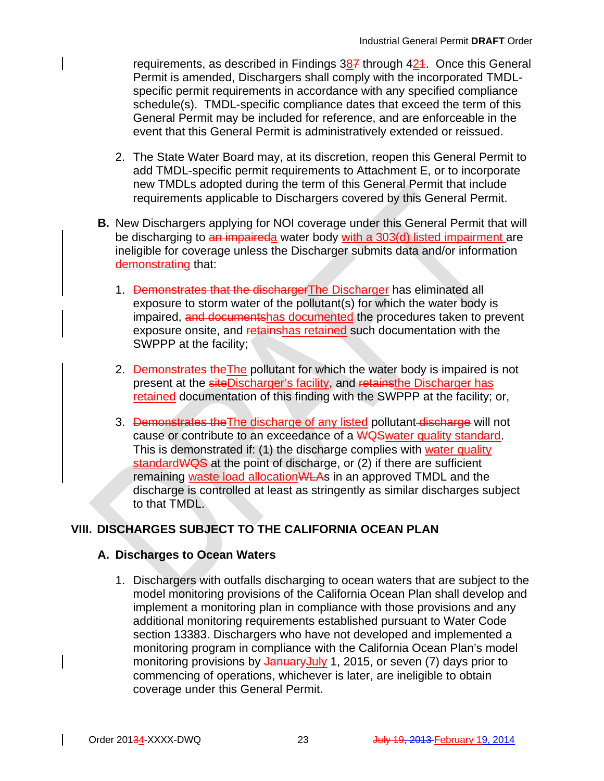requirements, as described in Findings 387 through 421. Once this General Permit is amended, Dischargers shall comply with the incorporated TMDLspecific permit requirements in accordance with any specified compliance schedule(s). TMDL-specific compliance dates that exceed the term of this General Permit may be included for reference, and are enforceable in the event that this General Permit is administratively extended or reissued.

- 2. The State Water Board may, at its discretion, reopen this General Permit to add TMDL-specific permit requirements to Attachment E, or to incorporate new TMDLs adopted during the term of this General Permit that include requirements applicable to Dischargers covered by this General Permit.
- **B.** New Dischargers applying for NOI coverage under this General Permit that will be discharging to an impaireda water body with a 303(d) listed impairment are ineligible for coverage unless the Discharger submits data and/or information demonstrating that:
	- 1. Demonstrates that the discharger The Discharger has eliminated all exposure to storm water of the pollutant(s) for which the water body is impaired, and documentshas documented the procedures taken to prevent exposure onsite, and retainshas retained such documentation with the SWPPP at the facility;
	- 2. Demonstrates the The pollutant for which the water body is impaired is not present at the siteDischarger's facility, and retainsthe Discharger has retained documentation of this finding with the SWPPP at the facility; or,
	- 3. Demonstrates the The discharge of any listed pollutant discharge will not cause or contribute to an exceedance of a WQSwater quality standard. This is demonstrated if: (1) the discharge complies with water quality standard WQS at the point of discharge, or (2) if there are sufficient remaining waste load allocationWLAs in an approved TMDL and the discharge is controlled at least as stringently as similar discharges subject to that TMDL.

# <span id="page-24-0"></span>**VIII. DISCHARGES SUBJECT TO THE CALIFORNIA OCEAN PLAN**

### **A. Discharges to Ocean Waters**

1. Dischargers with outfalls discharging to ocean waters that are subject to the model monitoring provisions of the California Ocean Plan shall develop and implement a monitoring plan in compliance with those provisions and any additional monitoring requirements established pursuant to Water Code section 13383. Dischargers who have not developed and implemented a monitoring program in compliance with the California Ocean Plan's model monitoring provisions by JanuaryJuly 1, 2015, or seven (7) days prior to commencing of operations, whichever is later, are ineligible to obtain coverage under this General Permit.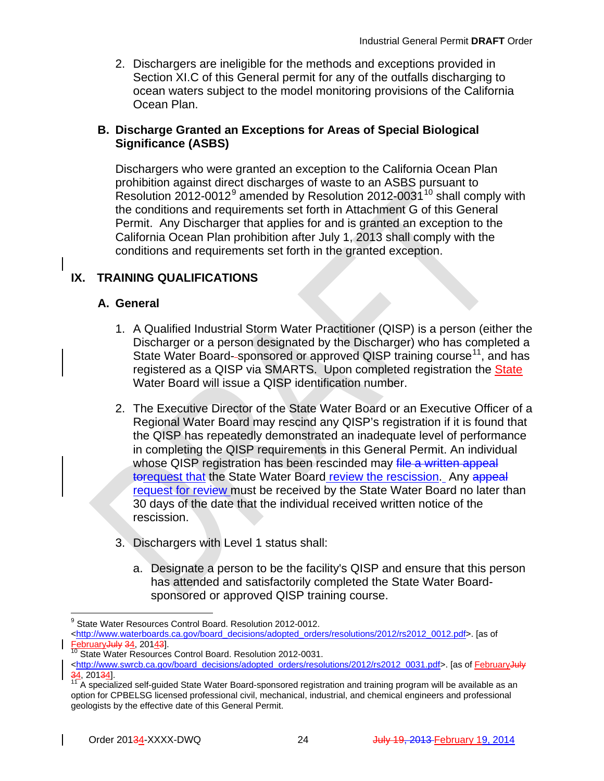2. Dischargers are ineligible for the methods and exceptions provided in Section XI.C of this General permit for any of the outfalls discharging to ocean waters subject to the model monitoring provisions of the California Ocean Plan.

## **B. Discharge Granted an Exceptions for Areas of Special Biological Significance (ASBS)**

Dischargers who were granted an exception to the California Ocean Plan prohibition against direct discharges of waste to an ASBS pursuant to Resolution  $2012$ -0012<sup>[9](#page-25-1)</sup> amended by Resolution 2012-0031<sup>[10](#page-25-2)</sup> shall comply with the conditions and requirements set forth in Attachment G of this General Permit. Any Discharger that applies for and is granted an exception to the California Ocean Plan prohibition after July 1, 2013 shall comply with the conditions and requirements set forth in the granted exception.

# <span id="page-25-0"></span>**IX. TRAINING QUALIFICATIONS**

## **A. General**

- 1. A Qualified Industrial Storm Water Practitioner (QISP) is a person (either the Discharger or a person designated by the Discharger) who has completed a State Water Board--sponsored or approved QISP training course<sup>11</sup>, and has registered as a QISP via SMARTS. Upon completed registration the State Water Board will issue a QISP identification number.
- 2. The Executive Director of the State Water Board or an Executive Officer of a Regional Water Board may rescind any QISP's registration if it is found that the QISP has repeatedly demonstrated an inadequate level of performance in completing the QISP requirements in this General Permit. An individual whose QISP registration has been rescinded may file a written appeal torequest that the State Water Board review the rescission. Any appeal request for review must be received by the State Water Board no later than 30 days of the date that the individual received written notice of the rescission.
- 3. Dischargers with Level 1 status shall:
	- a. Designate a person to be the facility's QISP and ensure that this person has attended and satisfactorily completed the State Water Boardsponsored or approved QISP training course.

<span id="page-25-1"></span><sup>&</sup>lt;sup>9</sup> State Water Resources Control Board. Resolution 2012-0012.

[<sup>&</sup>lt;http://www.waterboards.ca.gov/board\\_decisions/adopted\\_orders/resolutions/2012/rs2012\\_0012.pdf>](http://www.waterboards.ca.gov/board_decisions/adopted_orders/resolutions/2012/rs2012_0012.pdf). [as of<br>February<del>July 34</del>, 20143].

 $\frac{F_{\text{Eulual}}}{10}$  State Water Resources Control Board. Resolution 2012-0031.

<span id="page-25-2"></span>[<sup>&</sup>lt;http://www.swrcb.ca.gov/board\\_decisions/adopted\\_orders/resolutions/2012/rs2012\\_0031.pdf>](http://www.swrcb.ca.gov/board_decisions/adopted_orders/resolutions/2012/rs2012_0031.pdf). [as of FebruaryJuly 34, 20134].<br>34, 20134].<br><sup>15</sup> A specialized self-guided State Water Board-spensored registration and training pr

<span id="page-25-3"></span>A specialized self-guided State Water Board-sponsored registration and training program will be available as an option for CPBELSG licensed professional civil, mechanical, industrial, and chemical engineers and professional geologists by the effective date of this General Permit.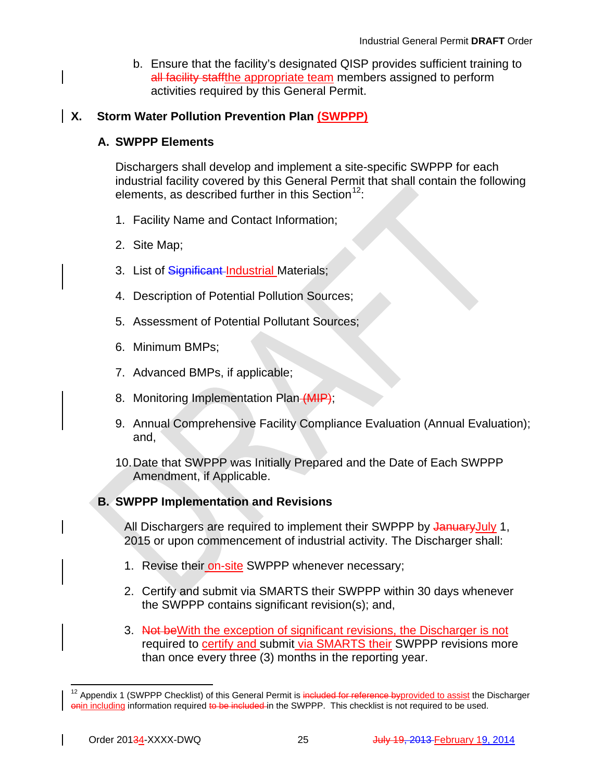b. Ensure that the facility's designated QISP provides sufficient training to all facility staffthe appropriate team members assigned to perform activities required by this General Permit.

## <span id="page-26-0"></span>**X. Storm Water Pollution Prevention Plan (SWPPP)**

#### **A. SWPPP Elements**

Dischargers shall develop and implement a site-specific SWPPP for each industrial facility covered by this General Permit that shall contain the following elements, as described further in this Section<sup>12</sup>:

- 1. Facility Name and Contact Information;
- 2. Site Map;
- 3. List of *Significant-Industrial Materials*;
- 4. Description of Potential Pollution Sources;
- 5. Assessment of Potential Pollutant Sources;
- 6. Minimum BMPs;
- 7. Advanced BMPs, if applicable;
- 8. Monitoring Implementation Plan (MIP);
- 9. Annual Comprehensive Facility Compliance Evaluation (Annual Evaluation); and,
- 10.Date that SWPPP was Initially Prepared and the Date of Each SWPPP Amendment, if Applicable.

### **B. SWPPP Implementation and Revisions**

All Dischargers are required to implement their SWPPP by JanuaryJuly 1, 2015 or upon commencement of industrial activity. The Discharger shall:

- 1. Revise their on-site SWPPP whenever necessary;
- 2. Certify and submit via SMARTS their SWPPP within 30 days whenever the SWPPP contains significant revision(s); and,
- 3. Not be With the exception of significant revisions, the Discharger is not required to certify and submit via SMARTS their SWPPP revisions more than once every three (3) months in the reporting year.

<span id="page-26-1"></span><sup>&</sup>lt;sup>12</sup> Appendix 1 (SWPPP Checklist) of this General Permit is included for reference by provided to assist the Discharger onin including information required to be included in the SWPPP. This checklist is not required to be used.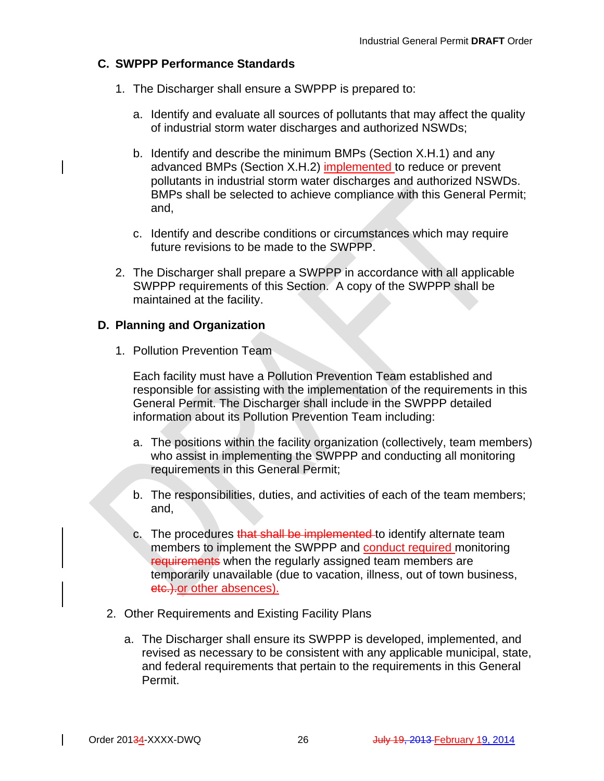#### **C. SWPPP Performance Standards**

- 1. The Discharger shall ensure a SWPPP is prepared to:
	- a. Identify and evaluate all sources of pollutants that may affect the quality of industrial storm water discharges and authorized NSWDs;
	- b. Identify and describe the minimum BMPs (Section X.H.1) and any advanced BMPs (Section X.H.2) implemented to reduce or prevent pollutants in industrial storm water discharges and authorized NSWDs. BMPs shall be selected to achieve compliance with this General Permit; and,
	- c. Identify and describe conditions or circumstances which may require future revisions to be made to the SWPPP.
- 2. The Discharger shall prepare a SWPPP in accordance with all applicable SWPPP requirements of this Section. A copy of the SWPPP shall be maintained at the facility.

#### **D. Planning and Organization**

1. Pollution Prevention Team

Each facility must have a Pollution Prevention Team established and responsible for assisting with the implementation of the requirements in this General Permit. The Discharger shall include in the SWPPP detailed information about its Pollution Prevention Team including:

- a. The positions within the facility organization (collectively, team members) who assist in implementing the SWPPP and conducting all monitoring requirements in this General Permit;
- b. The responsibilities, duties, and activities of each of the team members; and,
- c. The procedures that shall be implemented to identify alternate team members to implement the SWPPP and conduct required monitoring requirements when the regularly assigned team members are temporarily unavailable (due to vacation, illness, out of town business, etc.).or other absences).
- 2. Other Requirements and Existing Facility Plans
	- a. The Discharger shall ensure its SWPPP is developed, implemented, and revised as necessary to be consistent with any applicable municipal, state, and federal requirements that pertain to the requirements in this General Permit.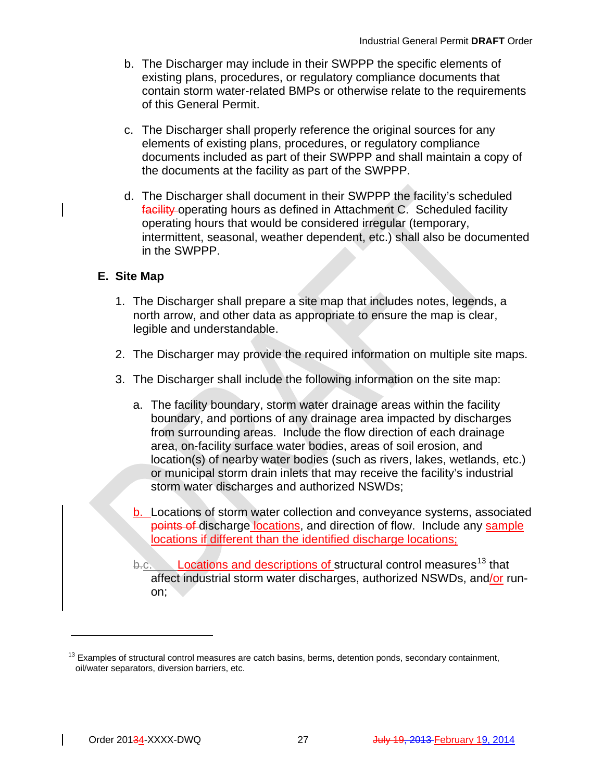- b. The Discharger may include in their SWPPP the specific elements of existing plans, procedures, or regulatory compliance documents that contain storm water-related BMPs or otherwise relate to the requirements of this General Permit.
- c. The Discharger shall properly reference the original sources for any elements of existing plans, procedures, or regulatory compliance documents included as part of their SWPPP and shall maintain a copy of the documents at the facility as part of the SWPPP.
- d. The Discharger shall document in their SWPPP the facility's scheduled facility operating hours as defined in Attachment C. Scheduled facility operating hours that would be considered irregular (temporary, intermittent, seasonal, weather dependent, etc.) shall also be documented in the SWPPP.

### **E. Site Map**

- 1. The Discharger shall prepare a site map that includes notes, legends, a north arrow, and other data as appropriate to ensure the map is clear, legible and understandable.
- 2. The Discharger may provide the required information on multiple site maps.
- 3. The Discharger shall include the following information on the site map:
	- a. The facility boundary, storm water drainage areas within the facility boundary, and portions of any drainage area impacted by discharges from surrounding areas. Include the flow direction of each drainage area, on-facility surface water bodies, areas of soil erosion, and location(s) of nearby water bodies (such as rivers, lakes, wetlands, etc.) or municipal storm drain inlets that may receive the facility's industrial storm water discharges and authorized NSWDs;
	- b. Locations of storm water collection and conveyance systems, associated points of discharge locations, and direction of flow. Include any sample locations if different than the identified discharge locations;
	- $b-c.$  Locations and descriptions of structural control measures<sup>[13](#page-28-0)</sup> that affect industrial storm water discharges, authorized NSWDs, and/or runon;

 $\overline{a}$ 

<span id="page-28-0"></span> $13$  Examples of structural control measures are catch basins, berms, detention ponds, secondary containment, oil/water separators, diversion barriers, etc.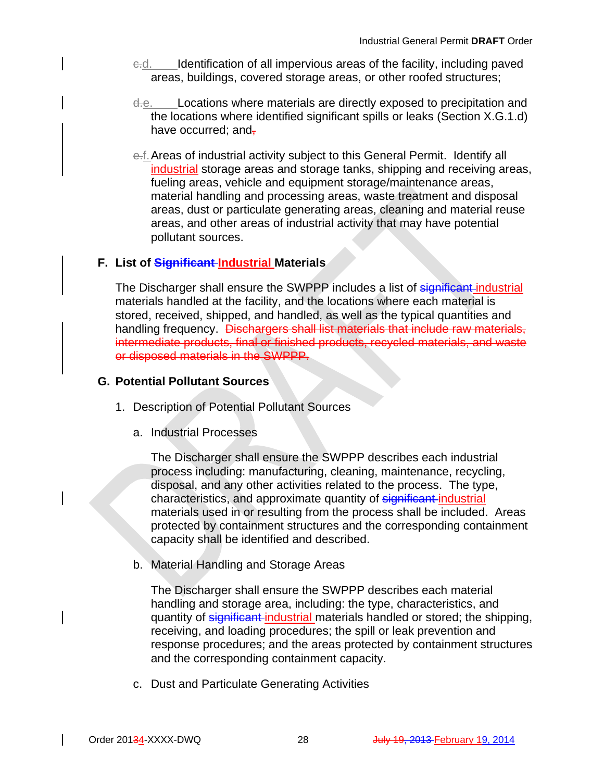- c.d. Identification of all impervious areas of the facility, including paved areas, buildings, covered storage areas, or other roofed structures;
- d.e. Locations where materials are directly exposed to precipitation and the locations where identified significant spills or leaks (Section X.G.1.d) have occurred; and-
- e.f.Areas of industrial activity subject to this General Permit. Identify all industrial storage areas and storage tanks, shipping and receiving areas, fueling areas, vehicle and equipment storage/maintenance areas, material handling and processing areas, waste treatment and disposal areas, dust or particulate generating areas, cleaning and material reuse areas, and other areas of industrial activity that may have potential pollutant sources.

### **F. List of Significant Industrial Materials**

The Discharger shall ensure the SWPPP includes a list of significant industrial materials handled at the facility, and the locations where each material is stored, received, shipped, and handled, as well as the typical quantities and handling frequency. Dischargers shall list materials that include raw materials, intermediate products, final or finished products, recycled materials, and waste or disposed materials in the SWPPP.

#### **G. Potential Pollutant Sources**

- 1. Description of Potential Pollutant Sources
	- a. Industrial Processes

The Discharger shall ensure the SWPPP describes each industrial process including: manufacturing, cleaning, maintenance, recycling, disposal, and any other activities related to the process. The type, characteristics, and approximate quantity of significant industrial materials used in or resulting from the process shall be included. Areas protected by containment structures and the corresponding containment capacity shall be identified and described.

b. Material Handling and Storage Areas

The Discharger shall ensure the SWPPP describes each material handling and storage area, including: the type, characteristics, and quantity of significant-industrial materials handled or stored; the shipping, receiving, and loading procedures; the spill or leak prevention and response procedures; and the areas protected by containment structures and the corresponding containment capacity.

c. Dust and Particulate Generating Activities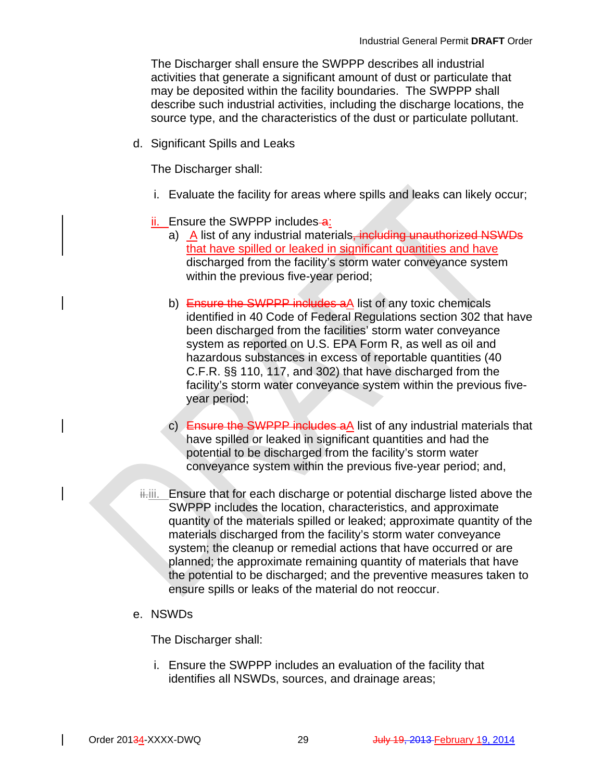The Discharger shall ensure the SWPPP describes all industrial activities that generate a significant amount of dust or particulate that may be deposited within the facility boundaries. The SWPPP shall describe such industrial activities, including the discharge locations, the source type, and the characteristics of the dust or particulate pollutant.

d. Significant Spills and Leaks

The Discharger shall:

- i. Evaluate the facility for areas where spills and leaks can likely occur;
- ii. Ensure the SWPPP includes-a:
	- a) A list of any industrial materials, including unauthorized NSWDs that have spilled or leaked in significant quantities and have discharged from the facility's storm water conveyance system within the previous five-year period;
	- b) Ensure the SWPPP includes aA list of any toxic chemicals identified in 40 Code of Federal Regulations section 302 that have been discharged from the facilities' storm water conveyance system as reported on U.S. EPA Form R, as well as oil and hazardous substances in excess of reportable quantities (40 C.F.R. §§ 110, 117, and 302) that have discharged from the facility's storm water conveyance system within the previous fiveyear period;
	- c) Ensure the SWPPP includes  $aA$  list of any industrial materials that have spilled or leaked in significant quantities and had the potential to be discharged from the facility's storm water conveyance system within the previous five-year period; and,
- i.iii. Ensure that for each discharge or potential discharge listed above the SWPPP includes the location, characteristics, and approximate quantity of the materials spilled or leaked; approximate quantity of the materials discharged from the facility's storm water conveyance system; the cleanup or remedial actions that have occurred or are planned; the approximate remaining quantity of materials that have the potential to be discharged; and the preventive measures taken to ensure spills or leaks of the material do not reoccur.
- e. NSWDs

The Discharger shall:

i. Ensure the SWPPP includes an evaluation of the facility that identifies all NSWDs, sources, and drainage areas;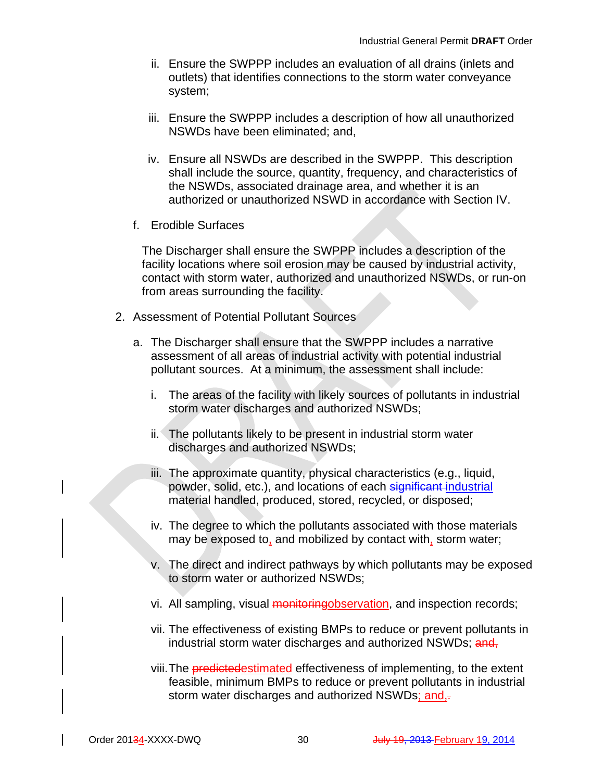- ii. Ensure the SWPPP includes an evaluation of all drains (inlets and outlets) that identifies connections to the storm water conveyance system;
- iii. Ensure the SWPPP includes a description of how all unauthorized NSWDs have been eliminated; and,
- iv. Ensure all NSWDs are described in the SWPPP. This description shall include the source, quantity, frequency, and characteristics of the NSWDs, associated drainage area, and whether it is an authorized or unauthorized NSWD in accordance with Section IV.
- f. Erodible Surfaces

The Discharger shall ensure the SWPPP includes a description of the facility locations where soil erosion may be caused by industrial activity, contact with storm water, authorized and unauthorized NSWDs, or run-on from areas surrounding the facility.

- 2. Assessment of Potential Pollutant Sources
	- a. The Discharger shall ensure that the SWPPP includes a narrative assessment of all areas of industrial activity with potential industrial pollutant sources. At a minimum, the assessment shall include:
		- i. The areas of the facility with likely sources of pollutants in industrial storm water discharges and authorized NSWDs;
		- ii. The pollutants likely to be present in industrial storm water discharges and authorized NSWDs;
		- iii. The approximate quantity, physical characteristics (e.g., liquid, powder, solid, etc.), and locations of each significant industrial material handled, produced, stored, recycled, or disposed;
		- iv. The degree to which the pollutants associated with those materials may be exposed to, and mobilized by contact with, storm water;
		- v. The direct and indirect pathways by which pollutants may be exposed to storm water or authorized NSWDs;
		- vi. All sampling, visual monitoring observation, and inspection records;
		- vii. The effectiveness of existing BMPs to reduce or prevent pollutants in industrial storm water discharges and authorized NSWDs; and,
		- viii.The predictedestimated effectiveness of implementing, to the extent feasible, minimum BMPs to reduce or prevent pollutants in industrial storm water discharges and authorized NSWDs; and,-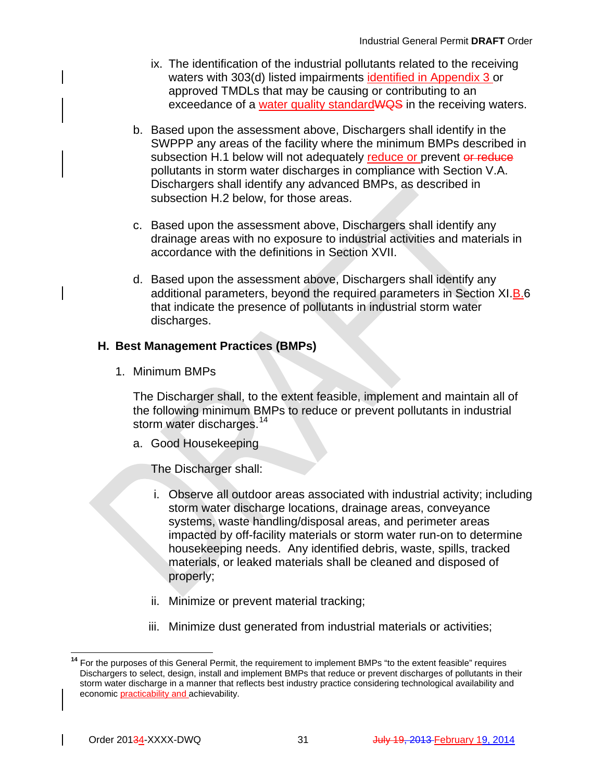- ix. The identification of the industrial pollutants related to the receiving waters with 303(d) listed impairments identified in Appendix 3 or approved TMDLs that may be causing or contributing to an exceedance of a water quality standard WQS in the receiving waters.
- b. Based upon the assessment above, Dischargers shall identify in the SWPPP any areas of the facility where the minimum BMPs described in subsection H.1 below will not adequately reduce or prevent or reduce pollutants in storm water discharges in compliance with Section V.A. Dischargers shall identify any advanced BMPs, as described in subsection H.2 below, for those areas.
- c. Based upon the assessment above, Dischargers shall identify any drainage areas with no exposure to industrial activities and materials in accordance with the definitions in Section XVII.
- d. Based upon the assessment above, Dischargers shall identify any additional parameters, beyond the required parameters in Section XI.B.6 that indicate the presence of pollutants in industrial storm water discharges.

#### **H. Best Management Practices (BMPs)**

1. Minimum BMPs

The Discharger shall, to the extent feasible, implement and maintain all of the following minimum BMPs to reduce or prevent pollutants in industrial storm water discharges.<sup>[14](#page-32-0)</sup>

a. Good Housekeeping

The Discharger shall:

- i. Observe all outdoor areas associated with industrial activity; including storm water discharge locations, drainage areas, conveyance systems, waste handling/disposal areas, and perimeter areas impacted by off-facility materials or storm water run-on to determine housekeeping needs. Any identified debris, waste, spills, tracked materials, or leaked materials shall be cleaned and disposed of properly;
- ii. Minimize or prevent material tracking;
- iii. Minimize dust generated from industrial materials or activities;

<span id="page-32-0"></span>**<sup>14</sup>** For the purposes of this General Permit, the requirement to implement BMPs "to the extent feasible" requires Dischargers to select, design, install and implement BMPs that reduce or prevent discharges of pollutants in their storm water discharge in a manner that reflects best industry practice considering technological availability and economic practicability and achievability.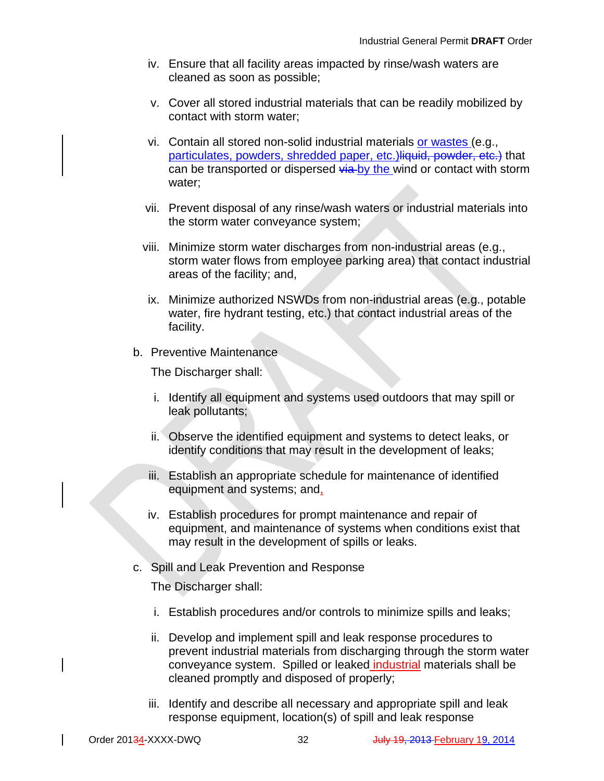- iv. Ensure that all facility areas impacted by rinse/wash waters are cleaned as soon as possible;
- v. Cover all stored industrial materials that can be readily mobilized by contact with storm water;
- vi. Contain all stored non-solid industrial materials or wastes (e.g., particulates, powders, shredded paper, etc.) liquid, powder, etc.) that can be transported or dispersed via by the wind or contact with storm water;
- vii. Prevent disposal of any rinse/wash waters or industrial materials into the storm water conveyance system;
- viii. Minimize storm water discharges from non-industrial areas (e.g., storm water flows from employee parking area) that contact industrial areas of the facility; and,
- ix. Minimize authorized NSWDs from non-industrial areas (e.g., potable water, fire hydrant testing, etc.) that contact industrial areas of the facility.
- b. Preventive Maintenance

The Discharger shall:

- i. Identify all equipment and systems used outdoors that may spill or leak pollutants;
- ii. Observe the identified equipment and systems to detect leaks, or identify conditions that may result in the development of leaks;
- iii. Establish an appropriate schedule for maintenance of identified equipment and systems; and,
- iv. Establish procedures for prompt maintenance and repair of equipment, and maintenance of systems when conditions exist that may result in the development of spills or leaks.
- c. Spill and Leak Prevention and Response

The Discharger shall:

- i. Establish procedures and/or controls to minimize spills and leaks;
- ii. Develop and implement spill and leak response procedures to prevent industrial materials from discharging through the storm water conveyance system. Spilled or leaked industrial materials shall be cleaned promptly and disposed of properly;
- iii. Identify and describe all necessary and appropriate spill and leak response equipment, location(s) of spill and leak response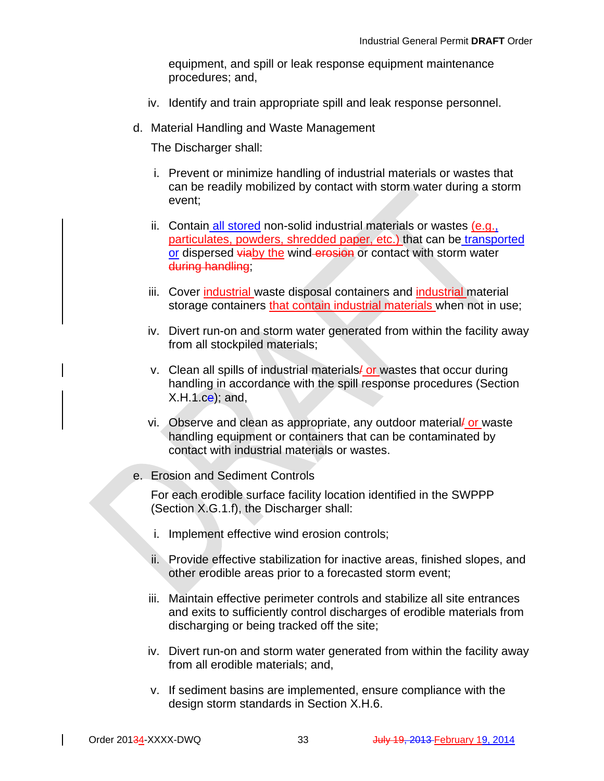equipment, and spill or leak response equipment maintenance procedures; and,

- iv. Identify and train appropriate spill and leak response personnel.
- d. Material Handling and Waste Management

The Discharger shall:

- i. Prevent or minimize handling of industrial materials or wastes that can be readily mobilized by contact with storm water during a storm event;
- ii. Contain all stored non-solid industrial materials or wastes (e.g., particulates, powders, shredded paper, etc.) that can be transported or dispersed viaby the wind-erosion or contact with storm water during handling;
- iii. Cover industrial waste disposal containers and industrial material storage containers that contain industrial materials when not in use;
- iv. Divert run-on and storm water generated from within the facility away from all stockpiled materials;
- v. Clean all spills of industrial materials/ or wastes that occur during handling in accordance with the spill response procedures (Section  $X.H.1.c<sub>e</sub>$ ; and,
- vi. Observe and clean as appropriate, any outdoor material/ or waste handling equipment or containers that can be contaminated by contact with industrial materials or wastes.
- e. Erosion and Sediment Controls

For each erodible surface facility location identified in the SWPPP (Section X.G.1.f), the Discharger shall:

- i. Implement effective wind erosion controls;
- ii. Provide effective stabilization for inactive areas, finished slopes, and other erodible areas prior to a forecasted storm event;
- iii. Maintain effective perimeter controls and stabilize all site entrances and exits to sufficiently control discharges of erodible materials from discharging or being tracked off the site;
- iv. Divert run-on and storm water generated from within the facility away from all erodible materials; and,
- v. If sediment basins are implemented, ensure compliance with the design storm standards in Section X.H.6.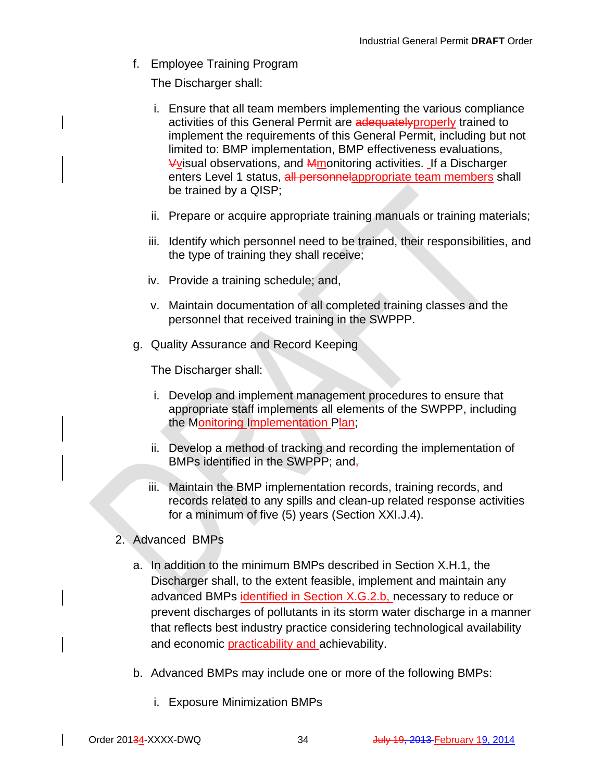f. Employee Training Program

The Discharger shall:

- i. Ensure that all team members implementing the various compliance activities of this General Permit are adequately properly trained to implement the requirements of this General Permit, including but not limited to: BMP implementation, BMP effectiveness evaluations, Vvisual observations, and Mmonitoring activities. If a Discharger enters Level 1 status, all personnelappropriate team members shall be trained by a QISP;
- ii. Prepare or acquire appropriate training manuals or training materials;
- iii. Identify which personnel need to be trained, their responsibilities, and the type of training they shall receive;
- iv. Provide a training schedule; and,
- v. Maintain documentation of all completed training classes and the personnel that received training in the SWPPP.
- g. Quality Assurance and Record Keeping

The Discharger shall:

- i. Develop and implement management procedures to ensure that appropriate staff implements all elements of the SWPPP, including the Monitoring Implementation Plan;
- ii. Develop a method of tracking and recording the implementation of BMPs identified in the SWPPP; and,
- iii. Maintain the BMP implementation records, training records, and records related to any spills and clean-up related response activities for a minimum of five (5) years (Section XXI.J.4).
- 2. Advanced BMPs
	- a. In addition to the minimum BMPs described in Section X.H.1, the Discharger shall, to the extent feasible, implement and maintain any advanced BMPs identified in Section X.G.2.b, necessary to reduce or prevent discharges of pollutants in its storm water discharge in a manner that reflects best industry practice considering technological availability and economic *practicability and* achievability.
	- b. Advanced BMPs may include one or more of the following BMPs:
		- i. Exposure Minimization BMPs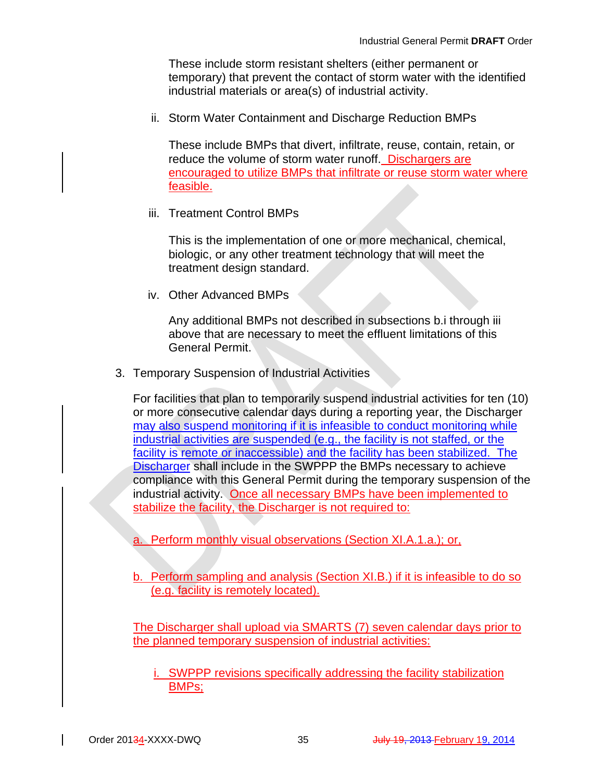These include storm resistant shelters (either permanent or temporary) that prevent the contact of storm water with the identified industrial materials or area(s) of industrial activity.

ii. Storm Water Containment and Discharge Reduction BMPs

These include BMPs that divert, infiltrate, reuse, contain, retain, or reduce the volume of storm water runoff. Dischargers are encouraged to utilize BMPs that infiltrate or reuse storm water where feasible.

iii. Treatment Control BMPs

This is the implementation of one or more mechanical, chemical, biologic, or any other treatment technology that will meet the treatment design standard.

iv. Other Advanced BMPs

Any additional BMPs not described in subsections b.i through iii above that are necessary to meet the effluent limitations of this General Permit.

3. Temporary Suspension of Industrial Activities

For facilities that plan to temporarily suspend industrial activities for ten (10) or more consecutive calendar days during a reporting year, the Discharger may also suspend monitoring if it is infeasible to conduct monitoring while industrial activities are suspended (e.g., the facility is not staffed, or the facility is remote or inaccessible) and the facility has been stabilized. The Discharger shall include in the SWPPP the BMPs necessary to achieve compliance with this General Permit during the temporary suspension of the industrial activity. Once all necessary BMPs have been implemented to stabilize the facility, the Discharger is not required to:

- a. Perform monthly visual observations (Section XI.A.1.a.); or,
- b. Perform sampling and analysis (Section XI.B.) if it is infeasible to do so (e.g. facility is remotely located).

The Discharger shall upload via SMARTS (7) seven calendar days prior to the planned temporary suspension of industrial activities:

i. SWPPP revisions specifically addressing the facility stabilization BMPs;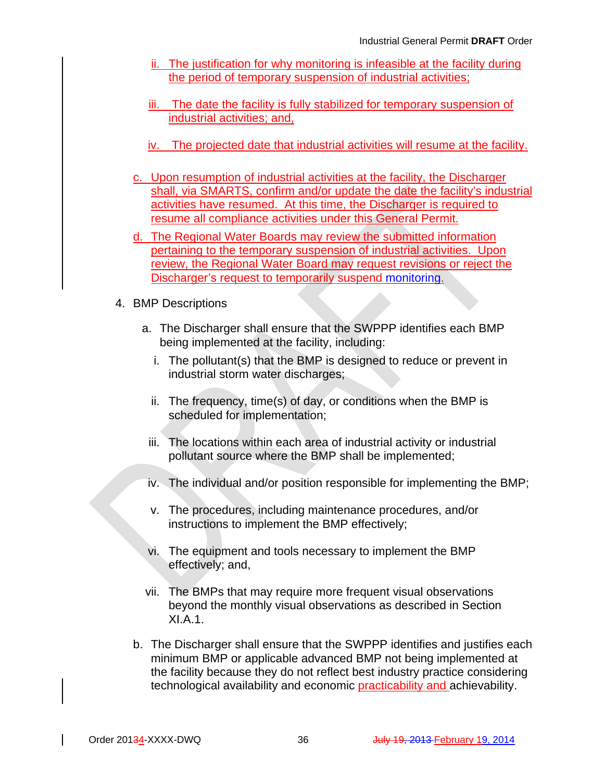- ii. The justification for why monitoring is infeasible at the facility during the period of temporary suspension of industrial activities;
- iii. The date the facility is fully stabilized for temporary suspension of industrial activities; and,
- iv. The projected date that industrial activities will resume at the facility.
- c. Upon resumption of industrial activities at the facility, the Discharger shall, via SMARTS, confirm and/or update the date the facility's industrial activities have resumed. At this time, the Discharger is required to resume all compliance activities under this General Permit.
- d. The Regional Water Boards may review the submitted information pertaining to the temporary suspension of industrial activities. Upon review, the Regional Water Board may request revisions or reject the Discharger's request to temporarily suspend monitoring.
- 4. BMP Descriptions
	- a. The Discharger shall ensure that the SWPPP identifies each BMP being implemented at the facility, including:
		- i. The pollutant(s) that the BMP is designed to reduce or prevent in industrial storm water discharges;
		- ii. The frequency, time(s) of day, or conditions when the BMP is scheduled for implementation;
	- iii. The locations within each area of industrial activity or industrial pollutant source where the BMP shall be implemented;
	- iv. The individual and/or position responsible for implementing the BMP;
	- v. The procedures, including maintenance procedures, and/or instructions to implement the BMP effectively;
	- vi. The equipment and tools necessary to implement the BMP effectively; and,
	- vii. The BMPs that may require more frequent visual observations beyond the monthly visual observations as described in Section XI.A.1.
	- b. The Discharger shall ensure that the SWPPP identifies and justifies each minimum BMP or applicable advanced BMP not being implemented at the facility because they do not reflect best industry practice considering technological availability and economic practicability and achievability.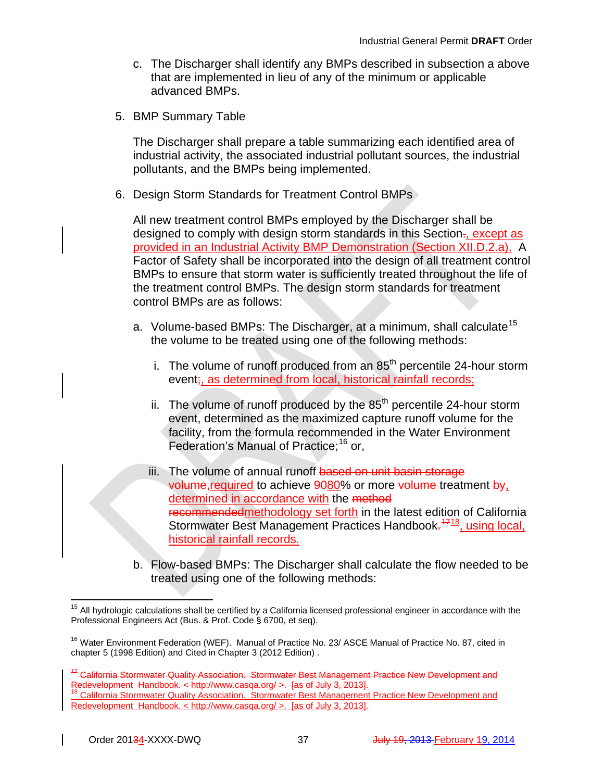- c. The Discharger shall identify any BMPs described in subsection a above that are implemented in lieu of any of the minimum or applicable advanced BMPs.
- 5. BMP Summary Table

The Discharger shall prepare a table summarizing each identified area of industrial activity, the associated industrial pollutant sources, the industrial pollutants, and the BMPs being implemented.

6. Design Storm Standards for Treatment Control BMPs

All new treatment control BMPs employed by the Discharger shall be designed to comply with design storm standards in this Section., except as provided in an Industrial Activity BMP Demonstration (Section XII.D.2.a). A Factor of Safety shall be incorporated into the design of all treatment control BMPs to ensure that storm water is sufficiently treated throughout the life of the treatment control BMPs. The design storm standards for treatment control BMPs are as follows:

- a. Volume-based BMPs: The Discharger, at a minimum, shall calculate<sup>[15](#page-38-0)</sup> the volume to be treated using one of the following methods:
	- i. The volume of runoff produced from an  $85<sup>th</sup>$  percentile 24-hour storm event;, as determined from local, historical rainfall records;
	- ii. The volume of runoff produced by the  $85<sup>th</sup>$  percentile 24-hour storm event, determined as the maximized capture runoff volume for the facility, from the formula recommended in the Water Environment Federation's Manual of Practice:<sup>[16](#page-38-1)</sup> or,
	- iii. The volume of annual runoff based on unit basin storage volume, required to achieve 9080% or more volume treatment by, determined in accordance with the method recommendedmethodology set forth in the latest edition of California Stormwater Best Management Practices Handbook-<sup>4718</sup>, using local, historical rainfall records.
- b. Flow-based BMPs: The Discharger shall calculate the flow needed to be treated using one of the following methods:

<span id="page-38-0"></span><sup>&</sup>lt;sup>15</sup> All hydrologic calculations shall be certified by a California licensed professional engineer in accordance with the Professional Engineers Act (Bus. & Prof. Code § 6700, et seq).

<span id="page-38-1"></span><sup>&</sup>lt;sup>16</sup> Water Environment Federation (WEF). Manual of Practice No. 23/ ASCE Manual of Practice No. 87, cited in chapter 5 (1998 Edition) and Cited in Chapter 3 (2012 Edition) .

<span id="page-38-2"></span><sup>&</sup>lt;sup>17</sup> California Stormwater Quality Association. Stormwater Best Management Practice New Development and Redevelopment Handbook. < http://www.casqa.org/ >. [as of July 3, 2013].<br><sup>18</sup> California Stormwater Quality Association. Stormwater Best Management Practice New Development and

<span id="page-38-3"></span>Redevelopment Handbook. < http://www.casqa.org/ >. [as of July 3, 2013].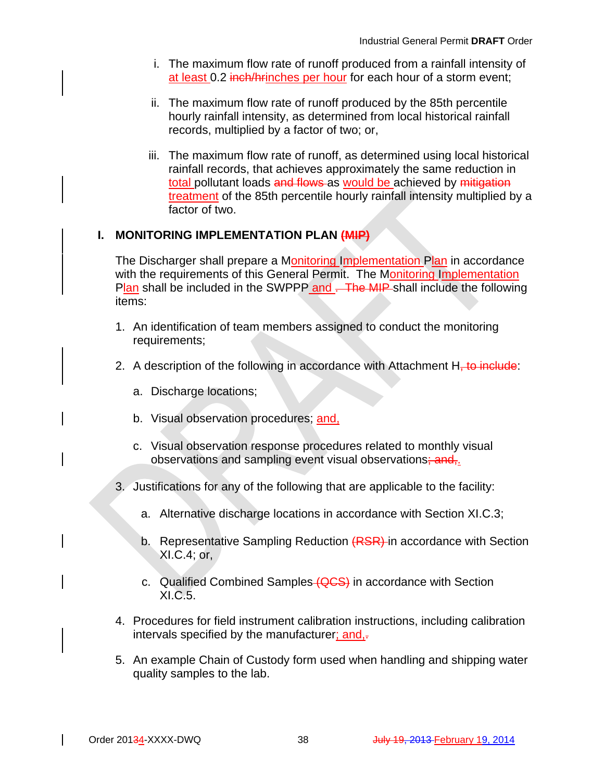- i. The maximum flow rate of runoff produced from a rainfall intensity of at least 0.2 inch/hrinches per hour for each hour of a storm event;
- ii. The maximum flow rate of runoff produced by the 85th percentile hourly rainfall intensity, as determined from local historical rainfall records, multiplied by a factor of two; or,
- iii. The maximum flow rate of runoff, as determined using local historical rainfall records, that achieves approximately the same reduction in total pollutant loads and flows as would be achieved by mitigation treatment of the 85th percentile hourly rainfall intensity multiplied by a factor of two.

### **I. MONITORING IMPLEMENTATION PLAN (MIP)**

The Discharger shall prepare a Monitoring Implementation Plan in accordance with the requirements of this General Permit. The Monitoring Implementation Plan shall be included in the SWPPP and . The MIP shall include the following items:

- 1. An identification of team members assigned to conduct the monitoring requirements;
- 2. A description of the following in accordance with Attachment H<sub>r</sub> to include:
	- a. Discharge locations;
	- b. Visual observation procedures; and,
	- c. Visual observation response procedures related to monthly visual observations and sampling event visual observations; and,.
- 3. Justifications for any of the following that are applicable to the facility:
	- a. Alternative discharge locations in accordance with Section XI.C.3;
	- b. Representative Sampling Reduction (RSR) in accordance with Section XI.C.4; or,
	- c. Qualified Combined Samples (QCS) in accordance with Section XI.C.5.
- 4. Procedures for field instrument calibration instructions, including calibration intervals specified by the manufacturer; and, $\frac{1}{x}$
- 5. An example Chain of Custody form used when handling and shipping water quality samples to the lab.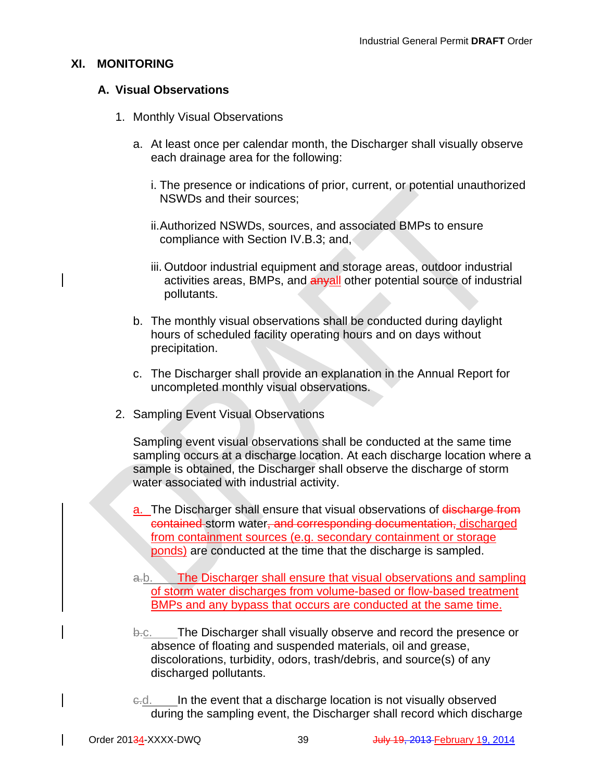### **XI. MONITORING**

### **A. Visual Observations**

- 1. Monthly Visual Observations
	- a. At least once per calendar month, the Discharger shall visually observe each drainage area for the following:
		- i. The presence or indications of prior, current, or potential unauthorized NSWDs and their sources;
		- ii.Authorized NSWDs, sources, and associated BMPs to ensure compliance with Section IV.B.3; and,
		- iii. Outdoor industrial equipment and storage areas, outdoor industrial activities areas, BMPs, and anyall other potential source of industrial pollutants.
	- b. The monthly visual observations shall be conducted during daylight hours of scheduled facility operating hours and on days without precipitation.
	- c. The Discharger shall provide an explanation in the Annual Report for uncompleted monthly visual observations.
- 2. Sampling Event Visual Observations

Sampling event visual observations shall be conducted at the same time sampling occurs at a discharge location. At each discharge location where a sample is obtained, the Discharger shall observe the discharge of storm water associated with industrial activity.

- a. The Discharger shall ensure that visual observations of discharge from contained storm water, and corresponding documentation, discharged from containment sources (e.g. secondary containment or storage ponds) are conducted at the time that the discharge is sampled.
- a.b. The Discharger shall ensure that visual observations and sampling of storm water discharges from volume-based or flow-based treatment BMPs and any bypass that occurs are conducted at the same time.
- b.c. The Discharger shall visually observe and record the presence or absence of floating and suspended materials, oil and grease, discolorations, turbidity, odors, trash/debris, and source(s) of any discharged pollutants.
- c.d. In the event that a discharge location is not visually observed during the sampling event, the Discharger shall record which discharge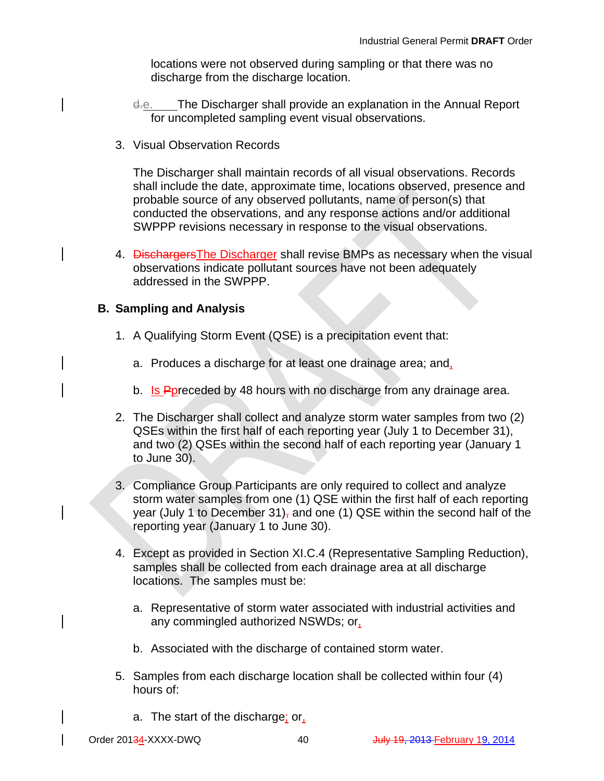locations were not observed during sampling or that there was no discharge from the discharge location.

- d.e. The Discharger shall provide an explanation in the Annual Report for uncompleted sampling event visual observations.
- 3. Visual Observation Records

The Discharger shall maintain records of all visual observations. Records shall include the date, approximate time, locations observed, presence and probable source of any observed pollutants, name of person(s) that conducted the observations, and any response actions and/or additional SWPPP revisions necessary in response to the visual observations.

4. DischargersThe Discharger shall revise BMPs as necessary when the visual observations indicate pollutant sources have not been adequately addressed in the SWPPP.

#### **B. Sampling and Analysis**

- 1. A Qualifying Storm Event (QSE) is a precipitation event that:
	- a. Produces a discharge for at least one drainage area; and,
	- b. Is Poreceded by 48 hours with no discharge from any drainage area.
- 2. The Discharger shall collect and analyze storm water samples from two (2) QSEs within the first half of each reporting year (July 1 to December 31), and two (2) QSEs within the second half of each reporting year (January 1 to June 30).
- 3. Compliance Group Participants are only required to collect and analyze storm water samples from one (1) QSE within the first half of each reporting year (July 1 to December 31), and one (1) QSE within the second half of the reporting year (January 1 to June 30).
- 4. Except as provided in Section XI.C.4 (Representative Sampling Reduction), samples shall be collected from each drainage area at all discharge locations. The samples must be:
	- a. Representative of storm water associated with industrial activities and any commingled authorized NSWDs; or,
	- b. Associated with the discharge of contained storm water.
- 5. Samples from each discharge location shall be collected within four (4) hours of:
	- a. The start of the discharge; or,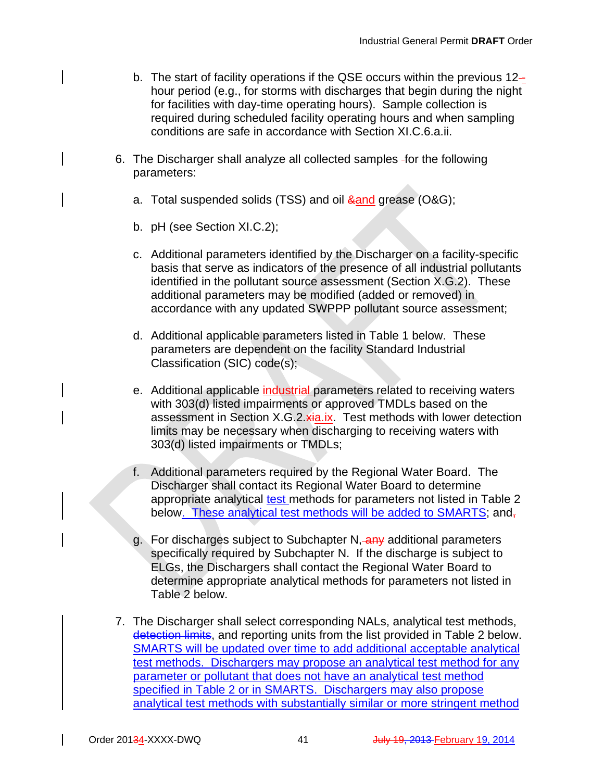- b. The start of facility operations if the QSE occurs within the previous 12-hour period (e.g., for storms with discharges that begin during the night for facilities with day-time operating hours). Sample collection is required during scheduled facility operating hours and when sampling conditions are safe in accordance with Section XI.C.6.a.ii.
- 6. The Discharger shall analyze all collected samples for the following parameters:
	- a. Total suspended solids (TSS) and oil **&**and grease (O&G);
	- b. pH (see Section XI.C.2);
	- c. Additional parameters identified by the Discharger on a facility-specific basis that serve as indicators of the presence of all industrial pollutants identified in the pollutant source assessment (Section X.G.2). These additional parameters may be modified (added or removed) in accordance with any updated SWPPP pollutant source assessment;
	- d. Additional applicable parameters listed in Table 1 below. These parameters are dependent on the facility Standard Industrial Classification (SIC) code(s);
	- e. Additional applicable industrial parameters related to receiving waters with 303(d) listed impairments or approved TMDLs based on the assessment in Section X.G.2. xia.ix. Test methods with lower detection limits may be necessary when discharging to receiving waters with 303(d) listed impairments or TMDLs;
	- f. Additional parameters required by the Regional Water Board. The Discharger shall contact its Regional Water Board to determine appropriate analytical test methods for parameters not listed in Table 2 below. These analytical test methods will be added to SMARTS; and-
	- g. For discharges subject to Subchapter N, any additional parameters specifically required by Subchapter N. If the discharge is subject to ELGs, the Dischargers shall contact the Regional Water Board to determine appropriate analytical methods for parameters not listed in Table 2 below.
- 7. The Discharger shall select corresponding NALs, analytical test methods, detection limits, and reporting units from the list provided in Table 2 below. SMARTS will be updated over time to add additional acceptable analytical test methods. Dischargers may propose an analytical test method for any parameter or pollutant that does not have an analytical test method specified in Table 2 or in SMARTS. Dischargers may also propose analytical test methods with substantially similar or more stringent method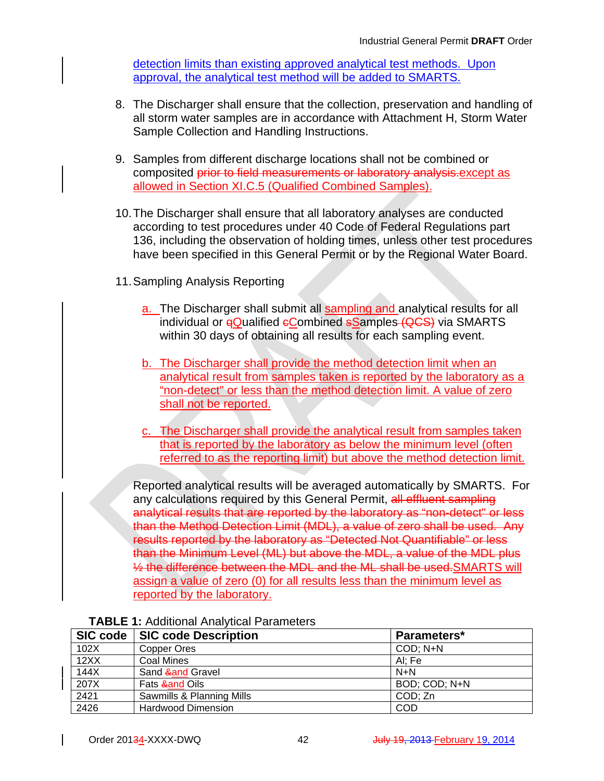detection limits than existing approved analytical test methods. Upon approval, the analytical test method will be added to SMARTS.

- 8. The Discharger shall ensure that the collection, preservation and handling of all storm water samples are in accordance with Attachment H, Storm Water Sample Collection and Handling Instructions.
- 9. Samples from different discharge locations shall not be combined or composited prior to field measurements or laboratory analysis.except as allowed in Section XI.C.5 (Qualified Combined Samples).
- 10.The Discharger shall ensure that all laboratory analyses are conducted according to test procedures under 40 Code of Federal Regulations part 136, including the observation of holding times, unless other test procedures have been specified in this General Permit or by the Regional Water Board.
- 11.Sampling Analysis Reporting
	- a. The Discharger shall submit all sampling and analytical results for all individual or  $qQ$ ualified  $qQ$ combined sSamples (QCS) via SMARTS within 30 days of obtaining all results for each sampling event.
	- b. The Discharger shall provide the method detection limit when an analytical result from samples taken is reported by the laboratory as a "non-detect" or less than the method detection limit. A value of zero shall not be reported.
	- c. The Discharger shall provide the analytical result from samples taken that is reported by the laboratory as below the minimum level (often referred to as the reporting limit) but above the method detection limit.

Reported analytical results will be averaged automatically by SMARTS. For any calculations required by this General Permit, all effluent sampling analytical results that are reported by the laboratory as "non-detect" or less than the Method Detection Limit (MDL), a value of zero shall be used. Any results reported by the laboratory as "Detected Not Quantifiable" or less than the Minimum Level (ML) but above the MDL, a value of the MDL plus ½ the difference between the MDL and the ML shall be used.SMARTS will assign a value of zero (0) for all results less than the minimum level as reported by the laboratory.

| SIC code | <b>SIC code Description</b> | Parameters*   |
|----------|-----------------------------|---------------|
| 102X     | Copper Ores                 | COD; N+N      |
| 12XX     | Coal Mines                  | Al: Fe        |
| 144X     | Sand & and Gravel           | $N+N$         |
| 207X     | Fats & and Oils             | BOD; COD; N+N |
| 2421     | Sawmills & Planning Mills   | COD; Zn       |
| 2426     | <b>Hardwood Dimension</b>   | COD           |

#### **TABLE 1:** Additional Analytical Parameters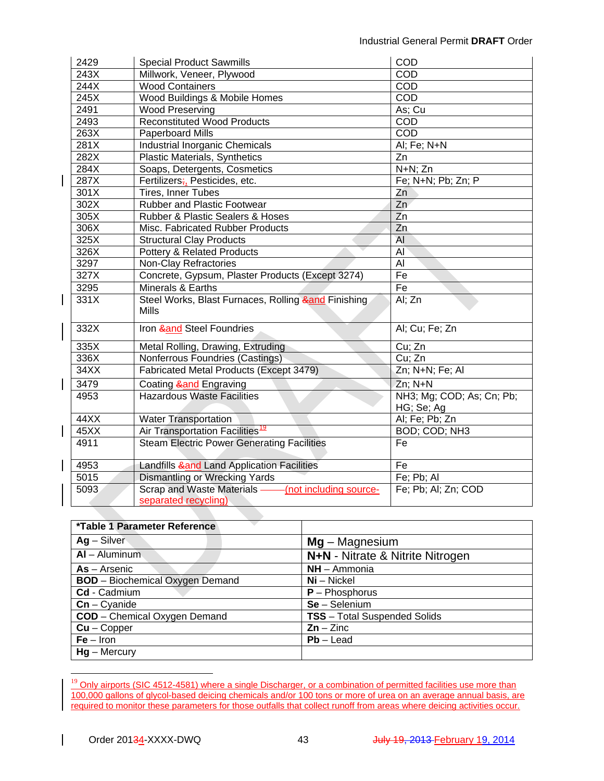| 2429 | <b>Special Product Sawmills</b>                                      | COD                                     |  |
|------|----------------------------------------------------------------------|-----------------------------------------|--|
| 243X | Millwork, Veneer, Plywood                                            | COD                                     |  |
| 244X | <b>Wood Containers</b>                                               | <b>COD</b>                              |  |
| 245X | Wood Buildings & Mobile Homes                                        | <b>COD</b>                              |  |
| 2491 | <b>Wood Preserving</b>                                               | As: Cu                                  |  |
| 2493 | <b>Reconstituted Wood Products</b>                                   | <b>COD</b>                              |  |
| 263X | <b>Paperboard Mills</b>                                              | <b>COD</b>                              |  |
| 281X | <b>Industrial Inorganic Chemicals</b>                                | Al; Fe; N+N                             |  |
| 282X | Plastic Materials, Synthetics                                        | Zn                                      |  |
| 284X | Soaps, Detergents, Cosmetics                                         | N+N; Zn                                 |  |
| 287X | Fertilizers; Pesticides, etc.                                        | Fe; N+N; Pb; Zn; P                      |  |
| 301X | Tires, Inner Tubes                                                   | Zn                                      |  |
| 302X | <b>Rubber and Plastic Footwear</b>                                   | $\overline{Zn}$                         |  |
| 305X | Rubber & Plastic Sealers & Hoses                                     | $\overline{Zn}$                         |  |
| 306X | Misc. Fabricated Rubber Products                                     | $\overline{2n}$                         |  |
| 325X | <b>Structural Clay Products</b>                                      | $\overline{AI}$                         |  |
| 326X | Pottery & Related Products                                           | AI                                      |  |
| 3297 | Non-Clay Refractories                                                | $\overline{AI}$                         |  |
| 327X | Concrete, Gypsum, Plaster Products (Except 3274)                     | Fe                                      |  |
| 3295 | Minerals & Earths                                                    | Fe                                      |  |
| 331X | Steel Works, Blast Furnaces, Rolling & and Finishing<br><b>Mills</b> | Al; Zn                                  |  |
| 332X | Iron ∧ Steel Foundries                                               | Al; Cu; Fe; Zn                          |  |
| 335X | Metal Rolling, Drawing, Extruding                                    | Cu; Zn                                  |  |
| 336X | Nonferrous Foundries (Castings)                                      | Cu; Zn                                  |  |
| 34XX | Fabricated Metal Products (Except 3479)                              | Zn; N+N; Fe; Al                         |  |
| 3479 | Coating & and Engraving                                              | $Zn; N+N$                               |  |
| 4953 | <b>Hazardous Waste Facilities</b>                                    | NH3; Mg; COD; As; Cn; Pb;<br>HG; Se; Ag |  |
| 44XX | <b>Water Transportation</b>                                          | Al; Fe; Pb; Zn                          |  |
| 45XX | Air Transportation Facilities <sup>19</sup>                          | BOD; COD; NH3                           |  |
| 4911 | <b>Steam Electric Power Generating Facilities</b>                    | Fe                                      |  |
| 4953 | Landfills <b>∧</b> Land Application Facilities                       | Fe                                      |  |
| 5015 | Dismantling or Wrecking Yards                                        | Fe; Pb; Al                              |  |
| 5093 | Scrap and Waste Materials -<br>(not including source-                | Fe; Pb; Al; Zn; COD                     |  |
|      | separated recycling)                                                 |                                         |  |

| *Table 1 Parameter Reference           |                                     |
|----------------------------------------|-------------------------------------|
| $Ag - Silver$                          | $Mg - Magnesium$                    |
| $AI - Aluminum$                        | N+N - Nitrate & Nitrite Nitrogen    |
| $As - Arsenic$                         | $NH - Ammonia$                      |
| <b>BOD</b> - Biochemical Oxygen Demand | $Ni - Nickel$                       |
| Cd - Cadmium                           | $P - Phosphorus$                    |
| $Cn - C$ yanide                        | $Se - Selenium$                     |
| COD - Chemical Oxygen Demand           | <b>TSS</b> - Total Suspended Solids |
| $Cu - Copper$                          | $Zn - Zinc$                         |
| $Fe - Iron$                            | $Pb -$ Lead                         |
| $Hg$ – Mercury                         |                                     |

<span id="page-44-0"></span><sup>19&</sup>lt;br>**<sup>19</sup> Only airports (SIC 4512-4581) where a single Discharger, or a combination of permitted facilities use more than** 100,000 gallons of glycol-based deicing chemicals and/or 100 tons or more of urea on an average annual basis, are required to monitor these parameters for those outfalls that collect runoff from areas where deicing activities occur.

 $\overline{\phantom{a}}$ 

 $\overline{\phantom{a}}$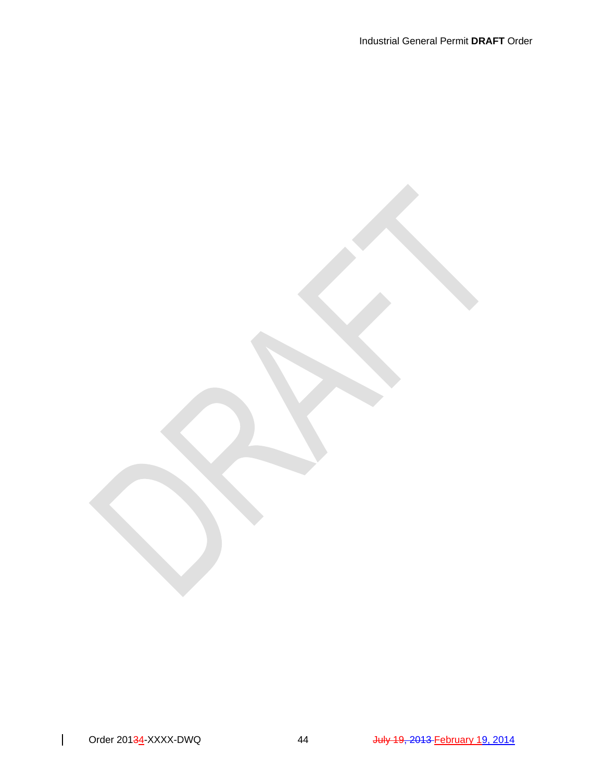$\overline{1}$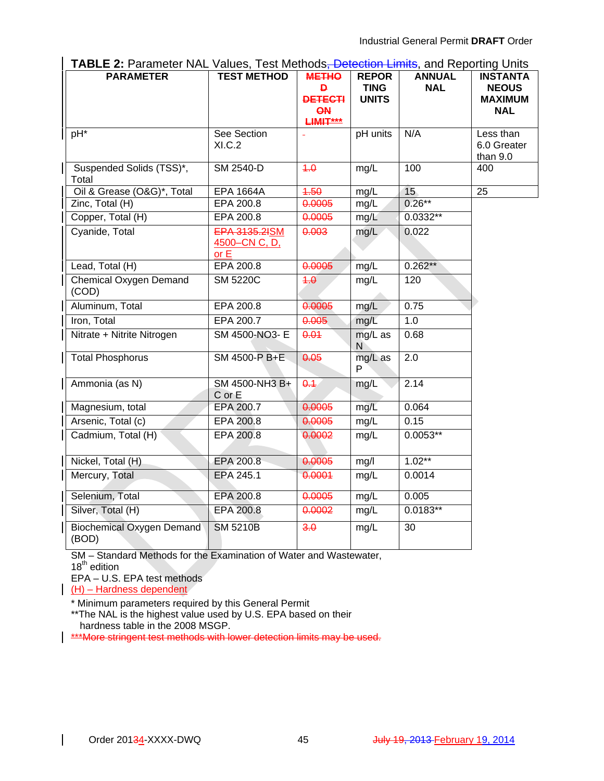**TABLE 2:** Parameter NAL Values, Test Methods, Detection Limits, and Reporting Units

| <b>PARAMETER</b>                          | <b>TEST METHOD</b>                            | <b>METHO</b><br>D<br><b>DETECTI</b><br><b>ON</b><br>$LIMIT***$ | <b>REPOR</b><br><b>TING</b><br><b>UNITS</b> | $\sim$<br><b>ANNUAL</b><br><b>NAL</b> | -<br>-<br><b>INSTANTA</b><br><b>NEOUS</b><br><b>MAXIMUM</b><br><b>NAL</b> |
|-------------------------------------------|-----------------------------------------------|----------------------------------------------------------------|---------------------------------------------|---------------------------------------|---------------------------------------------------------------------------|
| $pH^*$                                    | See Section<br><b>XI.C.2</b>                  |                                                                | pH units                                    | N/A                                   | Less than<br>6.0 Greater<br>than 9.0                                      |
| Suspended Solids (TSS)*,<br>Total         | SM 2540-D                                     | 4.0                                                            | mg/L                                        | 100                                   | 400                                                                       |
| Oil & Grease (O&G)*, Total                | <b>EPA 1664A</b>                              | 4.50                                                           | mg/L                                        | 15                                    | 25                                                                        |
| Zinc, Total (H)                           | EPA 200.8                                     | 0.0005                                                         | mg/L                                        | $0.26**$                              |                                                                           |
| Copper, Total (H)                         | EPA 200.8                                     | 0.0005                                                         | mg/L                                        | $0.0332**$                            |                                                                           |
| Cyanide, Total                            | <b>EPA 3135.2ISM</b><br>4500-CN C, D,<br>or E | 0.003                                                          | mg/L                                        | 0.022                                 |                                                                           |
| Lead, Total (H)                           | EPA 200.8                                     | 0.0005                                                         | mg/L                                        | $0.262**$                             |                                                                           |
| <b>Chemical Oxygen Demand</b><br>(COD)    | <b>SM 5220C</b>                               | $+ \theta$                                                     | mg/L                                        | 120                                   |                                                                           |
| Aluminum, Total                           | EPA 200.8                                     | 0.0005                                                         | mg/L                                        | 0.75                                  |                                                                           |
| Iron, Total                               | EPA 200.7                                     | 0.005                                                          | mg/L                                        | 1.0                                   |                                                                           |
| Nitrate + Nitrite Nitrogen                | SM 4500-NO3- E                                | 0.01                                                           | mg/L as<br>N.                               | 0.68                                  |                                                                           |
| <b>Total Phosphorus</b>                   | SM 4500-P B+E                                 | 0.05                                                           | mg/L as<br>P                                | $\overline{2.0}$                      |                                                                           |
| Ammonia (as N)                            | SM 4500-NH3 B+<br>C or E                      | 0.1                                                            | mg/L                                        | 2.14                                  |                                                                           |
| Magnesium, total                          | EPA 200.7                                     | 0.0005                                                         | mg/L                                        | 0.064                                 |                                                                           |
| Arsenic, Total (c)                        | EPA 200.8                                     | 0.0005                                                         | mg/L                                        | 0.15                                  |                                                                           |
| Cadmium, Total (H)                        | EPA 200.8                                     | 0.0002                                                         | mg/L                                        | $0.0053**$                            |                                                                           |
| Nickel, Total (H)                         | EPA 200.8                                     | 0.0005                                                         | mg/l                                        | $1.02**$                              |                                                                           |
| Mercury, Total                            | EPA 245.1                                     | 0.0001                                                         | mg/L                                        | 0.0014                                |                                                                           |
| Selenium, Total                           | EPA 200.8                                     | 0.0005                                                         | mg/L                                        | 0.005                                 |                                                                           |
| Silver, Total (H)                         | EPA 200.8                                     | 0.0002                                                         | mg/L                                        | $0.0183**$                            |                                                                           |
| <b>Biochemical Oxygen Demand</b><br>(BOD) | <b>SM 5210B</b>                               | 3.0                                                            | mg/L                                        | 30                                    |                                                                           |

SM – Standard Methods for the Examination of Water and Wastewater,

18<sup>th</sup> edition

 $\overline{\phantom{a}}$ 

EPA – U.S. EPA test methods

(H) – Hardness dependent

\* Minimum parameters required by this General Permit

\*\*The NAL is the highest value used by U.S. EPA based on their hardness table in the 2008 MSGP.

| \*\*\*More stringent test methods with lower detection limits may be used.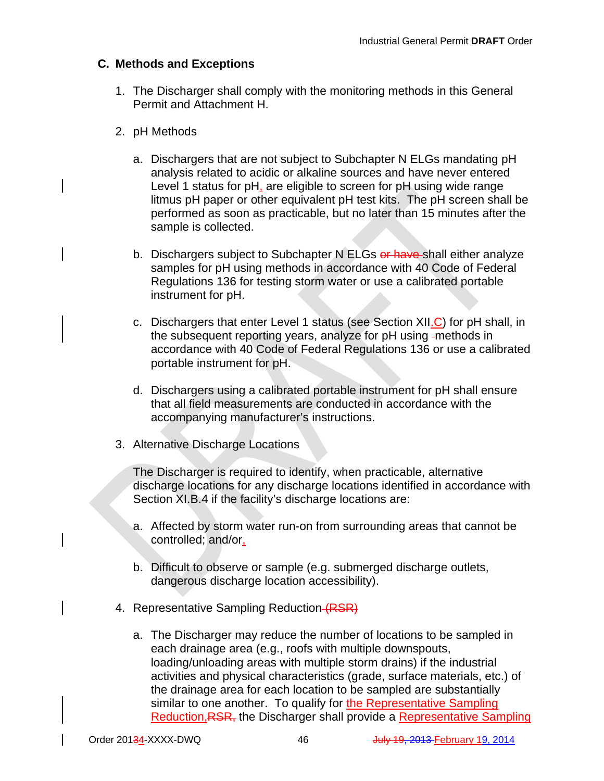# **C. Methods and Exceptions**

- 1. The Discharger shall comply with the monitoring methods in this General Permit and Attachment H.
- 2. pH Methods
	- a. Dischargers that are not subject to Subchapter N ELGs mandating pH analysis related to acidic or alkaline sources and have never entered Level 1 status for pH, are eligible to screen for pH using wide range litmus pH paper or other equivalent pH test kits. The pH screen shall be performed as soon as practicable, but no later than 15 minutes after the sample is collected.
	- b. Dischargers subject to Subchapter N ELGs or have shall either analyze samples for pH using methods in accordance with 40 Code of Federal Regulations 136 for testing storm water or use a calibrated portable instrument for pH.
	- c. Dischargers that enter Level 1 status (see Section XII.C) for pH shall, in the subsequent reporting years, analyze for pH using -methods in accordance with 40 Code of Federal Regulations 136 or use a calibrated portable instrument for pH.
	- d. Dischargers using a calibrated portable instrument for pH shall ensure that all field measurements are conducted in accordance with the accompanying manufacturer's instructions.
- 3. Alternative Discharge Locations

The Discharger is required to identify, when practicable, alternative discharge locations for any discharge locations identified in accordance with Section XI.B.4 if the facility's discharge locations are:

- a. Affected by storm water run-on from surrounding areas that cannot be controlled; and/or,
- b. Difficult to observe or sample (e.g. submerged discharge outlets, dangerous discharge location accessibility).
- 4. Representative Sampling Reduction (RSR)
	- a. The Discharger may reduce the number of locations to be sampled in each drainage area (e.g., roofs with multiple downspouts, loading/unloading areas with multiple storm drains) if the industrial activities and physical characteristics (grade, surface materials, etc.) of the drainage area for each location to be sampled are substantially similar to one another. To qualify for the Representative Sampling Reduction,RSR, the Discharger shall provide a Representative Sampling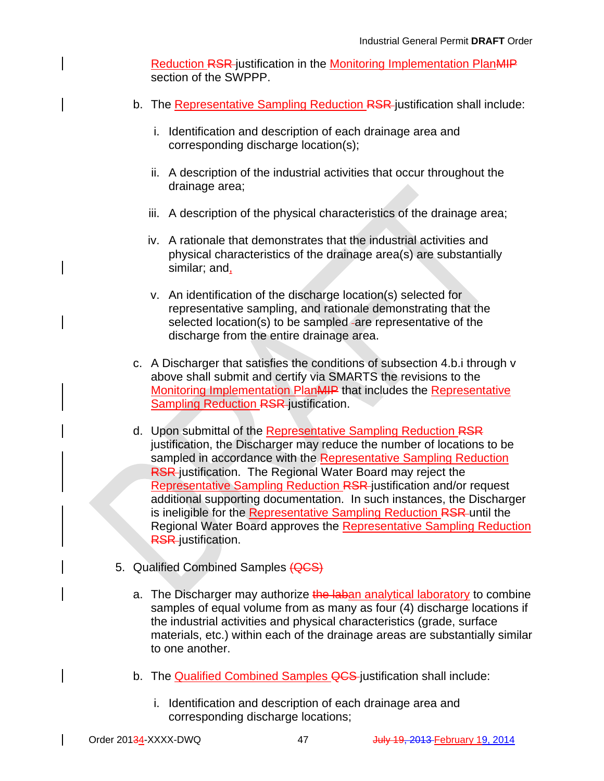Reduction RSR justification in the Monitoring Implementation PlanMIP section of the SWPPP.

- b. The Representative Sampling Reduction RSR justification shall include:
	- i. Identification and description of each drainage area and corresponding discharge location(s);
	- ii. A description of the industrial activities that occur throughout the drainage area;
	- iii. A description of the physical characteristics of the drainage area;
	- iv. A rationale that demonstrates that the industrial activities and physical characteristics of the drainage area(s) are substantially similar; and,
	- v. An identification of the discharge location(s) selected for representative sampling, and rationale demonstrating that the selected location(s) to be sampled -are representative of the discharge from the entire drainage area.
- c. A Discharger that satisfies the conditions of subsection 4.b.i through v above shall submit and certify via SMARTS the revisions to the Monitoring Implementation PlanMIP that includes the Representative Sampling Reduction RSR justification.
- d. Upon submittal of the Representative Sampling Reduction RSR justification, the Discharger may reduce the number of locations to be sampled in accordance with the Representative Sampling Reduction RSR justification. The Regional Water Board may reject the Representative Sampling Reduction RSR justification and/or request additional supporting documentation. In such instances, the Discharger is ineligible for the Representative Sampling Reduction RSR until the Regional Water Board approves the Representative Sampling Reduction **RSR** justification.
- 5. Qualified Combined Samples (QCS)
	- a. The Discharger may authorize the laban analytical laboratory to combine samples of equal volume from as many as four (4) discharge locations if the industrial activities and physical characteristics (grade, surface materials, etc.) within each of the drainage areas are substantially similar to one another.
	- b. The **Qualified Combined Samples QCS**-justification shall include:
		- i. Identification and description of each drainage area and corresponding discharge locations;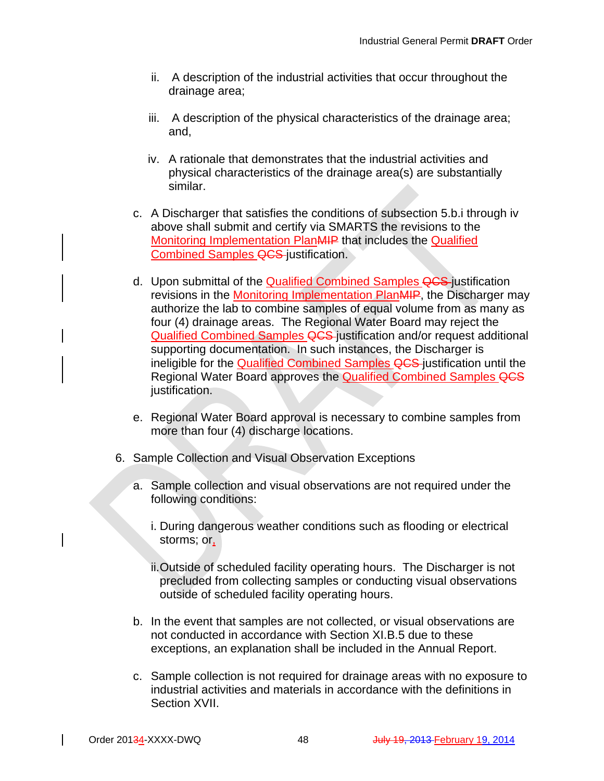- ii. A description of the industrial activities that occur throughout the drainage area;
- iii. A description of the physical characteristics of the drainage area; and,
- iv. A rationale that demonstrates that the industrial activities and physical characteristics of the drainage area(s) are substantially similar.
- c. A Discharger that satisfies the conditions of subsection 5.b.i through iv above shall submit and certify via SMARTS the revisions to the Monitoring Implementation PlanMIP that includes the Qualified **Combined Samples QCS**-justification.
- d. Upon submittal of the **Qualified Combined Samples QCS** justification revisions in the Monitoring Implementation PlanMIP, the Discharger may authorize the lab to combine samples of equal volume from as many as four (4) drainage areas. The Regional Water Board may reject the Qualified Combined Samples QCS justification and/or request additional supporting documentation. In such instances, the Discharger is ineligible for the Qualified Combined Samples QCS-justification until the Regional Water Board approves the Qualified Combined Samples QCS justification.
- e. Regional Water Board approval is necessary to combine samples from more than four (4) discharge locations.
- 6. Sample Collection and Visual Observation Exceptions
	- a. Sample collection and visual observations are not required under the following conditions:
		- i. During dangerous weather conditions such as flooding or electrical storms; or,
		- ii.Outside of scheduled facility operating hours. The Discharger is not precluded from collecting samples or conducting visual observations outside of scheduled facility operating hours.
	- b. In the event that samples are not collected, or visual observations are not conducted in accordance with Section XI.B.5 due to these exceptions, an explanation shall be included in the Annual Report.
	- c. Sample collection is not required for drainage areas with no exposure to industrial activities and materials in accordance with the definitions in Section XVII.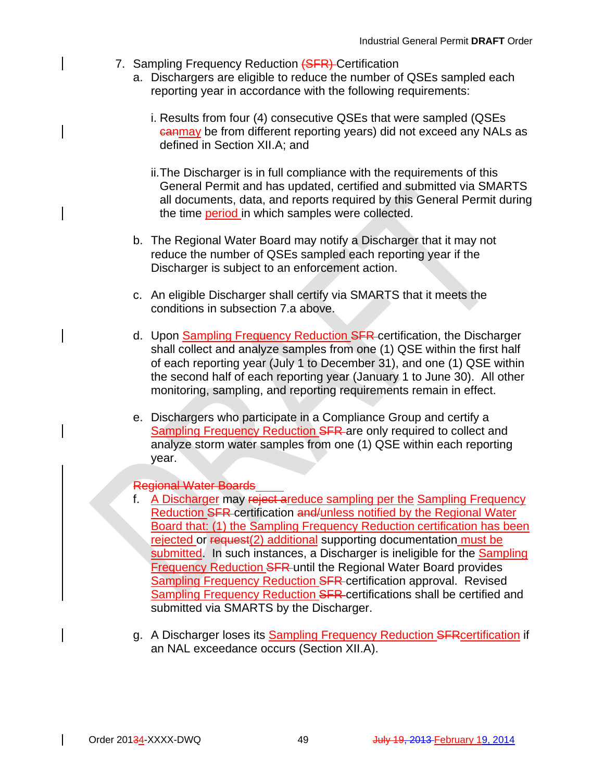- 7. Sampling Frequency Reduction (SFR) Certification
	- a. Dischargers are eligible to reduce the number of QSEs sampled each reporting year in accordance with the following requirements:
		- i. Results from four (4) consecutive QSEs that were sampled (QSEs canmay be from different reporting years) did not exceed any NALs as defined in Section XII.A; and
		- ii.The Discharger is in full compliance with the requirements of this General Permit and has updated, certified and submitted via SMARTS all documents, data, and reports required by this General Permit during the time period in which samples were collected.
	- b. The Regional Water Board may notify a Discharger that it may not reduce the number of QSEs sampled each reporting year if the Discharger is subject to an enforcement action.
	- c. An eligible Discharger shall certify via SMARTS that it meets the conditions in subsection 7.a above.
	- d. Upon Sampling Frequency Reduction SFR certification, the Discharger shall collect and analyze samples from one (1) QSE within the first half of each reporting year (July 1 to December 31), and one (1) QSE within the second half of each reporting year (January 1 to June 30). All other monitoring, sampling, and reporting requirements remain in effect.
	- e. Dischargers who participate in a Compliance Group and certify a Sampling Frequency Reduction SFR are only required to collect and analyze storm water samples from one (1) QSE within each reporting year.

#### Regional Water Boards

- f. A Discharger may reject areduce sampling per the Sampling Frequency Reduction SFR certification and/unless notified by the Regional Water Board that: (1) the Sampling Frequency Reduction certification has been rejected or request(2) additional supporting documentation must be submitted. In such instances, a Discharger is ineligible for the Sampling Frequency Reduction SFR until the Regional Water Board provides Sampling Frequency Reduction SFR certification approval. Revised Sampling Frequency Reduction SFR-certifications shall be certified and submitted via SMARTS by the Discharger.
- g. A Discharger loses its **Sampling Frequency Reduction SFRcertification if** an NAL exceedance occurs (Section XII.A).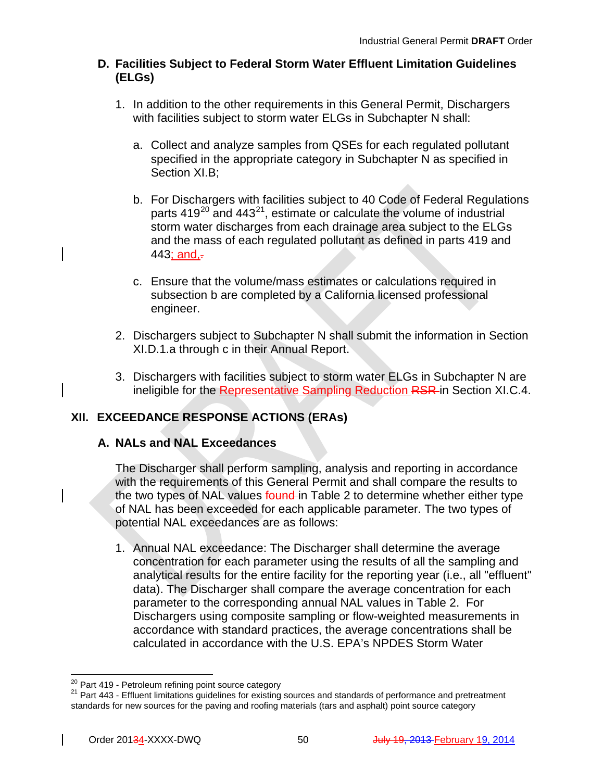## **D. Facilities Subject to Federal Storm Water Effluent Limitation Guidelines (ELGs)**

- 1. In addition to the other requirements in this General Permit, Dischargers with facilities subject to storm water ELGs in Subchapter N shall:
	- a. Collect and analyze samples from QSEs for each regulated pollutant specified in the appropriate category in Subchapter N as specified in Section XI.B;
	- b. For Dischargers with facilities subject to 40 Code of Federal Regulations parts  $419^{20}$  $419^{20}$  $419^{20}$  and  $443^{21}$  $443^{21}$  $443^{21}$ , estimate or calculate the volume of industrial storm water discharges from each drainage area subject to the ELGs and the mass of each regulated pollutant as defined in parts 419 and 443; and, $\frac{1}{x}$
	- c. Ensure that the volume/mass estimates or calculations required in subsection b are completed by a California licensed professional engineer.
- 2. Dischargers subject to Subchapter N shall submit the information in Section XI.D.1.a through c in their Annual Report.
- 3. Dischargers with facilities subject to storm water ELGs in Subchapter N are ineligible for the Representative Sampling Reduction RSR in Section XI.C.4.

# **XII. EXCEEDANCE RESPONSE ACTIONS (ERAs)**

# **A. NALs and NAL Exceedances**

The Discharger shall perform sampling, analysis and reporting in accordance with the requirements of this General Permit and shall compare the results to the two types of NAL values found in Table 2 to determine whether either type of NAL has been exceeded for each applicable parameter. The two types of potential NAL exceedances are as follows:

1. Annual NAL exceedance: The Discharger shall determine the average concentration for each parameter using the results of all the sampling and analytical results for the entire facility for the reporting year (i.e., all "effluent" data). The Discharger shall compare the average concentration for each parameter to the corresponding annual NAL values in Table 2. For Dischargers using composite sampling or flow-weighted measurements in accordance with standard practices, the average concentrations shall be calculated in accordance with the U.S. EPA's NPDES Storm Water

<span id="page-51-1"></span><span id="page-51-0"></span><sup>&</sup>lt;sup>20</sup> Part 419 - Petroleum refining point source category<br><sup>21</sup> Part 443 - Effluent limitations guidelines for existing sources and standards of performance and pretreatment standards for new sources for the paving and roofing materials (tars and asphalt) point source category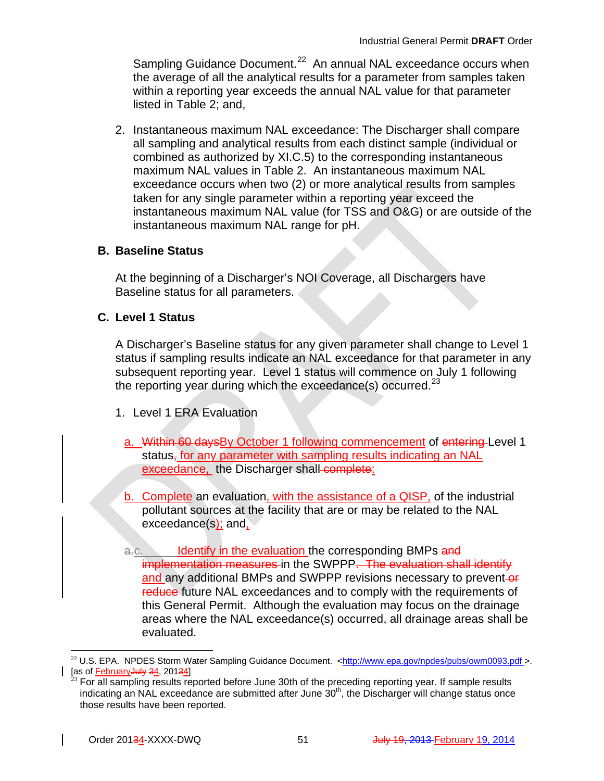Sampling Guidance Document.<sup>[22](#page-52-0)</sup> An annual NAL exceedance occurs when the average of all the analytical results for a parameter from samples taken within a reporting year exceeds the annual NAL value for that parameter listed in Table 2; and,

2. Instantaneous maximum NAL exceedance: The Discharger shall compare all sampling and analytical results from each distinct sample (individual or combined as authorized by XI.C.5) to the corresponding instantaneous maximum NAL values in Table 2. An instantaneous maximum NAL exceedance occurs when two (2) or more analytical results from samples taken for any single parameter within a reporting year exceed the instantaneous maximum NAL value (for TSS and O&G) or are outside of the instantaneous maximum NAL range for pH.

#### **B. Baseline Status**

At the beginning of a Discharger's NOI Coverage, all Dischargers have Baseline status for all parameters.

## **C. Level 1 Status**

A Discharger's Baseline status for any given parameter shall change to Level 1 status if sampling results indicate an NAL exceedance for that parameter in any subsequent reporting year. Level 1 status will commence on July 1 following the reporting year during which the exceedance(s) occurred. $^{23}$  $^{23}$  $^{23}$ 

- 1. Level 1 ERA Evaluation
	- a. Within 60 days By October 1 following commencement of entering Level 1 status, for any parameter with sampling results indicating an NAL exceedance, the Discharger shall-complete:
	- b. Complete an evaluation, with the assistance of a QISP, of the industrial pollutant sources at the facility that are or may be related to the NAL exceedance(s); and,
	- a.c. Identify in the evaluation the corresponding BMPs and implementation measures in the SWPPP. The evaluation shall identify and any additional BMPs and SWPPP revisions necessary to prevent-or reduce future NAL exceedances and to comply with the requirements of this General Permit. Although the evaluation may focus on the drainage areas where the NAL exceedance(s) occurred, all drainage areas shall be evaluated.

<span id="page-52-1"></span><span id="page-52-0"></span><sup>&</sup>lt;sup>22</sup> U.S. EPA. NPDES Storm Water Sampling Guidance Document. < $\frac{http://www.epa.gov/npdes/pubs/own0093.pdf}{\text{[as of } \frac{February~du}{y~34}$, 20134]}$ 

For all sampling results reported before June 30th of the preceding reporting year. If sample results indicating an NAL exceedance are submitted after June 30<sup>th</sup>, the Discharger will change status once those results have been reported.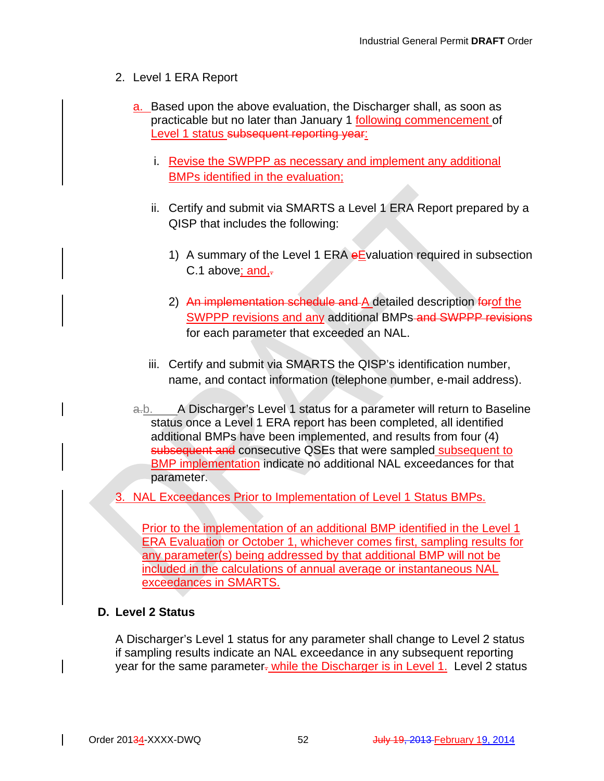- 2. Level 1 ERA Report
	- a. Based upon the above evaluation, the Discharger shall, as soon as practicable but no later than January 1 following commencement of Level 1 status subsequent reporting year:
		- i. Revise the SWPPP as necessary and implement any additional BMPs identified in the evaluation;
		- ii. Certify and submit via SMARTS a Level 1 ERA Report prepared by a QISP that includes the following:
			- 1) A summary of the Level 1 ERA eEvaluation required in subsection C.1 above;  $and_{\tau}$
			- 2) An implementation schedule and  $\overline{A}$  detailed description forof the SWPPP revisions and any additional BMPs and SWPPP revisions for each parameter that exceeded an NAL.
		- iii. Certify and submit via SMARTS the QISP's identification number, name, and contact information (telephone number, e-mail address).
	- a.b. A Discharger's Level 1 status for a parameter will return to Baseline status once a Level 1 ERA report has been completed, all identified additional BMPs have been implemented, and results from four (4) subsequent and consecutive QSEs that were sampled subsequent to BMP implementation indicate no additional NAL exceedances for that parameter.
- 3. NAL Exceedances Prior to Implementation of Level 1 Status BMPs.

Prior to the implementation of an additional BMP identified in the Level 1 ERA Evaluation or October 1, whichever comes first, sampling results for any parameter(s) being addressed by that additional BMP will not be included in the calculations of annual average or instantaneous NAL exceedances in SMARTS.

## **D. Level 2 Status**

A Discharger's Level 1 status for any parameter shall change to Level 2 status if sampling results indicate an NAL exceedance in any subsequent reporting year for the same parameter. while the Discharger is in Level 1. Level 2 status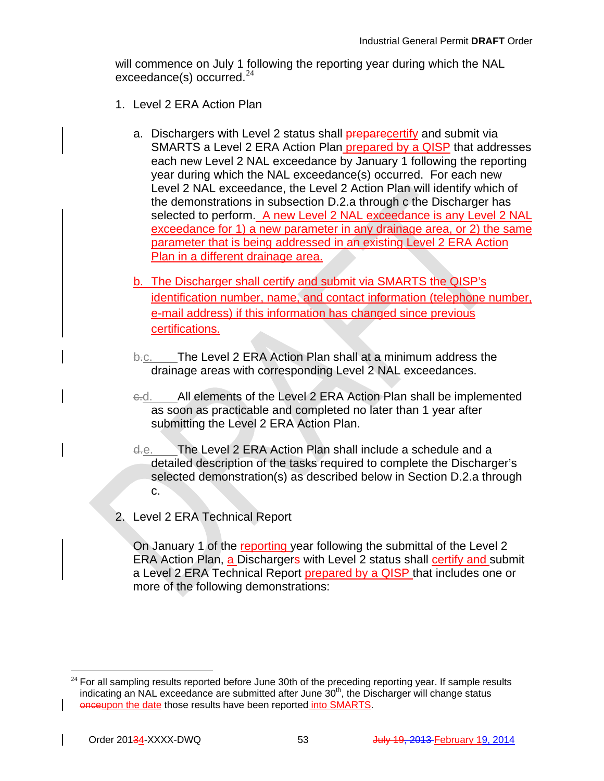will commence on July 1 following the reporting year during which the NAL exceedance(s) occurred. $^{24}$  $^{24}$  $^{24}$ 

- 1. Level 2 ERA Action Plan
	- a. Dischargers with Level 2 status shall **preparecertify** and submit via SMARTS a Level 2 ERA Action Plan prepared by a QISP that addresses each new Level 2 NAL exceedance by January 1 following the reporting year during which the NAL exceedance(s) occurred. For each new Level 2 NAL exceedance, the Level 2 Action Plan will identify which of the demonstrations in subsection D.2.a through c the Discharger has selected to perform. A new Level 2 NAL exceedance is any Level 2 NAL exceedance for 1) a new parameter in any drainage area, or 2) the same parameter that is being addressed in an existing Level 2 ERA Action Plan in a different drainage area.
	- b. The Discharger shall certify and submit via SMARTS the QISP's identification number, name, and contact information (telephone number, e-mail address) if this information has changed since previous certifications.
	- b.c. The Level 2 ERA Action Plan shall at a minimum address the drainage areas with corresponding Level 2 NAL exceedances.
	- c.d. All elements of the Level 2 ERA Action Plan shall be implemented as soon as practicable and completed no later than 1 year after submitting the Level 2 ERA Action Plan.
	- d.e. The Level 2 ERA Action Plan shall include a schedule and a detailed description of the tasks required to complete the Discharger's selected demonstration(s) as described below in Section D.2.a through c.
- 2. Level 2 ERA Technical Report

On January 1 of the reporting year following the submittal of the Level 2 ERA Action Plan, a Dischargers with Level 2 status shall certify and submit a Level 2 ERA Technical Report prepared by a QISP that includes one or more of the following demonstrations:

<span id="page-54-0"></span> $24$  For all sampling results reported before June 30th of the preceding reporting year. If sample results indicating an NAL exceedance are submitted after June  $30<sup>th</sup>$ , the Discharger will change status onceupon the date those results have been reported into SMARTS.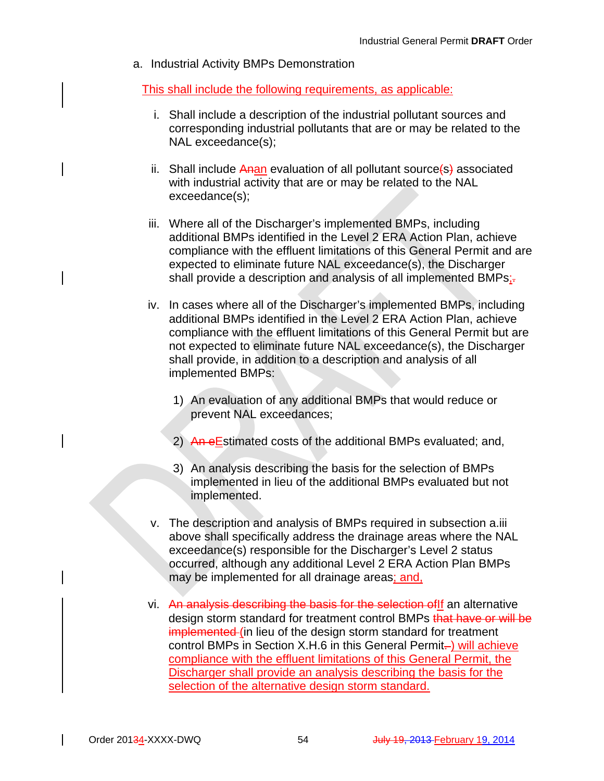a. Industrial Activity BMPs Demonstration

This shall include the following requirements, as applicable:

- i. Shall include a description of the industrial pollutant sources and corresponding industrial pollutants that are or may be related to the NAL exceedance(s);
- ii. Shall include Anan evaluation of all pollutant source(s) associated with industrial activity that are or may be related to the NAL exceedance(s);
- iii. Where all of the Discharger's implemented BMPs, including additional BMPs identified in the Level 2 ERA Action Plan, achieve compliance with the effluent limitations of this General Permit and are expected to eliminate future NAL exceedance(s), the Discharger shall provide a description and analysis of all implemented BMPs:-
- iv. In cases where all of the Discharger's implemented BMPs, including additional BMPs identified in the Level 2 ERA Action Plan, achieve compliance with the effluent limitations of this General Permit but are not expected to eliminate future NAL exceedance(s), the Discharger shall provide, in addition to a description and analysis of all implemented BMPs:
	- 1) An evaluation of any additional BMPs that would reduce or prevent NAL exceedances;
	- 2) An eEstimated costs of the additional BMPs evaluated; and,
	- 3) An analysis describing the basis for the selection of BMPs implemented in lieu of the additional BMPs evaluated but not implemented.
- v. The description and analysis of BMPs required in subsection a.iii above shall specifically address the drainage areas where the NAL exceedance(s) responsible for the Discharger's Level 2 status occurred, although any additional Level 2 ERA Action Plan BMPs may be implemented for all drainage areas; and,
- vi. An analysis describing the basis for the selection of If an alternative design storm standard for treatment control BMPs that have or will be implemented (in lieu of the design storm standard for treatment control BMPs in Section X.H.6 in this General Permit-) will achieve compliance with the effluent limitations of this General Permit, the Discharger shall provide an analysis describing the basis for the selection of the alternative design storm standard.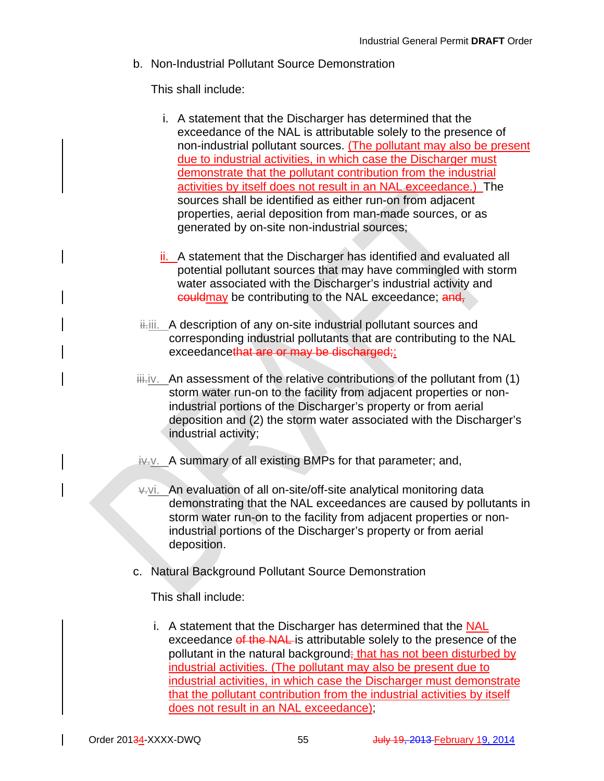b. Non-Industrial Pollutant Source Demonstration

This shall include:

- i. A statement that the Discharger has determined that the exceedance of the NAL is attributable solely to the presence of non-industrial pollutant sources. (The pollutant may also be present due to industrial activities, in which case the Discharger must demonstrate that the pollutant contribution from the industrial activities by itself does not result in an NAL exceedance.) The sources shall be identified as either run-on from adjacent properties, aerial deposition from man-made sources, or as generated by on-site non-industrial sources;
- ii. A statement that the Discharger has identified and evaluated all potential pollutant sources that may have commingled with storm water associated with the Discharger's industrial activity and **couldmay** be contributing to the NAL exceedance; and,
- ii. A description of any on-site industrial pollutant sources and corresponding industrial pollutants that are contributing to the NAL exceedancethat are or may be discharged;;
- $\frac{1}{111}$  An assessment of the relative contributions of the pollutant from (1) storm water run-on to the facility from adjacent properties or nonindustrial portions of the Discharger's property or from aerial deposition and (2) the storm water associated with the Discharger's industrial activity;
- iv.v. A summary of all existing BMPs for that parameter; and,
- $\leftrightarrow$ vi. An evaluation of all on-site/off-site analytical monitoring data demonstrating that the NAL exceedances are caused by pollutants in storm water run-on to the facility from adjacent properties or nonindustrial portions of the Discharger's property or from aerial deposition.
- c. Natural Background Pollutant Source Demonstration

This shall include:

i. A statement that the Discharger has determined that the NAL exceedance of the NAL is attributable solely to the presence of the pollutant in the natural background; that has not been disturbed by industrial activities. (The pollutant may also be present due to industrial activities, in which case the Discharger must demonstrate that the pollutant contribution from the industrial activities by itself does not result in an NAL exceedance);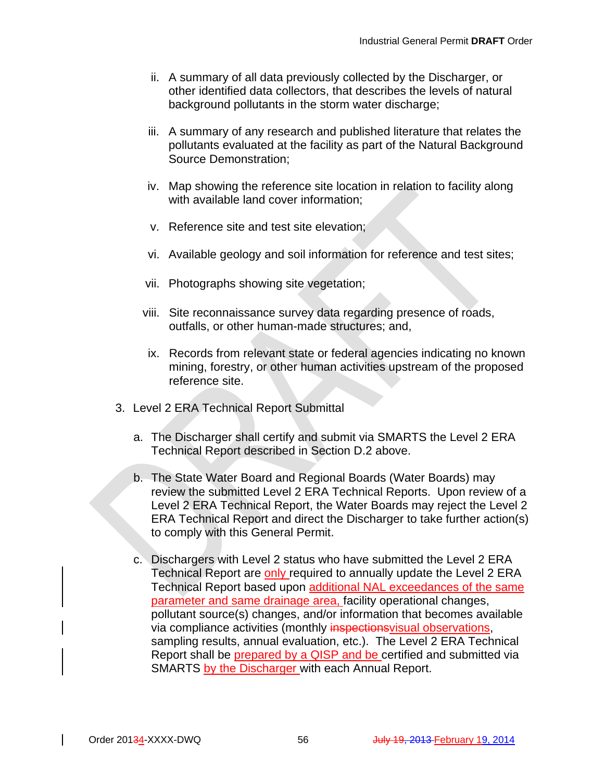- ii. A summary of all data previously collected by the Discharger, or other identified data collectors, that describes the levels of natural background pollutants in the storm water discharge;
- iii. A summary of any research and published literature that relates the pollutants evaluated at the facility as part of the Natural Background Source Demonstration;
- iv. Map showing the reference site location in relation to facility along with available land cover information;
- v. Reference site and test site elevation;
- vi. Available geology and soil information for reference and test sites;
- vii. Photographs showing site vegetation;
- viii. Site reconnaissance survey data regarding presence of roads, outfalls, or other human-made structures; and,
- ix. Records from relevant state or federal agencies indicating no known mining, forestry, or other human activities upstream of the proposed reference site.
- 3. Level 2 ERA Technical Report Submittal
	- a. The Discharger shall certify and submit via SMARTS the Level 2 ERA Technical Report described in Section D.2 above.
	- b. The State Water Board and Regional Boards (Water Boards) may review the submitted Level 2 ERA Technical Reports. Upon review of a Level 2 ERA Technical Report, the Water Boards may reject the Level 2 ERA Technical Report and direct the Discharger to take further action(s) to comply with this General Permit.
	- c. Dischargers with Level 2 status who have submitted the Level 2 ERA Technical Report are only required to annually update the Level 2 ERA Technical Report based upon additional NAL exceedances of the same parameter and same drainage area, facility operational changes, pollutant source(s) changes, and/or information that becomes available via compliance activities (monthly inspections visual observations, sampling results, annual evaluation, etc.). The Level 2 ERA Technical Report shall be prepared by a QISP and be certified and submitted via SMARTS by the Discharger with each Annual Report.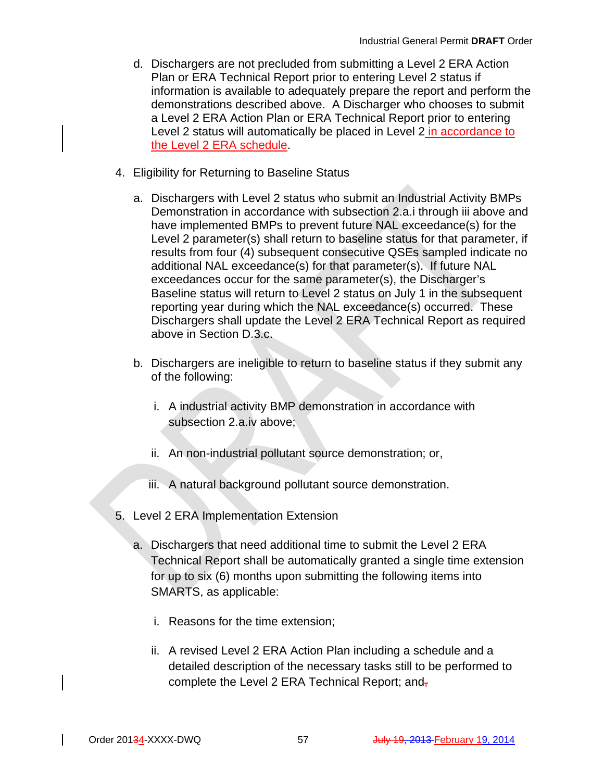- d. Dischargers are not precluded from submitting a Level 2 ERA Action Plan or ERA Technical Report prior to entering Level 2 status if information is available to adequately prepare the report and perform the demonstrations described above. A Discharger who chooses to submit a Level 2 ERA Action Plan or ERA Technical Report prior to entering Level 2 status will automatically be placed in Level 2 in accordance to the Level 2 ERA schedule.
- 4. Eligibility for Returning to Baseline Status
	- a. Dischargers with Level 2 status who submit an Industrial Activity BMPs Demonstration in accordance with subsection 2.a.i through iii above and have implemented BMPs to prevent future NAL exceedance(s) for the Level 2 parameter(s) shall return to baseline status for that parameter, if results from four (4) subsequent consecutive QSEs sampled indicate no additional NAL exceedance(s) for that parameter(s). If future NAL exceedances occur for the same parameter(s), the Discharger's Baseline status will return to Level 2 status on July 1 in the subsequent reporting year during which the NAL exceedance(s) occurred. These Dischargers shall update the Level 2 ERA Technical Report as required above in Section D.3.c.
	- b. Dischargers are ineligible to return to baseline status if they submit any of the following:
		- i. A industrial activity BMP demonstration in accordance with subsection 2.a.iv above;
		- ii. An non-industrial pollutant source demonstration; or,
		- iii. A natural background pollutant source demonstration.
- 5. Level 2 ERA Implementation Extension
	- a. Dischargers that need additional time to submit the Level 2 ERA Technical Report shall be automatically granted a single time extension for up to six (6) months upon submitting the following items into SMARTS, as applicable:
		- i. Reasons for the time extension;
		- ii. A revised Level 2 ERA Action Plan including a schedule and a detailed description of the necessary tasks still to be performed to complete the Level 2 ERA Technical Report; and,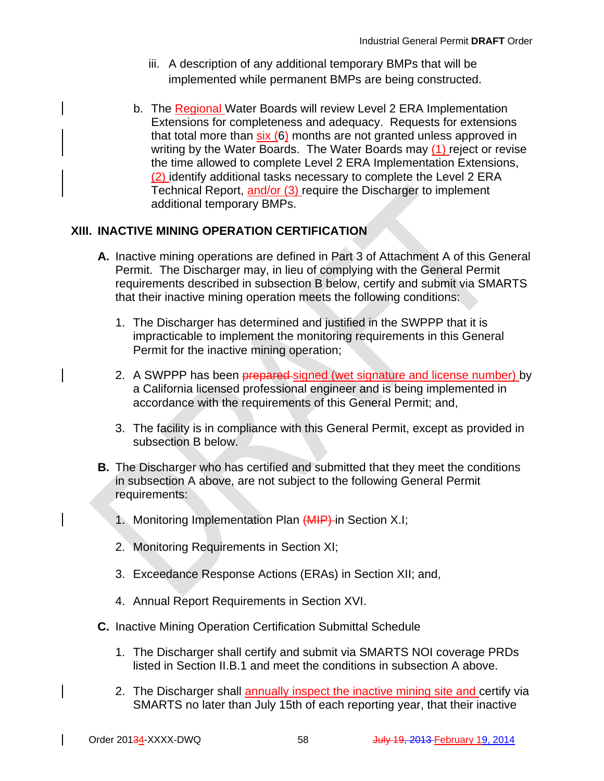- iii. A description of any additional temporary BMPs that will be implemented while permanent BMPs are being constructed.
- b. The Regional Water Boards will review Level 2 ERA Implementation Extensions for completeness and adequacy. Requests for extensions that total more than six (6) months are not granted unless approved in writing by the Water Boards. The Water Boards may (1) reject or revise the time allowed to complete Level 2 ERA Implementation Extensions, (2) identify additional tasks necessary to complete the Level 2 ERA Technical Report, and/or (3) require the Discharger to implement additional temporary BMPs.

## **XIII. INACTIVE MINING OPERATION CERTIFICATION**

- **A.** Inactive mining operations are defined in Part 3 of Attachment A of this General Permit. The Discharger may, in lieu of complying with the General Permit requirements described in subsection B below, certify and submit via SMARTS that their inactive mining operation meets the following conditions:
	- 1. The Discharger has determined and justified in the SWPPP that it is impracticable to implement the monitoring requirements in this General Permit for the inactive mining operation;
	- 2. A SWPPP has been prepared signed (wet signature and license number) by a California licensed professional engineer and is being implemented in accordance with the requirements of this General Permit; and,
	- 3. The facility is in compliance with this General Permit, except as provided in subsection B below.
- **B.** The Discharger who has certified and submitted that they meet the conditions in subsection A above, are not subject to the following General Permit requirements:
	- 1. Monitoring Implementation Plan (MIP) in Section X.I;
	- 2. Monitoring Requirements in Section XI;
	- 3. Exceedance Response Actions (ERAs) in Section XII; and,
	- 4. Annual Report Requirements in Section XVI.
- **C.** Inactive Mining Operation Certification Submittal Schedule
	- 1. The Discharger shall certify and submit via SMARTS NOI coverage PRDs listed in Section II.B.1 and meet the conditions in subsection A above.
	- 2. The Discharger shall annually inspect the inactive mining site and certify via SMARTS no later than July 15th of each reporting year, that their inactive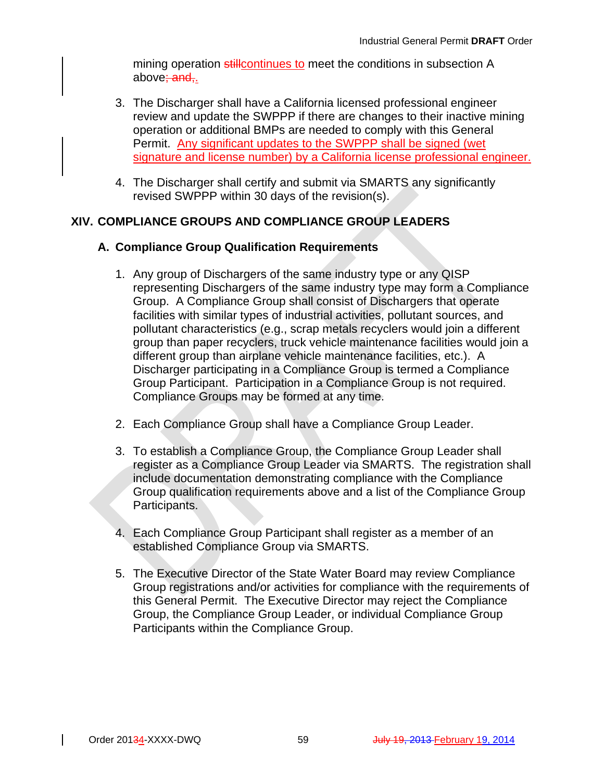mining operation stillcontinues to meet the conditions in subsection A above; and,.

- 3. The Discharger shall have a California licensed professional engineer review and update the SWPPP if there are changes to their inactive mining operation or additional BMPs are needed to comply with this General Permit. Any significant updates to the SWPPP shall be signed (wet signature and license number) by a California license professional engineer.
- 4. The Discharger shall certify and submit via SMARTS any significantly revised SWPPP within 30 days of the revision(s).

# **XIV. COMPLIANCE GROUPS AND COMPLIANCE GROUP LEADERS**

## **A. Compliance Group Qualification Requirements**

- 1. Any group of Dischargers of the same industry type or any QISP representing Dischargers of the same industry type may form a Compliance Group. A Compliance Group shall consist of Dischargers that operate facilities with similar types of industrial activities, pollutant sources, and pollutant characteristics (e.g., scrap metals recyclers would join a different group than paper recyclers, truck vehicle maintenance facilities would join a different group than airplane vehicle maintenance facilities, etc.). A Discharger participating in a Compliance Group is termed a Compliance Group Participant. Participation in a Compliance Group is not required. Compliance Groups may be formed at any time.
- 2. Each Compliance Group shall have a Compliance Group Leader.
- 3. To establish a Compliance Group, the Compliance Group Leader shall register as a Compliance Group Leader via SMARTS. The registration shall include documentation demonstrating compliance with the Compliance Group qualification requirements above and a list of the Compliance Group Participants.
- 4. Each Compliance Group Participant shall register as a member of an established Compliance Group via SMARTS.
- 5. The Executive Director of the State Water Board may review Compliance Group registrations and/or activities for compliance with the requirements of this General Permit. The Executive Director may reject the Compliance Group, the Compliance Group Leader, or individual Compliance Group Participants within the Compliance Group.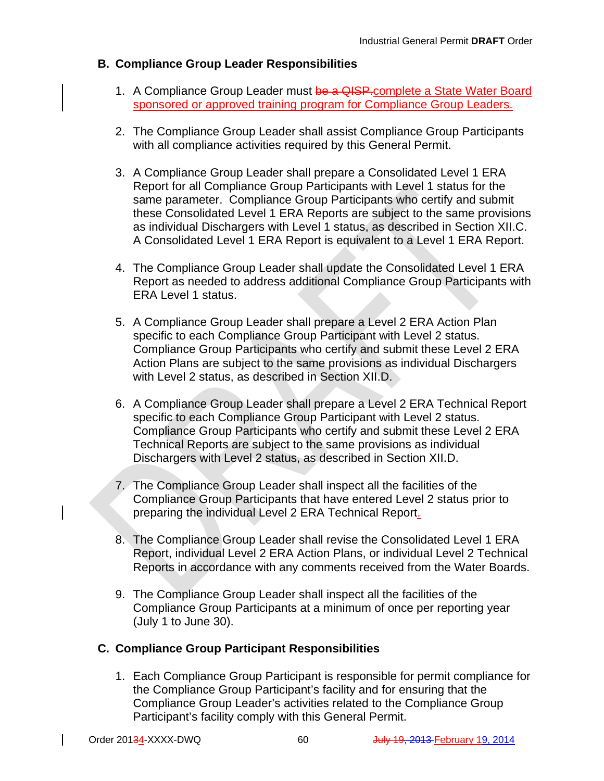# **B. Compliance Group Leader Responsibilities**

- 1. A Compliance Group Leader must be a QISP-complete a State Water Board sponsored or approved training program for Compliance Group Leaders.
- 2. The Compliance Group Leader shall assist Compliance Group Participants with all compliance activities required by this General Permit.
- 3. A Compliance Group Leader shall prepare a Consolidated Level 1 ERA Report for all Compliance Group Participants with Level 1 status for the same parameter. Compliance Group Participants who certify and submit these Consolidated Level 1 ERA Reports are subject to the same provisions as individual Dischargers with Level 1 status, as described in Section XII.C. A Consolidated Level 1 ERA Report is equivalent to a Level 1 ERA Report.
- 4. The Compliance Group Leader shall update the Consolidated Level 1 ERA Report as needed to address additional Compliance Group Participants with ERA Level 1 status.
- 5. A Compliance Group Leader shall prepare a Level 2 ERA Action Plan specific to each Compliance Group Participant with Level 2 status. Compliance Group Participants who certify and submit these Level 2 ERA Action Plans are subject to the same provisions as individual Dischargers with Level 2 status, as described in Section XII.D.
- 6. A Compliance Group Leader shall prepare a Level 2 ERA Technical Report specific to each Compliance Group Participant with Level 2 status. Compliance Group Participants who certify and submit these Level 2 ERA Technical Reports are subject to the same provisions as individual Dischargers with Level 2 status, as described in Section XII.D.
- 7. The Compliance Group Leader shall inspect all the facilities of the Compliance Group Participants that have entered Level 2 status prior to preparing the individual Level 2 ERA Technical Report.
- 8. The Compliance Group Leader shall revise the Consolidated Level 1 ERA Report, individual Level 2 ERA Action Plans, or individual Level 2 Technical Reports in accordance with any comments received from the Water Boards.
- 9. The Compliance Group Leader shall inspect all the facilities of the Compliance Group Participants at a minimum of once per reporting year (July 1 to June 30).

# **C. Compliance Group Participant Responsibilities**

1. Each Compliance Group Participant is responsible for permit compliance for the Compliance Group Participant's facility and for ensuring that the Compliance Group Leader's activities related to the Compliance Group Participant's facility comply with this General Permit.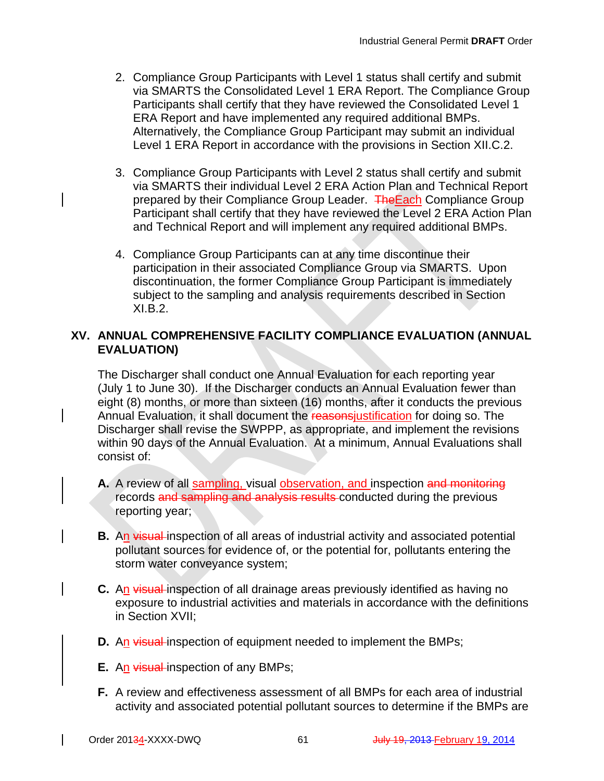- 2. Compliance Group Participants with Level 1 status shall certify and submit via SMARTS the Consolidated Level 1 ERA Report. The Compliance Group Participants shall certify that they have reviewed the Consolidated Level 1 ERA Report and have implemented any required additional BMPs. Alternatively, the Compliance Group Participant may submit an individual Level 1 ERA Report in accordance with the provisions in Section XII.C.2.
- 3. Compliance Group Participants with Level 2 status shall certify and submit via SMARTS their individual Level 2 ERA Action Plan and Technical Report prepared by their Compliance Group Leader. The Each Compliance Group Participant shall certify that they have reviewed the Level 2 ERA Action Plan and Technical Report and will implement any required additional BMPs.
- 4. Compliance Group Participants can at any time discontinue their participation in their associated Compliance Group via SMARTS. Upon discontinuation, the former Compliance Group Participant is immediately subject to the sampling and analysis requirements described in Section XI.B.2.

## **XV. ANNUAL COMPREHENSIVE FACILITY COMPLIANCE EVALUATION (ANNUAL EVALUATION)**

The Discharger shall conduct one Annual Evaluation for each reporting year (July 1 to June 30). If the Discharger conducts an Annual Evaluation fewer than eight (8) months, or more than sixteen (16) months, after it conducts the previous Annual Evaluation, it shall document the reasonsjustification for doing so. The Discharger shall revise the SWPPP, as appropriate, and implement the revisions within 90 days of the Annual Evaluation. At a minimum, Annual Evaluations shall consist of:

- **A.** A review of all sampling, visual observation, and inspection and monitoring records and sampling and analysis results conducted during the previous reporting year;
- **B.** An visual inspection of all areas of industrial activity and associated potential pollutant sources for evidence of, or the potential for, pollutants entering the storm water conveyance system;
- **C.** An visual inspection of all drainage areas previously identified as having no exposure to industrial activities and materials in accordance with the definitions in Section XVII;
- **D.** An visual inspection of equipment needed to implement the BMPs;
- **E.** An visual inspection of any BMPs;
- **F.** A review and effectiveness assessment of all BMPs for each area of industrial activity and associated potential pollutant sources to determine if the BMPs are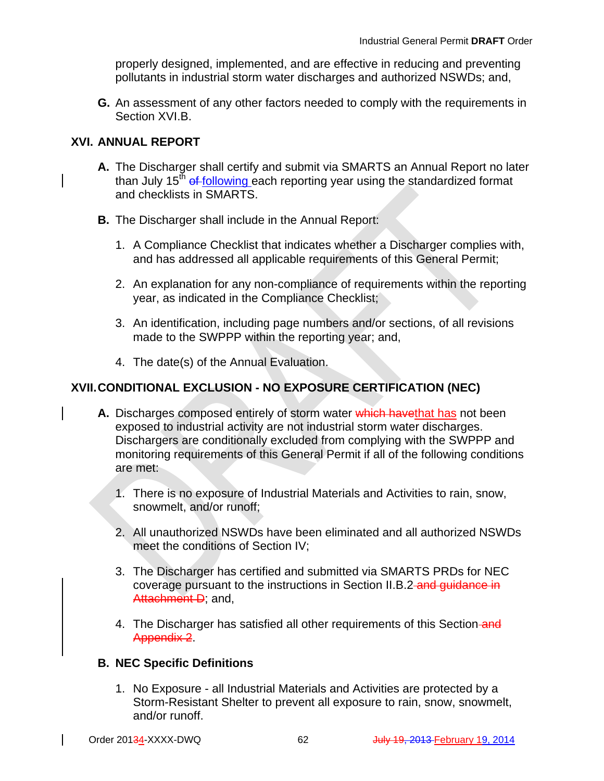properly designed, implemented, and are effective in reducing and preventing pollutants in industrial storm water discharges and authorized NSWDs; and,

**G.** An assessment of any other factors needed to comply with the requirements in Section XVI.B.

# **XVI. ANNUAL REPORT**

- **A.** The Discharger shall certify and submit via SMARTS an Annual Report no later than July  $15<sup>th</sup>$  of following each reporting year using the standardized format and checklists in SMARTS.
- **B.** The Discharger shall include in the Annual Report:
	- 1. A Compliance Checklist that indicates whether a Discharger complies with, and has addressed all applicable requirements of this General Permit;
	- 2. An explanation for any non-compliance of requirements within the reporting year, as indicated in the Compliance Checklist;
	- 3. An identification, including page numbers and/or sections, of all revisions made to the SWPPP within the reporting year; and,
	- 4. The date(s) of the Annual Evaluation.

# **XVII.CONDITIONAL EXCLUSION - NO EXPOSURE CERTIFICATION (NEC)**

- **A.** Discharges composed entirely of storm water which havethat has not been exposed to industrial activity are not industrial storm water discharges. Dischargers are conditionally excluded from complying with the SWPPP and monitoring requirements of this General Permit if all of the following conditions are met:
	- 1. There is no exposure of Industrial Materials and Activities to rain, snow, snowmelt, and/or runoff;
	- 2. All unauthorized NSWDs have been eliminated and all authorized NSWDs meet the conditions of Section IV;
	- 3. The Discharger has certified and submitted via SMARTS PRDs for NEC coverage pursuant to the instructions in Section II.B.2-and guidance in Attachment D; and,
	- 4. The Discharger has satisfied all other requirements of this Section-and Appendix 2.

## **B. NEC Specific Definitions**

1. No Exposure - all Industrial Materials and Activities are protected by a Storm-Resistant Shelter to prevent all exposure to rain, snow, snowmelt, and/or runoff.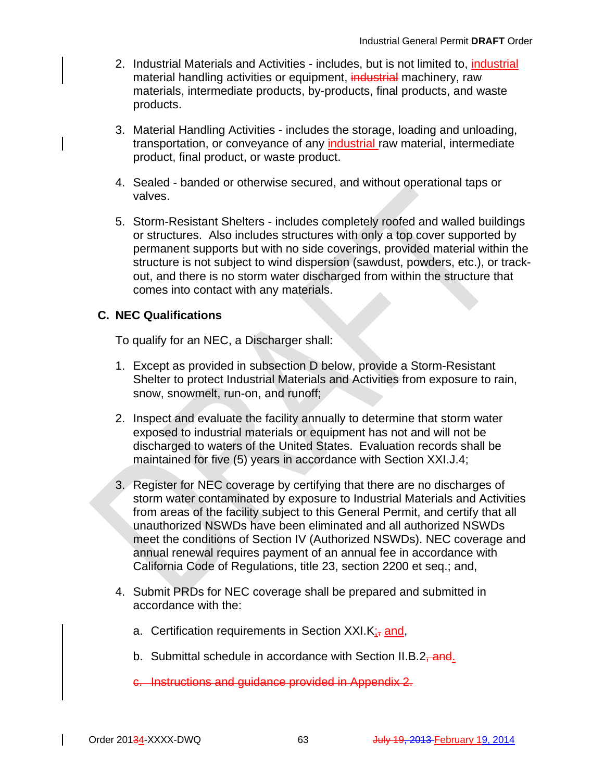- 2. Industrial Materials and Activities includes, but is not limited to, industrial material handling activities or equipment, industrial machinery, raw materials, intermediate products, by-products, final products, and waste products.
- 3. Material Handling Activities includes the storage, loading and unloading, transportation, or conveyance of any industrial raw material, intermediate product, final product, or waste product.
- 4. Sealed banded or otherwise secured, and without operational taps or valves.
- 5. Storm-Resistant Shelters includes completely roofed and walled buildings or structures. Also includes structures with only a top cover supported by permanent supports but with no side coverings, provided material within the structure is not subject to wind dispersion (sawdust, powders, etc.), or trackout, and there is no storm water discharged from within the structure that comes into contact with any materials.

# **C. NEC Qualifications**

To qualify for an NEC, a Discharger shall:

- 1. Except as provided in subsection D below, provide a Storm-Resistant Shelter to protect Industrial Materials and Activities from exposure to rain, snow, snowmelt, run-on, and runoff;
- 2. Inspect and evaluate the facility annually to determine that storm water exposed to industrial materials or equipment has not and will not be discharged to waters of the United States. Evaluation records shall be maintained for five (5) years in accordance with Section XXI.J.4;
- 3. Register for NEC coverage by certifying that there are no discharges of storm water contaminated by exposure to Industrial Materials and Activities from areas of the facility subject to this General Permit, and certify that all unauthorized NSWDs have been eliminated and all authorized NSWDs meet the conditions of Section IV (Authorized NSWDs). NEC coverage and annual renewal requires payment of an annual fee in accordance with California Code of Regulations, title 23, section 2200 et seq.; and,
- 4. Submit PRDs for NEC coverage shall be prepared and submitted in accordance with the:
	- a. Certification requirements in Section  $XXI.K_{15}$  and,
	- b. Submittal schedule in accordance with Section II.B.2, and.
	- c. Instructions and guidance provided in Appendix 2.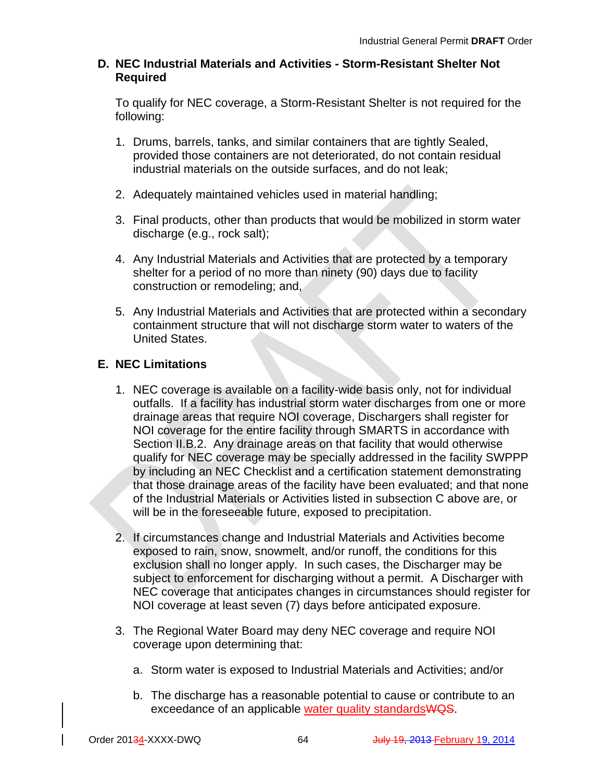#### **D. NEC Industrial Materials and Activities - Storm-Resistant Shelter Not Required**

To qualify for NEC coverage, a Storm-Resistant Shelter is not required for the following:

- 1. Drums, barrels, tanks, and similar containers that are tightly Sealed, provided those containers are not deteriorated, do not contain residual industrial materials on the outside surfaces, and do not leak;
- 2. Adequately maintained vehicles used in material handling;
- 3. Final products, other than products that would be mobilized in storm water discharge (e.g., rock salt);
- 4. Any Industrial Materials and Activities that are protected by a temporary shelter for a period of no more than ninety (90) days due to facility construction or remodeling; and,
- 5. Any Industrial Materials and Activities that are protected within a secondary containment structure that will not discharge storm water to waters of the United States.

# **E. NEC Limitations**

- 1. NEC coverage is available on a facility-wide basis only, not for individual outfalls. If a facility has industrial storm water discharges from one or more drainage areas that require NOI coverage, Dischargers shall register for NOI coverage for the entire facility through SMARTS in accordance with Section II.B.2. Any drainage areas on that facility that would otherwise qualify for NEC coverage may be specially addressed in the facility SWPPP by including an NEC Checklist and a certification statement demonstrating that those drainage areas of the facility have been evaluated; and that none of the Industrial Materials or Activities listed in subsection C above are, or will be in the foreseeable future, exposed to precipitation.
- 2. If circumstances change and Industrial Materials and Activities become exposed to rain, snow, snowmelt, and/or runoff, the conditions for this exclusion shall no longer apply. In such cases, the Discharger may be subject to enforcement for discharging without a permit. A Discharger with NEC coverage that anticipates changes in circumstances should register for NOI coverage at least seven (7) days before anticipated exposure.
- 3. The Regional Water Board may deny NEC coverage and require NOI coverage upon determining that:
	- a. Storm water is exposed to Industrial Materials and Activities; and/or
	- b. The discharge has a reasonable potential to cause or contribute to an exceedance of an applicable water quality standards WQS.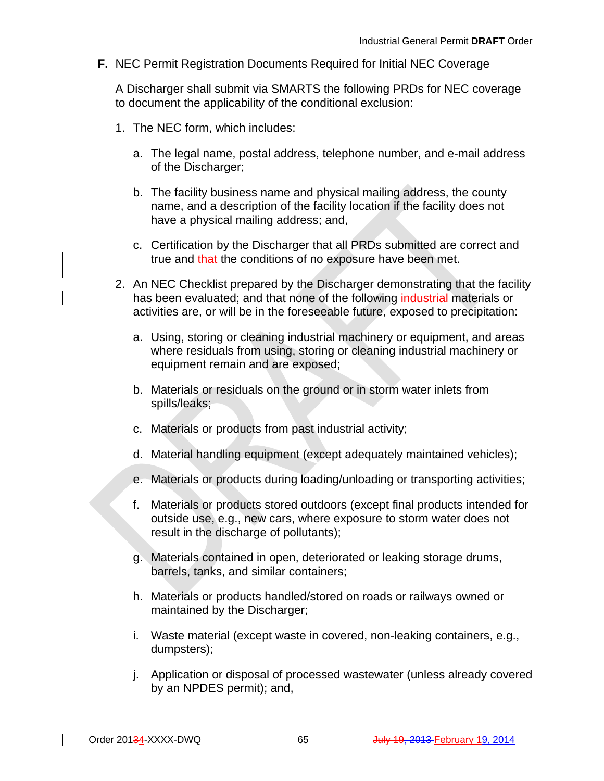**F.** NEC Permit Registration Documents Required for Initial NEC Coverage

A Discharger shall submit via SMARTS the following PRDs for NEC coverage to document the applicability of the conditional exclusion:

- 1. The NEC form, which includes:
	- a. The legal name, postal address, telephone number, and e-mail address of the Discharger;
	- b. The facility business name and physical mailing address, the county name, and a description of the facility location if the facility does not have a physical mailing address; and,
	- c. Certification by the Discharger that all PRDs submitted are correct and true and that the conditions of no exposure have been met.
- 2. An NEC Checklist prepared by the Discharger demonstrating that the facility has been evaluated; and that none of the following industrial materials or activities are, or will be in the foreseeable future, exposed to precipitation:
	- a. Using, storing or cleaning industrial machinery or equipment, and areas where residuals from using, storing or cleaning industrial machinery or equipment remain and are exposed;
	- b. Materials or residuals on the ground or in storm water inlets from spills/leaks;
	- c. Materials or products from past industrial activity;
	- d. Material handling equipment (except adequately maintained vehicles);
	- e. Materials or products during loading/unloading or transporting activities;
	- f. Materials or products stored outdoors (except final products intended for outside use, e.g., new cars, where exposure to storm water does not result in the discharge of pollutants);
	- g. Materials contained in open, deteriorated or leaking storage drums, barrels, tanks, and similar containers;
	- h. Materials or products handled/stored on roads or railways owned or maintained by the Discharger;
	- i. Waste material (except waste in covered, non-leaking containers, e.g., dumpsters);
	- j. Application or disposal of processed wastewater (unless already covered by an NPDES permit); and,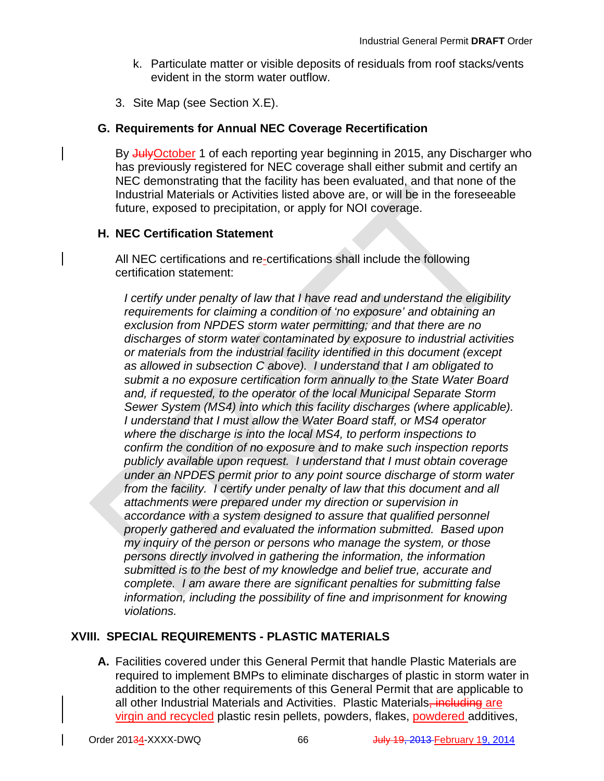- k. Particulate matter or visible deposits of residuals from roof stacks/vents evident in the storm water outflow.
- 3. Site Map (see Section X.E).

### **G. Requirements for Annual NEC Coverage Recertification**

By July October 1 of each reporting year beginning in 2015, any Discharger who has previously registered for NEC coverage shall either submit and certify an NEC demonstrating that the facility has been evaluated, and that none of the Industrial Materials or Activities listed above are, or will be in the foreseeable future, exposed to precipitation, or apply for NOI coverage.

### **H. NEC Certification Statement**

All NEC certifications and re-certifications shall include the following certification statement:

*I certify under penalty of law that I have read and understand the eligibility requirements for claiming a condition of 'no exposure' and obtaining an exclusion from NPDES storm water permitting; and that there are no discharges of storm water contaminated by exposure to industrial activities or materials from the industrial facility identified in this document (except as allowed in subsection C above). I understand that I am obligated to submit a no exposure certification form annually to the State Water Board and, if requested, to the operator of the local Municipal Separate Storm Sewer System (MS4) into which this facility discharges (where applicable). I understand that I must allow the Water Board staff, or MS4 operator where the discharge is into the local MS4, to perform inspections to confirm the condition of no exposure and to make such inspection reports publicly available upon request. I understand that I must obtain coverage under an NPDES permit prior to any point source discharge of storm water from the facility. I certify under penalty of law that this document and all attachments were prepared under my direction or supervision in accordance with a system designed to assure that qualified personnel properly gathered and evaluated the information submitted. Based upon my inquiry of the person or persons who manage the system, or those persons directly involved in gathering the information, the information submitted is to the best of my knowledge and belief true, accurate and complete. I am aware there are significant penalties for submitting false information, including the possibility of fine and imprisonment for knowing violations.*

## **XVIII. SPECIAL REQUIREMENTS - PLASTIC MATERIALS**

**A.** Facilities covered under this General Permit that handle Plastic Materials are required to implement BMPs to eliminate discharges of plastic in storm water in addition to the other requirements of this General Permit that are applicable to all other Industrial Materials and Activities. Plastic Materials, including are virgin and recycled plastic resin pellets, powders, flakes, powdered additives,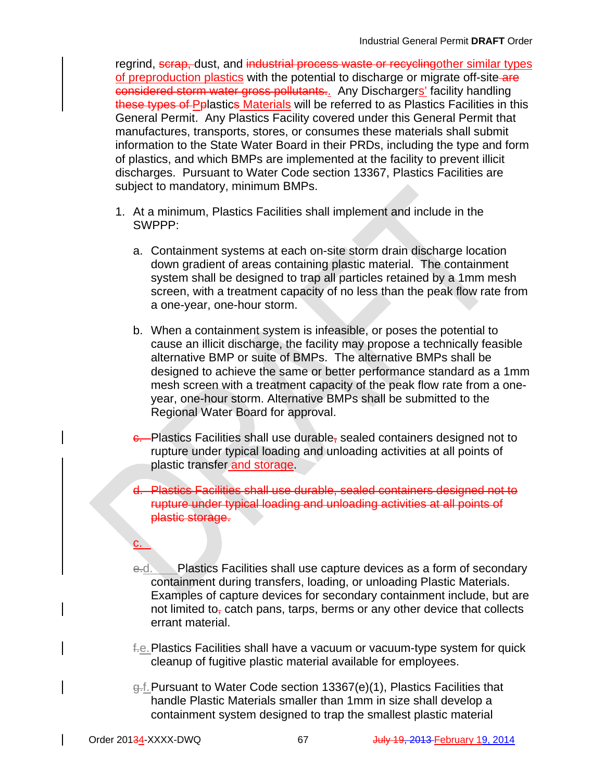regrind, scrap, dust, and industrial process waste or recyclingother similar types of preproduction plastics with the potential to discharge or migrate off-site are considered storm water gross pollutants.. Any Dischargers' facility handling these types of Pplastics Materials will be referred to as Plastics Facilities in this General Permit. Any Plastics Facility covered under this General Permit that manufactures, transports, stores, or consumes these materials shall submit information to the State Water Board in their PRDs, including the type and form of plastics, and which BMPs are implemented at the facility to prevent illicit discharges. Pursuant to Water Code section 13367, Plastics Facilities are subject to mandatory, minimum BMPs.

- 1. At a minimum, Plastics Facilities shall implement and include in the SWPPP:
	- a. Containment systems at each on-site storm drain discharge location down gradient of areas containing plastic material. The containment system shall be designed to trap all particles retained by a 1mm mesh screen, with a treatment capacity of no less than the peak flow rate from a one-year, one-hour storm.
	- b. When a containment system is infeasible, or poses the potential to cause an illicit discharge, the facility may propose a technically feasible alternative BMP or suite of BMPs. The alternative BMPs shall be designed to achieve the same or better performance standard as a 1mm mesh screen with a treatment capacity of the peak flow rate from a oneyear, one-hour storm. Alternative BMPs shall be submitted to the Regional Water Board for approval.
	- **e.** Plastics Facilities shall use durable, sealed containers designed not to rupture under typical loading and unloading activities at all points of plastic transfer and storage.
	- d. Plastics Facilities shall use durable, sealed containers designed not to rupture under typical loading and unloading activities at all points of plastic storage.
	- Plastics Facilities shall use capture devices as a form of secondary containment during transfers, loading, or unloading Plastic Materials. Examples of capture devices for secondary containment include, but are not limited to<sub>r</sub> catch pans, tarps, berms or any other device that collects errant material.
	- f.e.Plastics Facilities shall have a vacuum or vacuum-type system for quick cleanup of fugitive plastic material available for employees.
	- g.f.Pursuant to Water Code section 13367(e)(1), Plastics Facilities that handle Plastic Materials smaller than 1mm in size shall develop a containment system designed to trap the smallest plastic material

c.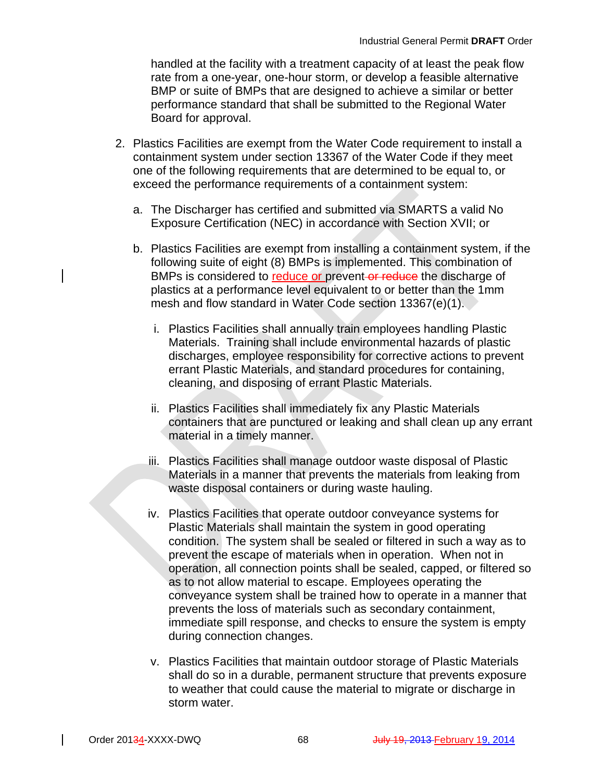handled at the facility with a treatment capacity of at least the peak flow rate from a one-year, one-hour storm, or develop a feasible alternative BMP or suite of BMPs that are designed to achieve a similar or better performance standard that shall be submitted to the Regional Water Board for approval.

- 2. Plastics Facilities are exempt from the Water Code requirement to install a containment system under section 13367 of the Water Code if they meet one of the following requirements that are determined to be equal to, or exceed the performance requirements of a containment system:
	- a. The Discharger has certified and submitted via SMARTS a valid No Exposure Certification (NEC) in accordance with Section XVII; or
	- b. Plastics Facilities are exempt from installing a containment system, if the following suite of eight (8) BMPs is implemented. This combination of BMPs is considered to reduce or prevent or reduce the discharge of plastics at a performance level equivalent to or better than the 1mm mesh and flow standard in Water Code section 13367(e)(1).
		- i. Plastics Facilities shall annually train employees handling Plastic Materials. Training shall include environmental hazards of plastic discharges, employee responsibility for corrective actions to prevent errant Plastic Materials, and standard procedures for containing, cleaning, and disposing of errant Plastic Materials.
		- ii. Plastics Facilities shall immediately fix any Plastic Materials containers that are punctured or leaking and shall clean up any errant material in a timely manner.
		- iii. Plastics Facilities shall manage outdoor waste disposal of Plastic Materials in a manner that prevents the materials from leaking from waste disposal containers or during waste hauling.
		- iv. Plastics Facilities that operate outdoor conveyance systems for Plastic Materials shall maintain the system in good operating condition. The system shall be sealed or filtered in such a way as to prevent the escape of materials when in operation. When not in operation, all connection points shall be sealed, capped, or filtered so as to not allow material to escape. Employees operating the conveyance system shall be trained how to operate in a manner that prevents the loss of materials such as secondary containment, immediate spill response, and checks to ensure the system is empty during connection changes.
		- v. Plastics Facilities that maintain outdoor storage of Plastic Materials shall do so in a durable, permanent structure that prevents exposure to weather that could cause the material to migrate or discharge in storm water.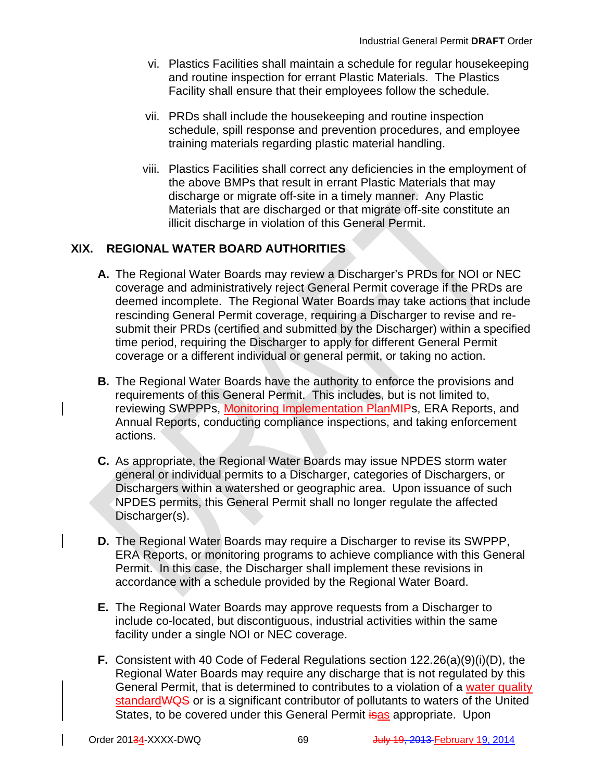- vi. Plastics Facilities shall maintain a schedule for regular housekeeping and routine inspection for errant Plastic Materials. The Plastics Facility shall ensure that their employees follow the schedule.
- vii. PRDs shall include the housekeeping and routine inspection schedule, spill response and prevention procedures, and employee training materials regarding plastic material handling.
- viii. Plastics Facilities shall correct any deficiencies in the employment of the above BMPs that result in errant Plastic Materials that may discharge or migrate off-site in a timely manner. Any Plastic Materials that are discharged or that migrate off-site constitute an illicit discharge in violation of this General Permit.

# **XIX. REGIONAL WATER BOARD AUTHORITIES**

- **A.** The Regional Water Boards may review a Discharger's PRDs for NOI or NEC coverage and administratively reject General Permit coverage if the PRDs are deemed incomplete. The Regional Water Boards may take actions that include rescinding General Permit coverage, requiring a Discharger to revise and resubmit their PRDs (certified and submitted by the Discharger) within a specified time period, requiring the Discharger to apply for different General Permit coverage or a different individual or general permit, or taking no action.
- **B.** The Regional Water Boards have the authority to enforce the provisions and requirements of this General Permit. This includes, but is not limited to, reviewing SWPPPs, Monitoring Implementation PlanMIPs, ERA Reports, and Annual Reports, conducting compliance inspections, and taking enforcement actions.
- **C.** As appropriate, the Regional Water Boards may issue NPDES storm water general or individual permits to a Discharger, categories of Dischargers, or Dischargers within a watershed or geographic area. Upon issuance of such NPDES permits, this General Permit shall no longer regulate the affected Discharger(s).
- **D.** The Regional Water Boards may require a Discharger to revise its SWPPP, ERA Reports, or monitoring programs to achieve compliance with this General Permit. In this case, the Discharger shall implement these revisions in accordance with a schedule provided by the Regional Water Board.
- **E.** The Regional Water Boards may approve requests from a Discharger to include co-located, but discontiguous, industrial activities within the same facility under a single NOI or NEC coverage.
- **F.** Consistent with 40 Code of Federal Regulations section 122.26(a)(9)(i)(D), the Regional Water Boards may require any discharge that is not regulated by this General Permit, that is determined to contributes to a violation of a water quality standard WQS or is a significant contributor of pollutants to waters of the United States, to be covered under this General Permit isas appropriate. Upon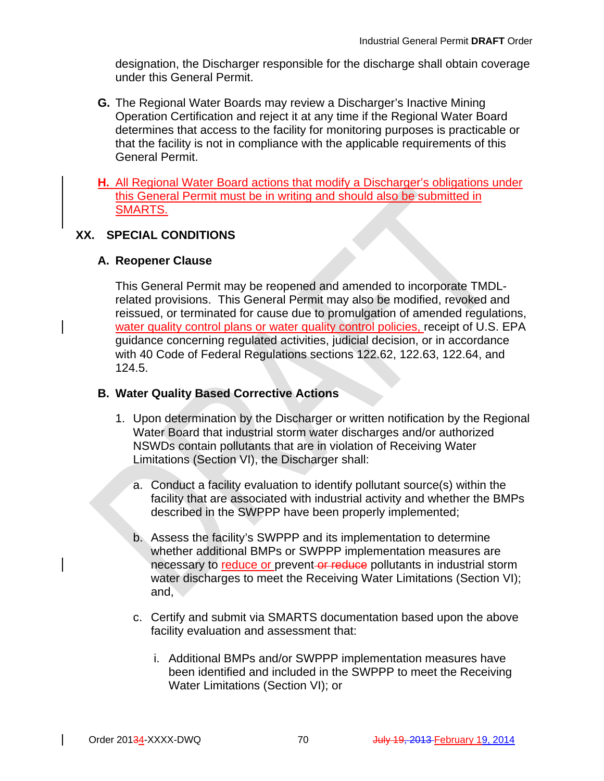designation, the Discharger responsible for the discharge shall obtain coverage under this General Permit.

- **G.** The Regional Water Boards may review a Discharger's Inactive Mining Operation Certification and reject it at any time if the Regional Water Board determines that access to the facility for monitoring purposes is practicable or that the facility is not in compliance with the applicable requirements of this General Permit.
- **H.** All Regional Water Board actions that modify a Discharger's obligations under this General Permit must be in writing and should also be submitted in SMARTS.

### **XX. SPECIAL CONDITIONS**

#### **A. Reopener Clause**

This General Permit may be reopened and amended to incorporate TMDLrelated provisions. This General Permit may also be modified, revoked and reissued, or terminated for cause due to promulgation of amended regulations, water quality control plans or water quality control policies, receipt of U.S. EPA guidance concerning regulated activities, judicial decision, or in accordance with 40 Code of Federal Regulations sections 122.62, 122.63, 122.64, and 124.5.

#### **B. Water Quality Based Corrective Actions**

- 1. Upon determination by the Discharger or written notification by the Regional Water Board that industrial storm water discharges and/or authorized NSWDs contain pollutants that are in violation of Receiving Water Limitations (Section VI), the Discharger shall:
	- a. Conduct a facility evaluation to identify pollutant source(s) within the facility that are associated with industrial activity and whether the BMPs described in the SWPPP have been properly implemented;
	- b. Assess the facility's SWPPP and its implementation to determine whether additional BMPs or SWPPP implementation measures are necessary to reduce or prevent or reduce pollutants in industrial storm water discharges to meet the Receiving Water Limitations (Section VI); and,
	- c. Certify and submit via SMARTS documentation based upon the above facility evaluation and assessment that:
		- i. Additional BMPs and/or SWPPP implementation measures have been identified and included in the SWPPP to meet the Receiving Water Limitations (Section VI); or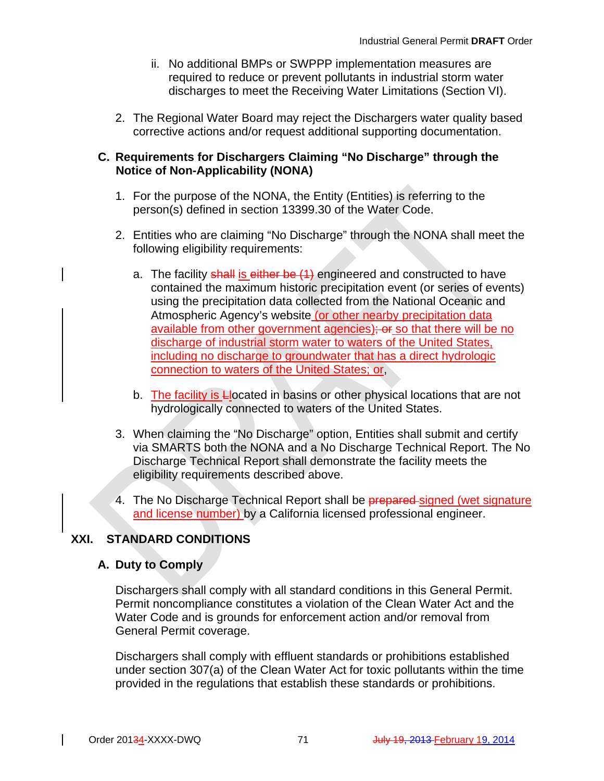- ii. No additional BMPs or SWPPP implementation measures are required to reduce or prevent pollutants in industrial storm water discharges to meet the Receiving Water Limitations (Section VI).
- 2. The Regional Water Board may reject the Dischargers water quality based corrective actions and/or request additional supporting documentation.

#### **C. Requirements for Dischargers Claiming "No Discharge" through the Notice of Non-Applicability (NONA)**

- 1. For the purpose of the NONA, the Entity (Entities) is referring to the person(s) defined in section 13399.30 of the Water Code.
- 2. Entities who are claiming "No Discharge" through the NONA shall meet the following eligibility requirements:
	- a. The facility shall is either be  $(1)$  engineered and constructed to have contained the maximum historic precipitation event (or series of events) using the precipitation data collected from the National Oceanic and Atmospheric Agency's website (or other nearby precipitation data available from other government agencies); or so that there will be no discharge of industrial storm water to waters of the United States, including no discharge to groundwater that has a direct hydrologic connection to waters of the United States; or,
	- b. The facility is Llocated in basins or other physical locations that are not hydrologically connected to waters of the United States.
- 3. When claiming the "No Discharge" option, Entities shall submit and certify via SMARTS both the NONA and a No Discharge Technical Report. The No Discharge Technical Report shall demonstrate the facility meets the eligibility requirements described above.
- 4. The No Discharge Technical Report shall be prepared-signed (wet signature and license number) by a California licensed professional engineer.

# **XXI. STANDARD CONDITIONS**

#### **A. Duty to Comply**

Dischargers shall comply with all standard conditions in this General Permit. Permit noncompliance constitutes a violation of the Clean Water Act and the Water Code and is grounds for enforcement action and/or removal from General Permit coverage.

Dischargers shall comply with effluent standards or prohibitions established under section 307(a) of the Clean Water Act for toxic pollutants within the time provided in the regulations that establish these standards or prohibitions.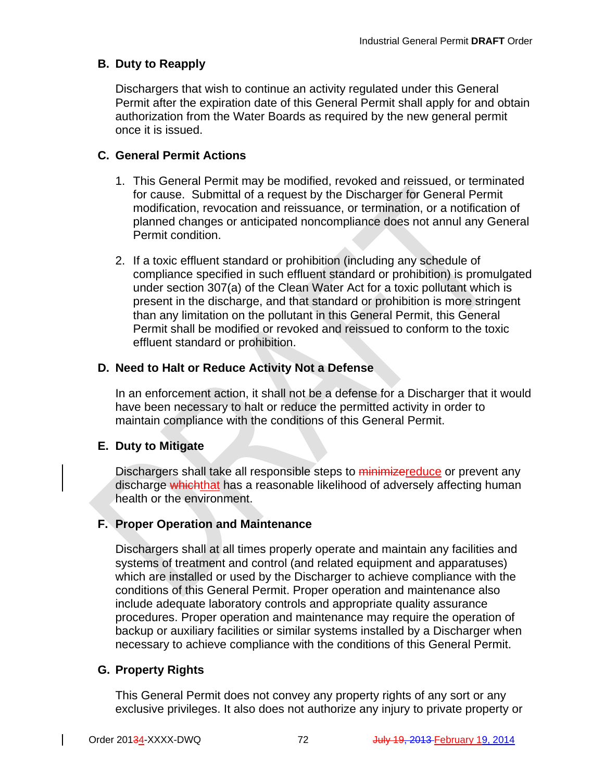# **B. Duty to Reapply**

Dischargers that wish to continue an activity regulated under this General Permit after the expiration date of this General Permit shall apply for and obtain authorization from the Water Boards as required by the new general permit once it is issued.

## **C. General Permit Actions**

- 1. This General Permit may be modified, revoked and reissued, or terminated for cause. Submittal of a request by the Discharger for General Permit modification, revocation and reissuance, or termination, or a notification of planned changes or anticipated noncompliance does not annul any General Permit condition.
- 2. If a toxic effluent standard or prohibition (including any schedule of compliance specified in such effluent standard or prohibition) is promulgated under section 307(a) of the Clean Water Act for a toxic pollutant which is present in the discharge, and that standard or prohibition is more stringent than any limitation on the pollutant in this General Permit, this General Permit shall be modified or revoked and reissued to conform to the toxic effluent standard or prohibition.

# **D. Need to Halt or Reduce Activity Not a Defense**

In an enforcement action, it shall not be a defense for a Discharger that it would have been necessary to halt or reduce the permitted activity in order to maintain compliance with the conditions of this General Permit.

# **E. Duty to Mitigate**

Dischargers shall take all responsible steps to minimizereduce or prevent any discharge whichthat has a reasonable likelihood of adversely affecting human health or the environment.

## **F. Proper Operation and Maintenance**

Dischargers shall at all times properly operate and maintain any facilities and systems of treatment and control (and related equipment and apparatuses) which are installed or used by the Discharger to achieve compliance with the conditions of this General Permit. Proper operation and maintenance also include adequate laboratory controls and appropriate quality assurance procedures. Proper operation and maintenance may require the operation of backup or auxiliary facilities or similar systems installed by a Discharger when necessary to achieve compliance with the conditions of this General Permit.

## **G. Property Rights**

This General Permit does not convey any property rights of any sort or any exclusive privileges. It also does not authorize any injury to private property or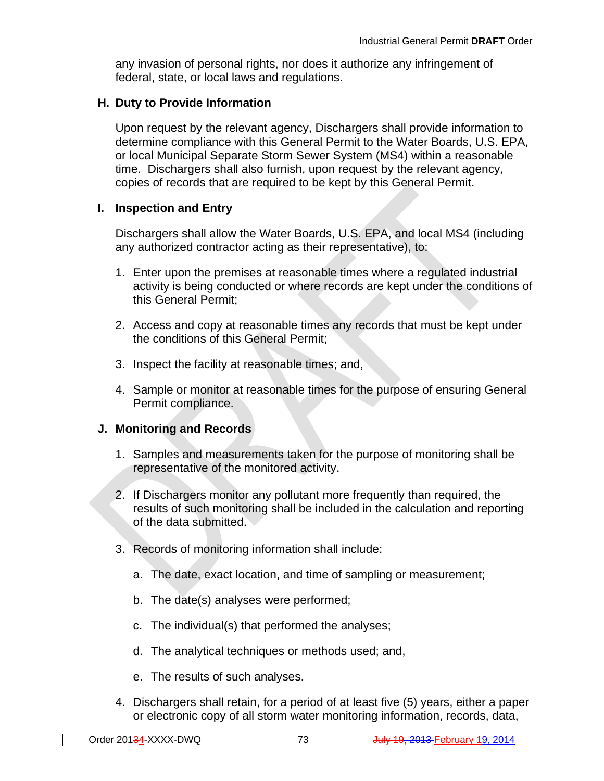any invasion of personal rights, nor does it authorize any infringement of federal, state, or local laws and regulations.

#### **H. Duty to Provide Information**

Upon request by the relevant agency, Dischargers shall provide information to determine compliance with this General Permit to the Water Boards, U.S. EPA, or local Municipal Separate Storm Sewer System (MS4) within a reasonable time. Dischargers shall also furnish, upon request by the relevant agency, copies of records that are required to be kept by this General Permit.

#### **I. Inspection and Entry**

Dischargers shall allow the Water Boards, U.S. EPA, and local MS4 (including any authorized contractor acting as their representative), to:

- 1. Enter upon the premises at reasonable times where a regulated industrial activity is being conducted or where records are kept under the conditions of this General Permit;
- 2. Access and copy at reasonable times any records that must be kept under the conditions of this General Permit;
- 3. Inspect the facility at reasonable times; and,
- 4. Sample or monitor at reasonable times for the purpose of ensuring General Permit compliance.

## **J. Monitoring and Records**

- 1. Samples and measurements taken for the purpose of monitoring shall be representative of the monitored activity.
- 2. If Dischargers monitor any pollutant more frequently than required, the results of such monitoring shall be included in the calculation and reporting of the data submitted.
- 3. Records of monitoring information shall include:
	- a. The date, exact location, and time of sampling or measurement;
	- b. The date(s) analyses were performed;
	- c. The individual(s) that performed the analyses;
	- d. The analytical techniques or methods used; and,
	- e. The results of such analyses.
- 4. Dischargers shall retain, for a period of at least five (5) years, either a paper or electronic copy of all storm water monitoring information, records, data,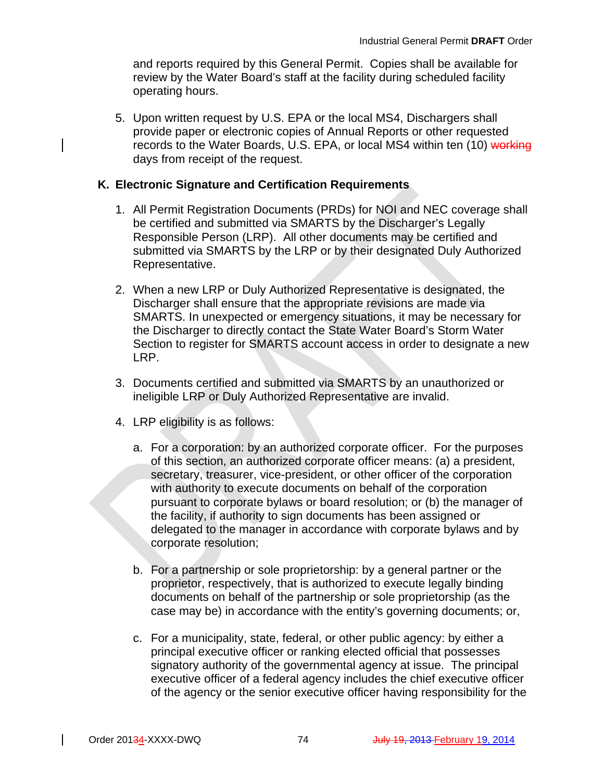and reports required by this General Permit. Copies shall be available for review by the Water Board's staff at the facility during scheduled facility operating hours.

5. Upon written request by U.S. EPA or the local MS4, Dischargers shall provide paper or electronic copies of Annual Reports or other requested records to the Water Boards, U.S. EPA, or local MS4 within ten (10) working days from receipt of the request.

#### **K. Electronic Signature and Certification Requirements**

- 1. All Permit Registration Documents (PRDs) for NOI and NEC coverage shall be certified and submitted via SMARTS by the Discharger's Legally Responsible Person (LRP). All other documents may be certified and submitted via SMARTS by the LRP or by their designated Duly Authorized Representative.
- 2. When a new LRP or Duly Authorized Representative is designated, the Discharger shall ensure that the appropriate revisions are made via SMARTS. In unexpected or emergency situations, it may be necessary for the Discharger to directly contact the State Water Board's Storm Water Section to register for SMARTS account access in order to designate a new LRP.
- 3. Documents certified and submitted via SMARTS by an unauthorized or ineligible LRP or Duly Authorized Representative are invalid.
- 4. LRP eligibility is as follows:
	- a. For a corporation: by an authorized corporate officer. For the purposes of this section, an authorized corporate officer means: (a) a president, secretary, treasurer, vice-president, or other officer of the corporation with authority to execute documents on behalf of the corporation pursuant to corporate bylaws or board resolution; or (b) the manager of the facility, if authority to sign documents has been assigned or delegated to the manager in accordance with corporate bylaws and by corporate resolution;
	- b. For a partnership or sole proprietorship: by a general partner or the proprietor, respectively, that is authorized to execute legally binding documents on behalf of the partnership or sole proprietorship (as the case may be) in accordance with the entity's governing documents; or,
	- c. For a municipality, state, federal, or other public agency: by either a principal executive officer or ranking elected official that possesses signatory authority of the governmental agency at issue. The principal executive officer of a federal agency includes the chief executive officer of the agency or the senior executive officer having responsibility for the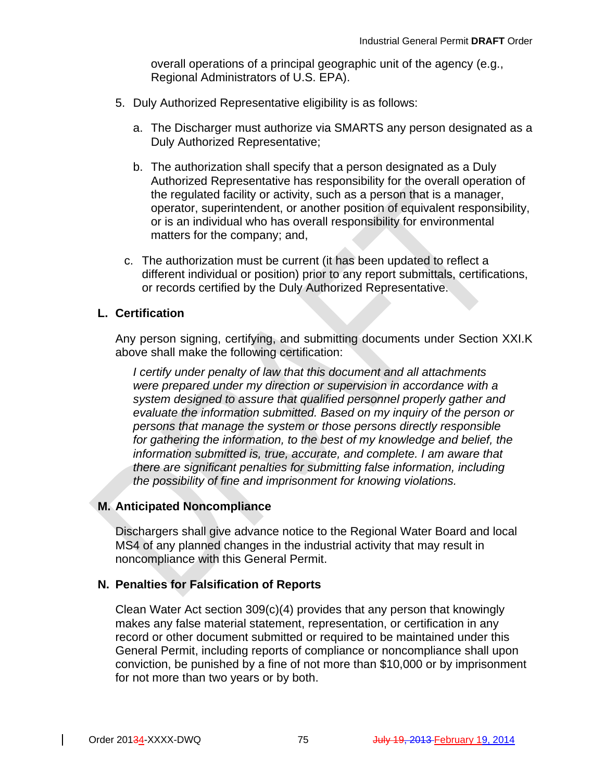overall operations of a principal geographic unit of the agency (e.g., Regional Administrators of U.S. EPA).

- 5. Duly Authorized Representative eligibility is as follows:
	- a. The Discharger must authorize via SMARTS any person designated as a Duly Authorized Representative;
	- b. The authorization shall specify that a person designated as a Duly Authorized Representative has responsibility for the overall operation of the regulated facility or activity, such as a person that is a manager, operator, superintendent, or another position of equivalent responsibility, or is an individual who has overall responsibility for environmental matters for the company; and,
	- c. The authorization must be current (it has been updated to reflect a different individual or position) prior to any report submittals, certifications, or records certified by the Duly Authorized Representative.

#### **L. Certification**

Any person signing, certifying, and submitting documents under Section XXI.K above shall make the following certification:

*I certify under penalty of law that this document and all attachments were prepared under my direction or supervision in accordance with a system designed to assure that qualified personnel properly gather and evaluate the information submitted. Based on my inquiry of the person or persons that manage the system or those persons directly responsible for gathering the information, to the best of my knowledge and belief, the information submitted is, true, accurate, and complete. I am aware that there are significant penalties for submitting false information, including the possibility of fine and imprisonment for knowing violations.*

#### **M. Anticipated Noncompliance**

Dischargers shall give advance notice to the Regional Water Board and local MS4 of any planned changes in the industrial activity that may result in noncompliance with this General Permit.

#### **N. Penalties for Falsification of Reports**

Clean Water Act section 309(c)(4) provides that any person that knowingly makes any false material statement, representation, or certification in any record or other document submitted or required to be maintained under this General Permit, including reports of compliance or noncompliance shall upon conviction, be punished by a fine of not more than \$10,000 or by imprisonment for not more than two years or by both.